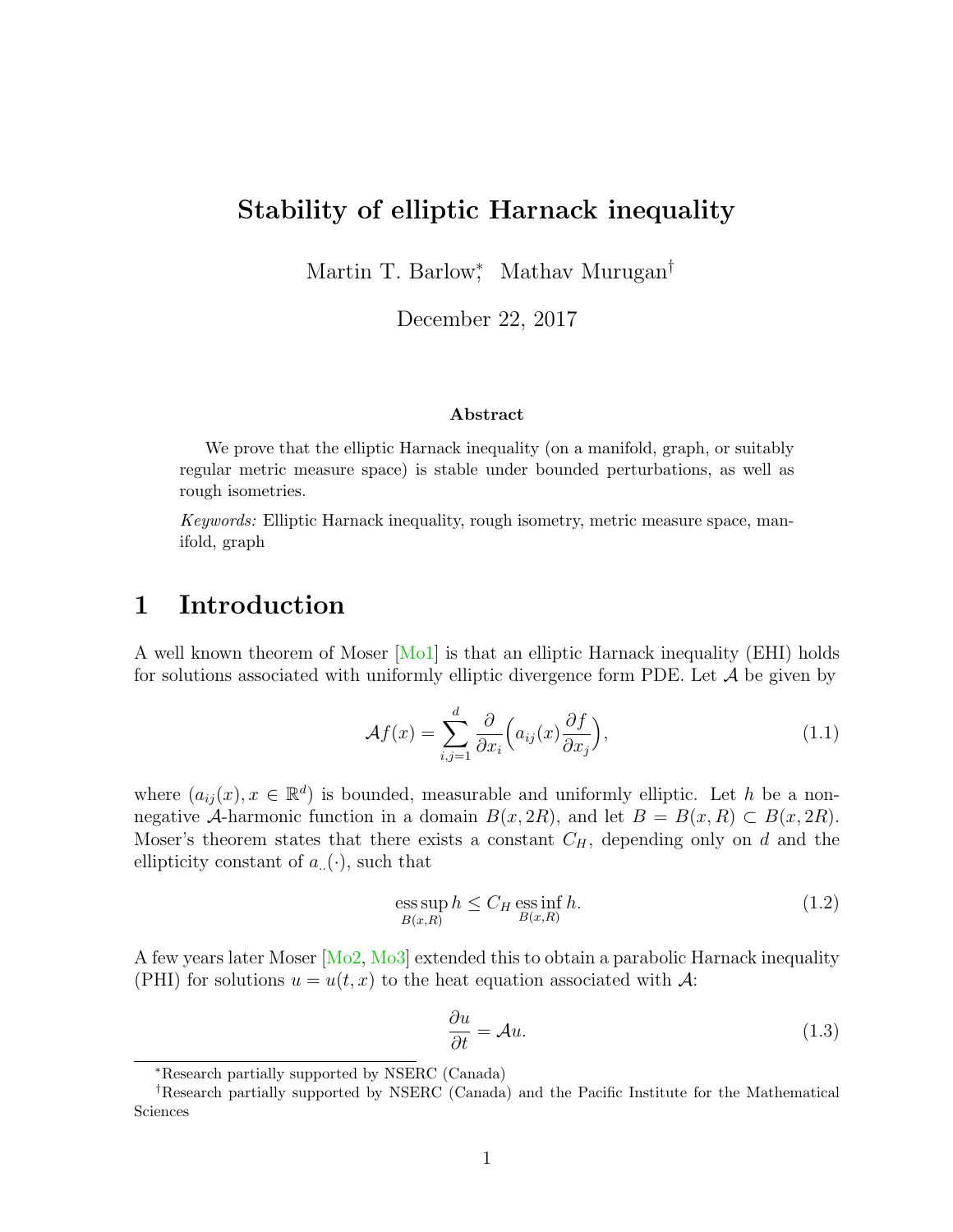### Stability of elliptic Harnack inequality

Martin T. Barlow<sup>\*</sup>, Mathav Murugan<sup>†</sup>

December 22, 2017

#### Abstract

We prove that the elliptic Harnack inequality (on a manifold, graph, or suitably regular metric measure space) is stable under bounded perturbations, as well as rough isometries.

Keywords: Elliptic Harnack inequality, rough isometry, metric measure space, manifold, graph

# <span id="page-0-1"></span>1 Introduction

A well known theorem of Moser [\[Mo1\]](#page-41-0) is that an elliptic Harnack inequality (EHI) holds for solutions associated with uniformly elliptic divergence form PDE. Let  $A$  be given by

$$
\mathcal{A}f(x) = \sum_{i,j=1}^{d} \frac{\partial}{\partial x_i} \Big( a_{ij}(x) \frac{\partial f}{\partial x_j} \Big), \tag{1.1}
$$

where  $(a_{ij}(x), x \in \mathbb{R}^d)$  is bounded, measurable and uniformly elliptic. Let h be a nonnegative A-harmonic function in a domain  $B(x, 2R)$ , and let  $B = B(x, R) \subset B(x, 2R)$ . Moser's theorem states that there exists a constant  $C_H$ , depending only on d and the ellipticity constant of  $a_{\ldots}(\cdot)$ , such that

$$
\underset{B(x,R)}{\operatorname{ess\,sup}} h \le C_H \underset{B(x,R)}{\operatorname{ess\,inf}} h. \tag{1.2}
$$

A few years later Moser [\[Mo2,](#page-42-0) [Mo3\]](#page-42-1) extended this to obtain a parabolic Harnack inequality (PHI) for solutions  $u = u(t, x)$  to the heat equation associated with A:

<span id="page-0-0"></span>
$$
\frac{\partial u}{\partial t} = \mathcal{A}u. \tag{1.3}
$$

<sup>∗</sup>Research partially supported by NSERC (Canada)

<sup>†</sup>Research partially supported by NSERC (Canada) and the Pacific Institute for the Mathematical Sciences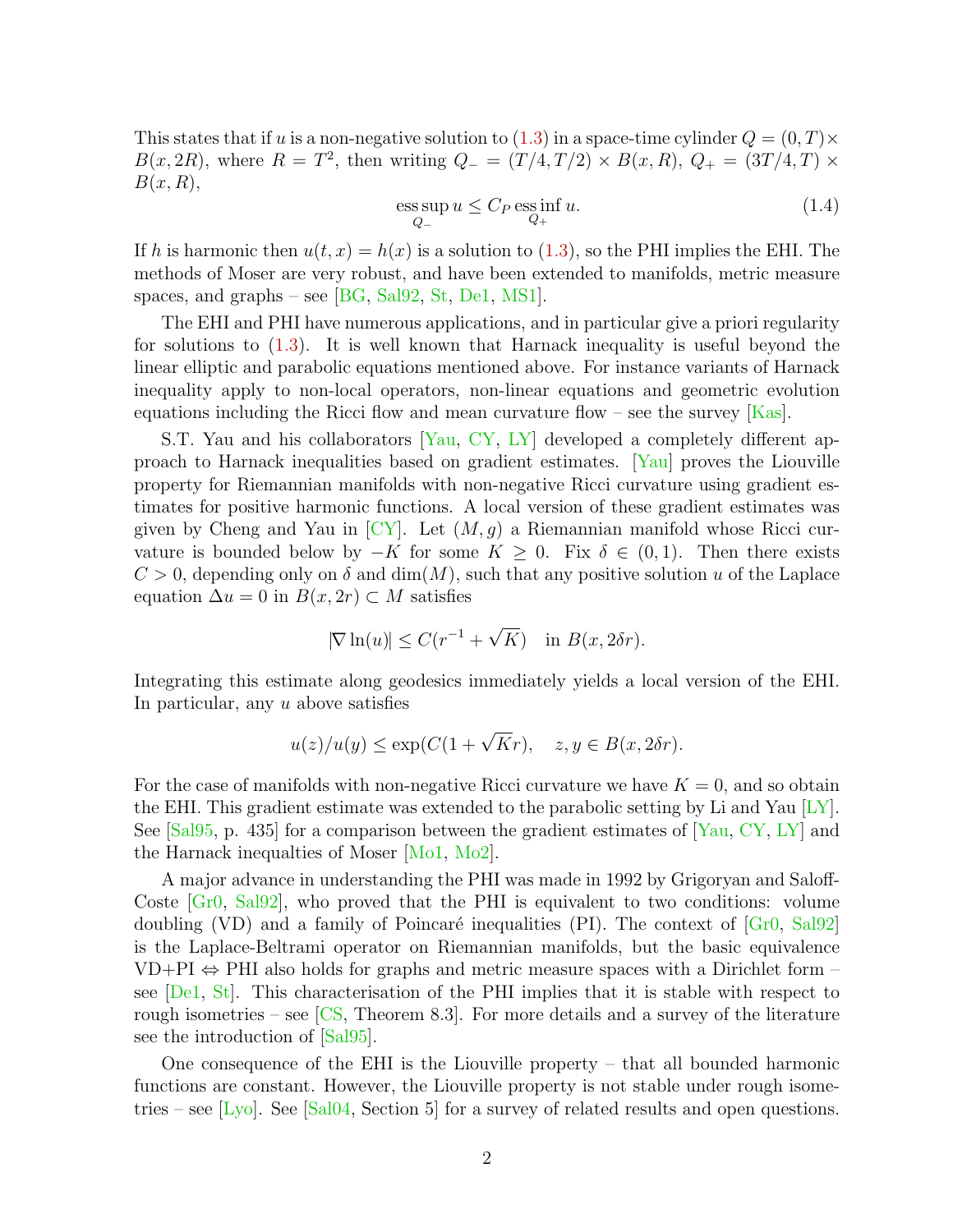This states that if u is a non-negative solution to  $(1.3)$  in a space-time cylinder  $Q = (0, T) \times$  $B(x, 2R)$ , where  $R = T^2$ , then writing  $Q = (T/4, T/2) \times B(x, R)$ ,  $Q_+ = (3T/4, T) \times$  $B(x,R),$ 

$$
\underset{Q_{-}}{\text{ess sup}} u \le C_{P} \underset{Q_{+}}{\text{ess inf}} u. \tag{1.4}
$$

If h is harmonic then  $u(t, x) = h(x)$  is a solution to [\(1.3\)](#page-0-0), so the PHI implies the EHI. The methods of Moser are very robust, and have been extended to manifolds, metric measure spaces, and graphs – see [\[BG,](#page-39-0) [Sal92,](#page-42-2) [St,](#page-42-3) [De1,](#page-39-1) [MS1\]](#page-42-4).

The EHI and PHI have numerous applications, and in particular give a priori regularity for solutions to [\(1.3\)](#page-0-0). It is well known that Harnack inequality is useful beyond the linear elliptic and parabolic equations mentioned above. For instance variants of Harnack inequality apply to non-local operators, non-linear equations and geometric evolution equations including the Ricci flow and mean curvature flow – see the survey  $[Kas]$ .

S.T. Yau and his collaborators [\[Yau,](#page-43-0) [CY,](#page-39-2) [LY\]](#page-41-2) developed a completely different approach to Harnack inequalities based on gradient estimates. [\[Yau\]](#page-43-0) proves the Liouville property for Riemannian manifolds with non-negative Ricci curvature using gradient estimates for positive harmonic functions. A local version of these gradient estimates was given by Cheng and Yau in  $\lbrack CY\rbrack$ . Let  $(M, g)$  a Riemannian manifold whose Ricci curvature is bounded below by  $-K$  for some  $K \geq 0$ . Fix  $\delta \in (0,1)$ . Then there exists  $C > 0$ , depending only on  $\delta$  and  $\dim(M)$ , such that any positive solution u of the Laplace equation  $\Delta u = 0$  in  $B(x, 2r) \subset M$  satisfies

$$
|\nabla \ln(u)| \le C(r^{-1} + \sqrt{K}) \quad \text{in } B(x, 2\delta r).
$$

Integrating this estimate along geodesics immediately yields a local version of the EHI. In particular, any  $u$  above satisfies

$$
u(z)/u(y) \le \exp(C(1+\sqrt{K}r), \quad z, y \in B(x, 2\delta r).
$$

For the case of manifolds with non-negative Ricci curvature we have  $K = 0$ , and so obtain the EHI. This gradient estimate was extended to the parabolic setting by Li and Yau  $|LY|$ . See  $[Sal95, p. 435]$  for a comparison between the gradient estimates of  $[Yau, CY, LY]$  $[Yau, CY, LY]$  $[Yau, CY, LY]$  $[Yau, CY, LY]$  and the Harnack inequalties of Moser [\[Mo1,](#page-41-0) [Mo2\]](#page-42-0).

A major advance in understanding the PHI was made in 1992 by Grigoryan and Saloff-Coste [\[Gr0,](#page-39-3) [Sal92\]](#page-42-2), who proved that the PHI is equivalent to two conditions: volume doubling (VD) and a family of Poincaré inequalities (PI). The context of  $[Gr0, Sal92]$  $[Gr0, Sal92]$ is the Laplace-Beltrami operator on Riemannian manifolds, but the basic equivalence  $VD+PI \Leftrightarrow$  PHI also holds for graphs and metric measure spaces with a Dirichlet form – see [\[De1,](#page-39-1) [St\]](#page-42-3). This characterisation of the PHI implies that it is stable with respect to rough isometries – see  $\left[\text{CS}, \text{Theorem 8.3}\right]$ . For more details and a survey of the literature see the introduction of [\[Sal95\]](#page-42-5).

One consequence of the EHI is the Liouville property – that all bounded harmonic functions are constant. However, the Liouville property is not stable under rough isometries – see  $[L_y]$ . See  $S$ al04, Section 5 for a survey of related results and open questions.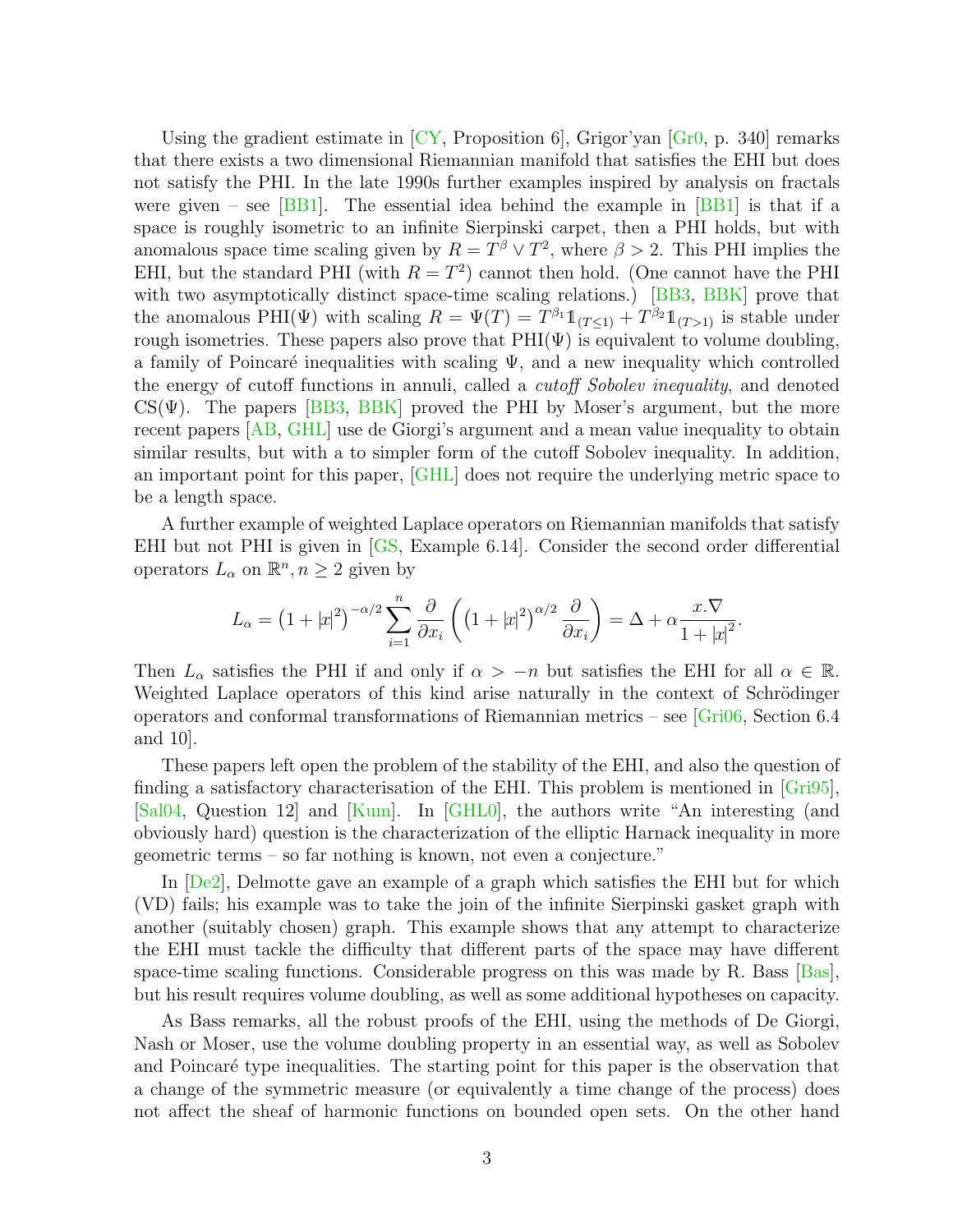Using the gradient estimate in  $\left[\rm{CY},\rm{Proposition~6}\right]$ , Grigor'yan  $\left[\rm{Gr0},\rm{p.}340\right]$  remarks that there exists a two dimensional Riemannian manifold that satisfies the EHI but does not satisfy the PHI. In the late 1990s further examples inspired by analysis on fractals were given – see  $[BB1]$ . The essential idea behind the example in  $[BB1]$  is that if a space is roughly isometric to an infinite Sierpinski carpet, then a PHI holds, but with anomalous space time scaling given by  $R = T^{\beta} \vee T^2$ , where  $\beta > 2$ . This PHI implies the EHI, but the standard PHI (with  $R = T<sup>2</sup>$ ) cannot then hold. (One cannot have the PHI with two asymptotically distinct space-time scaling relations.) [\[BB3,](#page-38-1) [BBK\]](#page-39-5) prove that the anomalous PHI( $\Psi$ ) with scaling  $R = \Psi(T) = T^{\beta_1} \mathbb{1}_{(T \leq 1)} + T^{\beta_2} \mathbb{1}_{(T > 1)}$  is stable under rough isometries. These papers also prove that  $PHI(\Psi)$  is equivalent to volume doubling, a family of Poincaré inequalities with scaling  $\Psi$ , and a new inequality which controlled the energy of cutoff functions in annuli, called a cutoff Sobolev inequality, and denoted  $CS(\Psi)$ . The papers [\[BB3,](#page-38-1) [BBK\]](#page-39-5) proved the PHI by Moser's argument, but the more recent papers [\[AB,](#page-38-2) [GHL\]](#page-40-0) use de Giorgi's argument and a mean value inequality to obtain similar results, but with a to simpler form of the cutoff Sobolev inequality. In addition, an important point for this paper, [\[GHL\]](#page-40-0) does not require the underlying metric space to be a length space.

A further example of weighted Laplace operators on Riemannian manifolds that satisfy EHI but not PHI is given in [\[GS,](#page-40-1) Example 6.14]. Consider the second order differential operators  $L_{\alpha}$  on  $\mathbb{R}^n, n \geq 2$  given by

$$
L_{\alpha} = \left(1 + |x|^2\right)^{-\alpha/2} \sum_{i=1}^n \frac{\partial}{\partial x_i} \left( \left(1 + |x|^2\right)^{\alpha/2} \frac{\partial}{\partial x_i} \right) = \Delta + \alpha \frac{x.\nabla}{1 + |x|^2}.
$$

Then  $L_{\alpha}$  satisfies the PHI if and only if  $\alpha > -n$  but satisfies the EHI for all  $\alpha \in \mathbb{R}$ . Weighted Laplace operators of this kind arise naturally in the context of Schrödinger operators and conformal transformations of Riemannian metrics – see  $\boxed{\text{Grid}}$ , Section 6.4 and 10].

These papers left open the problem of the stability of the EHI, and also the question of finding a satisfactory characterisation of the EHI. This problem is mentioned in [\[Gri95\]](#page-39-7), [\[Sal04,](#page-42-6) Question 12] and [\[Kum\]](#page-41-4). In [\[GHL0\]](#page-40-2), the authors write "An interesting (and obviously hard) question is the characterization of the elliptic Harnack inequality in more geometric terms – so far nothing is known, not even a conjecture."

In [\[De2\]](#page-39-8), Delmotte gave an example of a graph which satisfies the EHI but for which (VD) fails; his example was to take the join of the infinite Sierpinski gasket graph with another (suitably chosen) graph. This example shows that any attempt to characterize the EHI must tackle the difficulty that different parts of the space may have different space-time scaling functions. Considerable progress on this was made by R. Bass  $\vert$ Bas $\vert$ , but his result requires volume doubling, as well as some additional hypotheses on capacity.

As Bass remarks, all the robust proofs of the EHI, using the methods of De Giorgi, Nash or Moser, use the volume doubling property in an essential way, as well as Sobolev and Poincaré type inequalities. The starting point for this paper is the observation that a change of the symmetric measure (or equivalently a time change of the process) does not affect the sheaf of harmonic functions on bounded open sets. On the other hand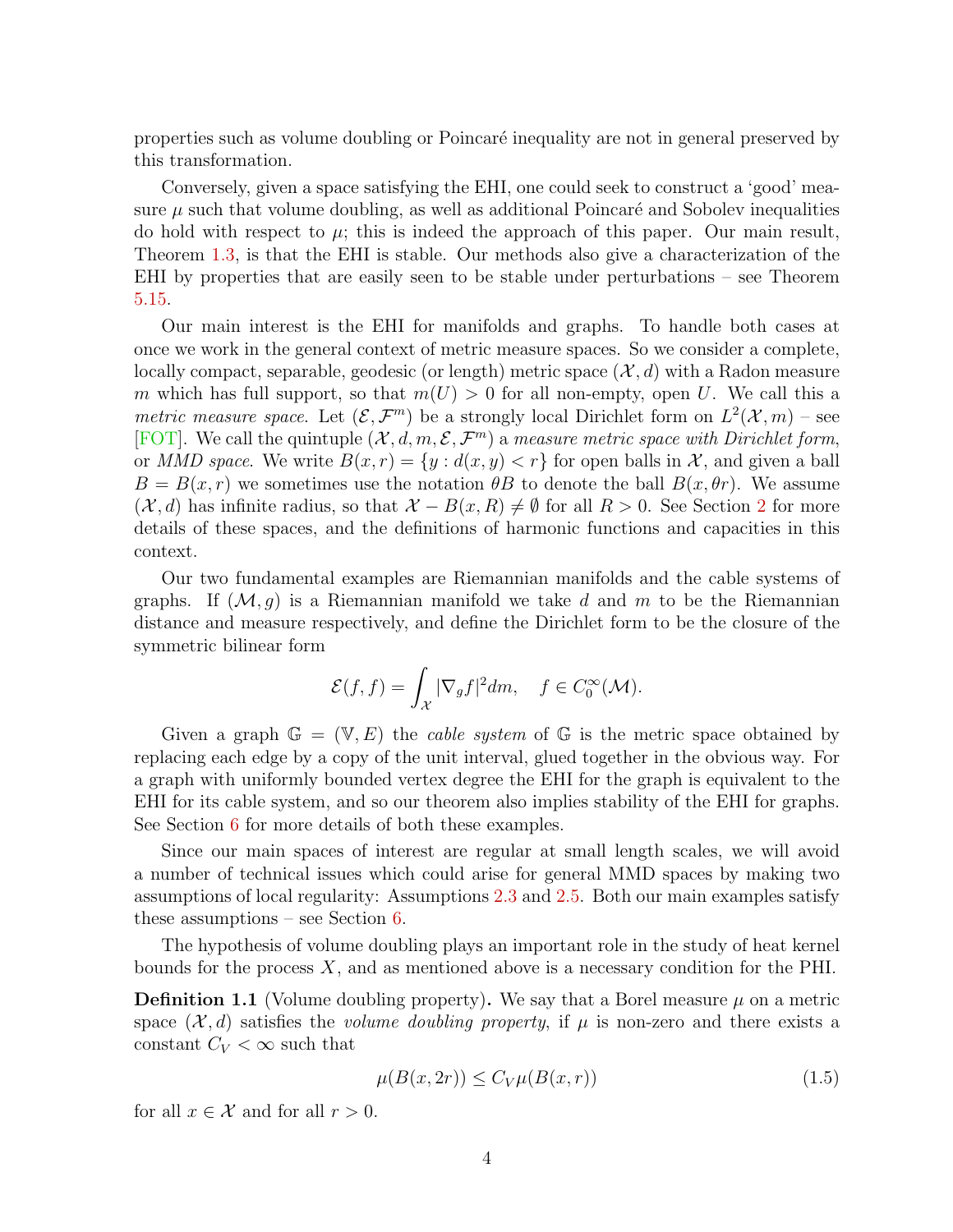properties such as volume doubling or Poincar´e inequality are not in general preserved by this transformation.

Conversely, given a space satisfying the EHI, one could seek to construct a 'good' measure  $\mu$  such that volume doubling, as well as additional Poincaré and Sobolev inequalities do hold with respect to  $\mu$ ; this is indeed the approach of this paper. Our main result, Theorem [1.3,](#page-4-0) is that the EHI is stable. Our methods also give a characterization of the EHI by properties that are easily seen to be stable under perturbations – see Theorem [5.15.](#page-29-0)

Our main interest is the EHI for manifolds and graphs. To handle both cases at once we work in the general context of metric measure spaces. So we consider a complete, locally compact, separable, geodesic (or length) metric space  $(\mathcal{X}, d)$  with a Radon measure m which has full support, so that  $m(U) > 0$  for all non-empty, open U. We call this a metric measure space. Let  $(\mathcal{E}, \mathcal{F}^m)$  be a strongly local Dirichlet form on  $L^2(\mathcal{X}, m)$  – see [\[FOT\]](#page-39-10). We call the quintuple  $(\mathcal{X}, d, m, \mathcal{E}, \mathcal{F}^m)$  a measure metric space with Dirichlet form, or MMD space. We write  $B(x, r) = \{y : d(x, y) < r\}$  for open balls in X, and given a ball  $B = B(x, r)$  we sometimes use the notation  $\theta B$  to denote the ball  $B(x, \theta r)$ . We assume  $(\mathcal{X}, d)$  has infinite radius, so that  $\mathcal{X} - B(x, R) \neq \emptyset$  for all  $R > 0$ . See Section [2](#page-6-0) for more details of these spaces, and the definitions of harmonic functions and capacities in this context.

Our two fundamental examples are Riemannian manifolds and the cable systems of graphs. If  $(M, g)$  is a Riemannian manifold we take d and m to be the Riemannian distance and measure respectively, and define the Dirichlet form to be the closure of the symmetric bilinear form

$$
\mathcal{E}(f,f) = \int_{\mathcal{X}} |\nabla_g f|^2 dm, \quad f \in C_0^{\infty}(\mathcal{M}).
$$

Given a graph  $\mathbb{G} = (\mathbb{V}, E)$  the *cable system* of  $\mathbb{G}$  is the metric space obtained by replacing each edge by a copy of the unit interval, glued together in the obvious way. For a graph with uniformly bounded vertex degree the EHI for the graph is equivalent to the EHI for its cable system, and so our theorem also implies stability of the EHI for graphs. See Section [6](#page-31-0) for more details of both these examples.

Since our main spaces of interest are regular at small length scales, we will avoid a number of technical issues which could arise for general MMD spaces by making two assumptions of local regularity: Assumptions [2.3](#page-8-0) and [2.5.](#page-8-1) Both our main examples satisfy these assumptions – see Section [6.](#page-31-0)

The hypothesis of volume doubling plays an important role in the study of heat kernel bounds for the process  $X$ , and as mentioned above is a necessary condition for the PHI.

**Definition 1.1** (Volume doubling property). We say that a Borel measure  $\mu$  on a metric space  $(\mathcal{X}, d)$  satisfies the *volume doubling property*, if  $\mu$  is non-zero and there exists a constant  $C_V < \infty$  such that

$$
\mu(B(x, 2r)) \le C_V \mu(B(x, r))\tag{1.5}
$$

for all  $x \in \mathcal{X}$  and for all  $r > 0$ .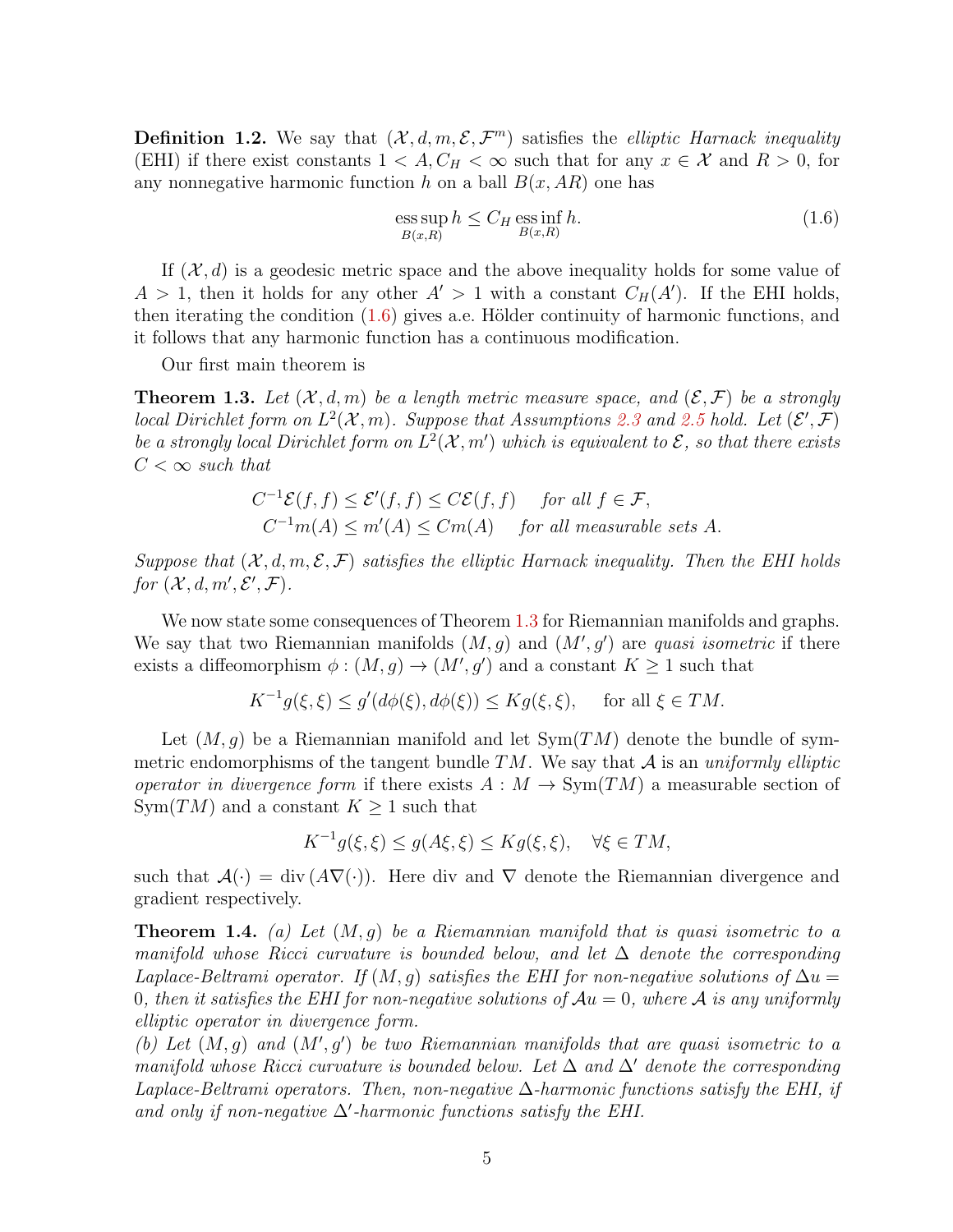**Definition 1.2.** We say that  $(\mathcal{X}, d, m, \mathcal{E}, \mathcal{F}^m)$  satisfies the *elliptic Harnack inequality* (EHI) if there exist constants  $1 < A, C_H < \infty$  such that for any  $x \in \mathcal{X}$  and  $R > 0$ , for any nonnegative harmonic function h on a ball  $B(x, AR)$  one has

<span id="page-4-1"></span>
$$
\underset{B(x,R)}{\text{ess sup}} h \le C_H \underset{B(x,R)}{\text{ess inf}} h. \tag{1.6}
$$

If  $(X, d)$  is a geodesic metric space and the above inequality holds for some value of  $A > 1$ , then it holds for any other  $A' > 1$  with a constant  $C_H(A')$ . If the EHI holds, then iterating the condition  $(1.6)$  gives a.e. Hölder continuity of harmonic functions, and it follows that any harmonic function has a continuous modification.

Our first main theorem is

<span id="page-4-0"></span>**Theorem 1.3.** Let  $(X, d, m)$  be a length metric measure space, and  $(\mathcal{E}, \mathcal{F})$  be a strongly local Dirichlet form on  $L^2(\mathcal{X},m)$ . Suppose that Assumptions [2.3](#page-8-0) and [2.5](#page-8-1) hold. Let  $(\mathcal{E}',\mathcal{F})$ be a strongly local Dirichlet form on  $L^2(\mathcal{X}, m')$  which is equivalent to  $\mathcal{E}$ , so that there exists  $C < \infty$  such that

$$
C^{-1}\mathcal{E}(f,f) \le \mathcal{E}'(f,f) \le C\mathcal{E}(f,f) \quad \text{for all } f \in \mathcal{F},
$$
  

$$
C^{-1}m(A) \le m'(A) \le Cm(A) \quad \text{for all measurable sets } A.
$$

Suppose that  $(X, d, m, \mathcal{E}, \mathcal{F})$  satisfies the elliptic Harnack inequality. Then the EHI holds for  $(\mathcal{X}, d, m', \mathcal{E}', \mathcal{F})$ .

We now state some consequences of Theorem [1.3](#page-4-0) for Riemannian manifolds and graphs. We say that two Riemannian manifolds  $(M, g)$  and  $(M', g')$  are quasi isometric if there exists a diffeomorphism  $\phi : (M, g) \to (M', g')$  and a constant  $K \geq 1$  such that

$$
K^{-1}g(\xi,\xi) \le g'(d\phi(\xi), d\phi(\xi)) \le Kg(\xi,\xi), \quad \text{ for all } \xi \in TM.
$$

Let  $(M, g)$  be a Riemannian manifold and let  $Sym(TM)$  denote the bundle of symmetric endomorphisms of the tangent bundle  $TM$ . We say that  $A$  is an uniformly elliptic operator in divergence form if there exists  $A : M \to \text{Sym}(TM)$  a measurable section of Sym $(TM)$  and a constant  $K \geq 1$  such that

$$
K^{-1}g(\xi,\xi) \le g(A\xi,\xi) \le Kg(\xi,\xi), \quad \forall \xi \in TM,
$$

such that  $\mathcal{A}(\cdot) = \text{div}(\mathcal{A}\nabla(\cdot))$ . Here div and  $\nabla$  denote the Riemannian divergence and gradient respectively.

<span id="page-4-2"></span>**Theorem 1.4.** (a) Let  $(M, g)$  be a Riemannian manifold that is quasi isometric to a manifold whose Ricci curvature is bounded below, and let  $\Delta$  denote the corresponding Laplace-Beltrami operator. If  $(M, g)$  satisfies the EHI for non-negative solutions of  $\Delta u =$ 0, then it satisfies the EHI for non-negative solutions of  $Au = 0$ , where A is any uniformly elliptic operator in divergence form.

(b) Let  $(M, g)$  and  $(M', g')$  be two Riemannian manifolds that are quasi isometric to a manifold whose Ricci curvature is bounded below. Let  $\Delta$  and  $\Delta'$  denote the corresponding Laplace-Beltrami operators. Then, non-negative  $\Delta$ -harmonic functions satisfy the EHI, if and only if non-negative  $\Delta$ '-harmonic functions satisfy the EHI.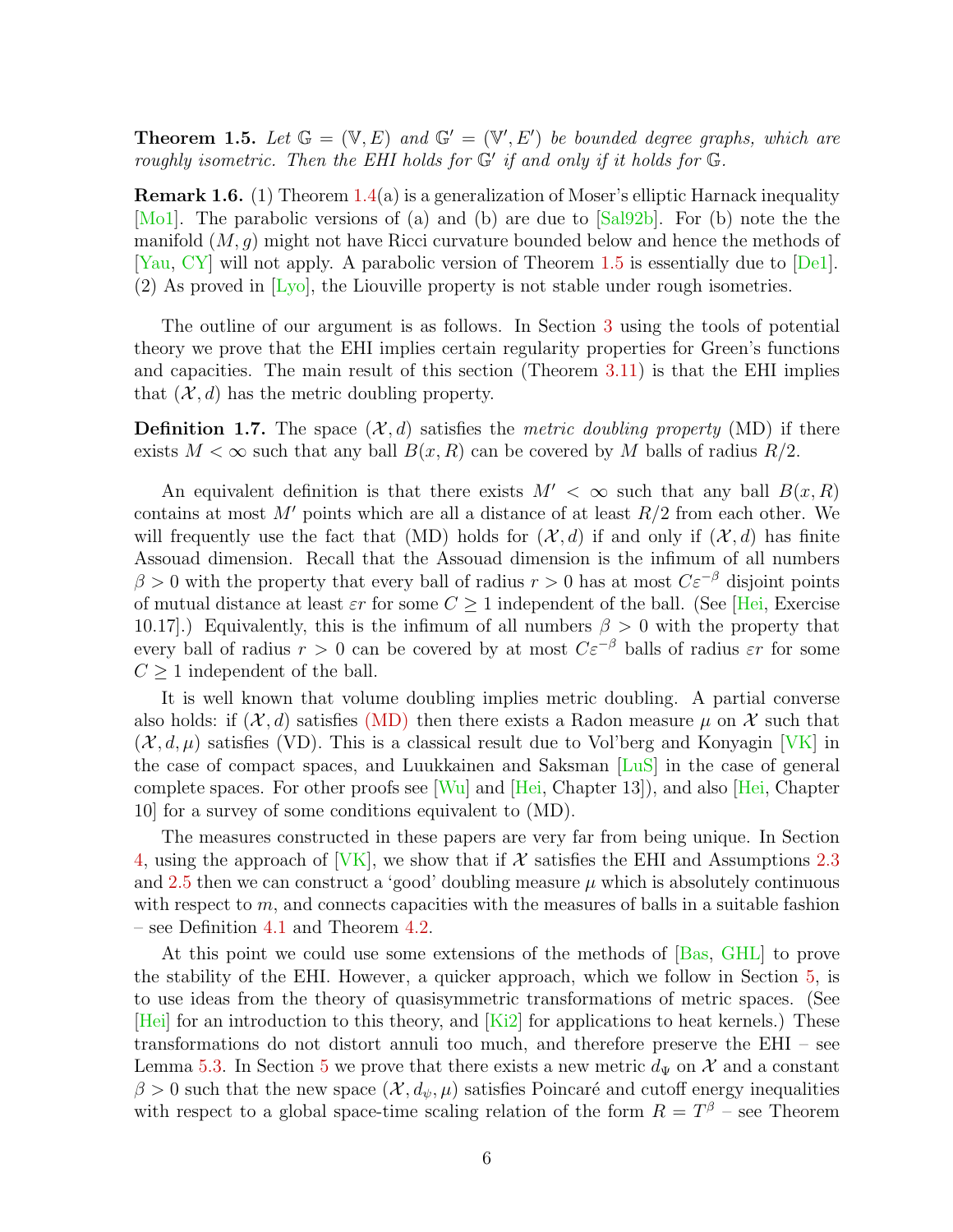<span id="page-5-0"></span>**Theorem 1.5.** Let  $\mathbb{G} = (\mathbb{V}, E)$  and  $\mathbb{G}' = (\mathbb{V}', E')$  be bounded degree graphs, which are roughly isometric. Then the EHI holds for  $G'$  if and only if it holds for  $G$ .

**Remark 1.6.** (1) Theorem  $1.4(a)$  $1.4(a)$  is a generalization of Moser's elliptic Harnack inequality [\[Mo1\]](#page-41-0). The parabolic versions of (a) and (b) are due to [\[Sal92b\]](#page-42-7). For (b) note the the manifold  $(M, q)$  might not have Ricci curvature bounded below and hence the methods of [\[Yau,](#page-43-0) [CY\]](#page-39-2) will not apply. A parabolic version of Theorem [1.5](#page-5-0) is essentially due to [\[De1\]](#page-39-1). (2) As proved in [\[Lyo\]](#page-41-3), the Liouville property is not stable under rough isometries.

The outline of our argument is as follows. In Section [3](#page-9-0) using the tools of potential theory we prove that the EHI implies certain regularity properties for Green's functions and capacities. The main result of this section (Theorem [3.11\)](#page-12-0) is that the EHI implies that  $(\mathcal{X}, d)$  has the metric doubling property.

<span id="page-5-1"></span>**Definition 1.7.** The space  $(\mathcal{X}, d)$  satisfies the metric doubling property (MD) if there exists  $M < \infty$  such that any ball  $B(x, R)$  can be covered by M balls of radius  $R/2$ .

An equivalent definition is that there exists  $M' < \infty$  such that any ball  $B(x, R)$ contains at most M' points which are all a distance of at least  $R/2$  from each other. We will frequently use the fact that (MD) holds for  $(\mathcal{X}, d)$  if and only if  $(\mathcal{X}, d)$  has finite Assouad dimension. Recall that the Assouad dimension is the infimum of all numbers  $\beta > 0$  with the property that every ball of radius  $r > 0$  has at most  $C \varepsilon^{-\beta}$  disjoint points of mutual distance at least  $\varepsilon r$  for some  $C \geq 1$  independent of the ball. (See [\[Hei,](#page-40-3) Exercise 10.17].) Equivalently, this is the infimum of all numbers  $\beta > 0$  with the property that every ball of radius  $r > 0$  can be covered by at most  $C\varepsilon^{-\beta}$  balls of radius  $\varepsilon r$  for some  $C \geq 1$  independent of the ball.

It is well known that volume doubling implies metric doubling. A partial converse also holds: if  $(X, d)$  satisfies [\(MD\)](#page-5-1) then there exists a Radon measure  $\mu$  on X such that  $(\mathcal{X}, d, \mu)$  satisfies (VD). This is a classical result due to Vol'berg and Konyagin [\[VK\]](#page-42-8) in the case of compact spaces, and Luukkainen and Saksman [\[LuS\]](#page-41-5) in the case of general complete spaces. For other proofs see  $[W_u]$  and  $[Hei, Chapter 13]$ , and also Hei, Chapter 10] for a survey of some conditions equivalent to (MD).

The measures constructed in these papers are very far from being unique. In Section [4,](#page-15-0) using the approach of [\[VK\]](#page-42-8), we show that if  $\mathcal X$  satisfies the EHI and Assumptions [2.3](#page-8-0) and [2.5](#page-8-1) then we can construct a 'good' doubling measure  $\mu$  which is absolutely continuous with respect to  $m$ , and connects capacities with the measures of balls in a suitable fashion – see Definition [4.1](#page-15-1) and Theorem [4.2.](#page-16-0)

At this point we could use some extensions of the methods of [\[Bas,](#page-39-9) [GHL\]](#page-40-0) to prove the stability of the EHI. However, a quicker approach, which we follow in Section [5,](#page-22-0) is to use ideas from the theory of quasisymmetric transformations of metric spaces. (See  $[Hei]$  for an introduction to this theory, and  $[Ki2]$  for applications to heat kernels.) These transformations do not distort annuli too much, and therefore preserve the EHI – see Lemma [5.3.](#page-22-1) In Section [5](#page-22-0) we prove that there exists a new metric  $d_{\Psi}$  on X and a constant  $\beta > 0$  such that the new space  $(\mathcal{X}, d_{\psi}, \mu)$  satisfies Poincaré and cutoff energy inequalities with respect to a global space-time scaling relation of the form  $R = T^{\beta}$  – see Theorem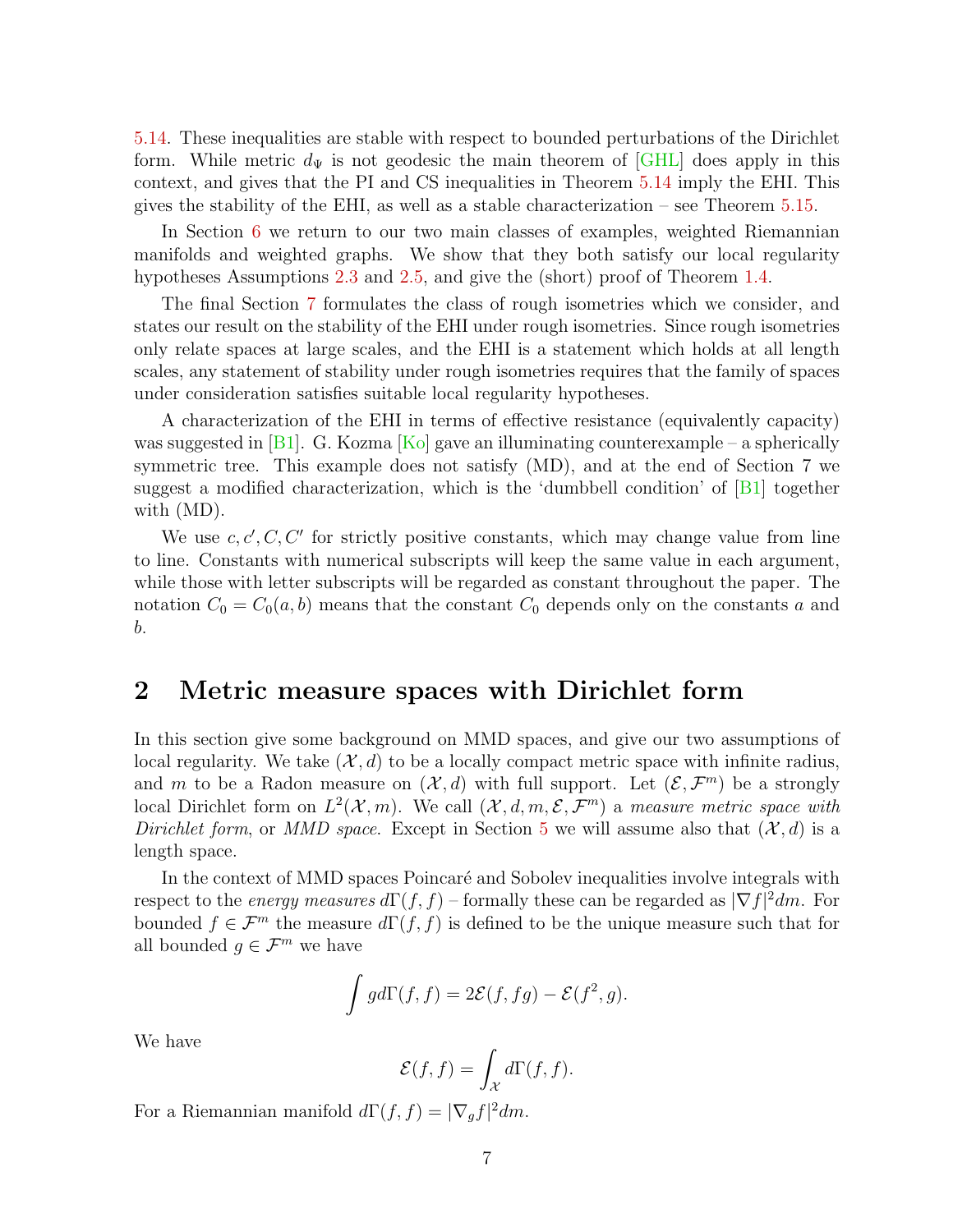[5.14.](#page-28-0) These inequalities are stable with respect to bounded perturbations of the Dirichlet form. While metric  $d_{\Psi}$  is not geodesic the main theorem of [\[GHL\]](#page-40-0) does apply in this context, and gives that the PI and CS inequalities in Theorem [5.14](#page-28-0) imply the EHI. This gives the stability of the EHI, as well as a stable characterization – see Theorem  $5.15$ .

In Section [6](#page-31-0) we return to our two main classes of examples, weighted Riemannian manifolds and weighted graphs. We show that they both satisfy our local regularity hypotheses Assumptions [2.3](#page-8-0) and [2.5,](#page-8-1) and give the (short) proof of Theorem [1.4.](#page-4-2)

The final Section [7](#page-35-0) formulates the class of rough isometries which we consider, and states our result on the stability of the EHI under rough isometries. Since rough isometries only relate spaces at large scales, and the EHI is a statement which holds at all length scales, any statement of stability under rough isometries requires that the family of spaces under consideration satisfies suitable local regularity hypotheses.

A characterization of the EHI in terms of effective resistance (equivalently capacity) was suggested in [\[B1\]](#page-38-3). G. Kozma  $[Ko]$  gave an illuminating counterexample – a spherically symmetric tree. This example does not satisfy (MD), and at the end of Section 7 we suggest a modified characterization, which is the 'dumbbell condition' of  $|B1|$  together with (MD).

We use  $c, c', C, C'$  for strictly positive constants, which may change value from line to line. Constants with numerical subscripts will keep the same value in each argument, while those with letter subscripts will be regarded as constant throughout the paper. The notation  $C_0 = C_0(a, b)$  means that the constant  $C_0$  depends only on the constants a and b.

#### <span id="page-6-0"></span>2 Metric measure spaces with Dirichlet form

In this section give some background on MMD spaces, and give our two assumptions of local regularity. We take  $(\mathcal{X}, d)$  to be a locally compact metric space with infinite radius, and m to be a Radon measure on  $(\mathcal{X}, d)$  with full support. Let  $(\mathcal{E}, \mathcal{F}^m)$  be a strongly local Dirichlet form on  $L^2(\mathcal{X},m)$ . We call  $(\mathcal{X},d,m,\mathcal{E},\mathcal{F}^m)$  a measure metric space with Dirichlet form, or MMD space. Except in Section [5](#page-22-0) we will assume also that  $(\mathcal{X}, d)$  is a length space.

In the context of MMD spaces Poincaré and Sobolev inequalities involve integrals with respect to the *energy measures*  $d\Gamma(f, f)$  – formally these can be regarded as  $|\nabla f|^2 dm$ . For bounded  $f \in \mathcal{F}^m$  the measure  $d\Gamma(f, f)$  is defined to be the unique measure such that for all bounded  $g \in \mathcal{F}^m$  we have

$$
\int g d\Gamma(f,f) = 2\mathcal{E}(f,fg) - \mathcal{E}(f^2,g).
$$

We have

$$
\mathcal{E}(f,f) = \int_{\mathcal{X}} d\Gamma(f,f).
$$

For a Riemannian manifold  $d\Gamma(f, f) = |\nabla_g f|^2 dm$ .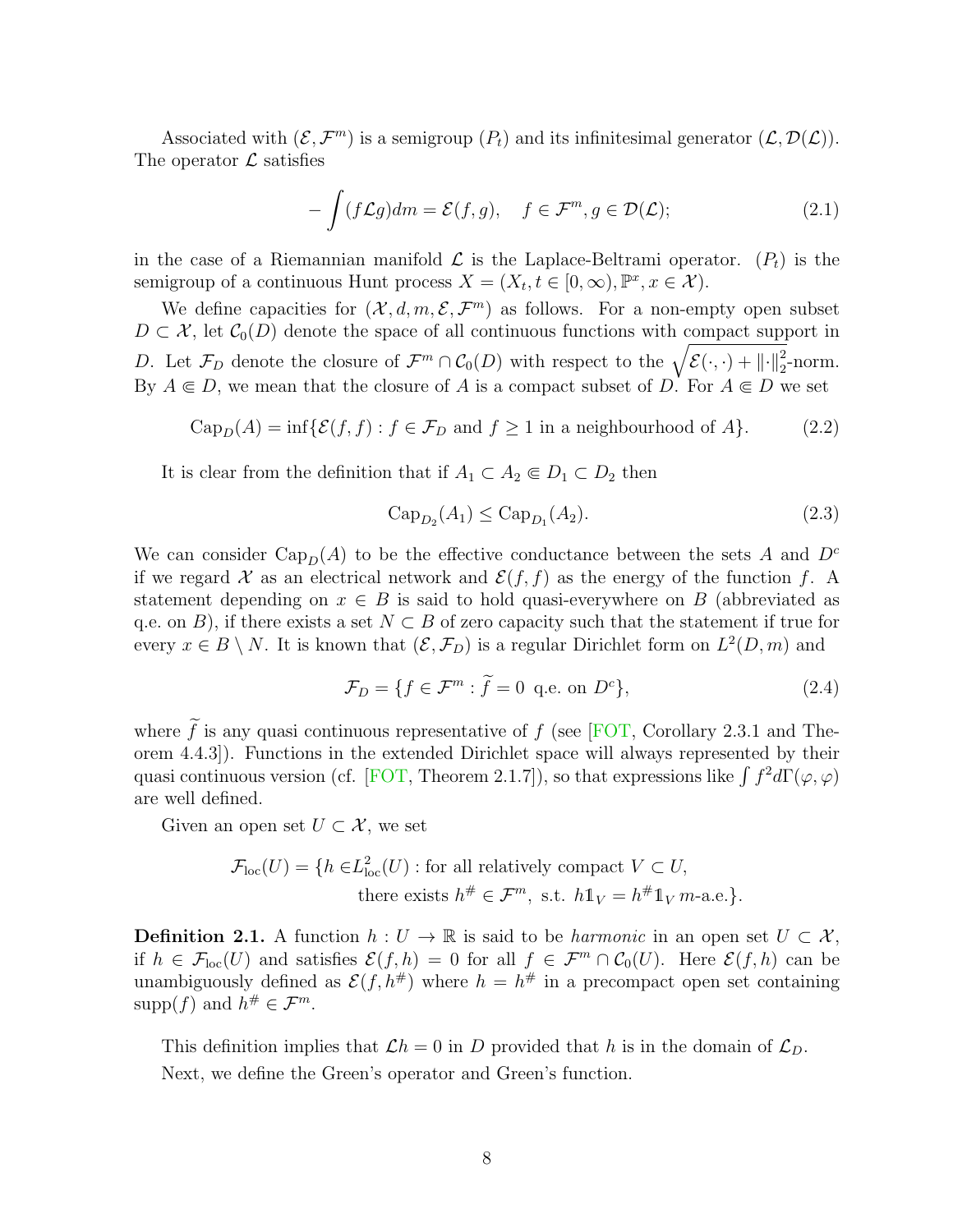Associated with  $(\mathcal{E}, \mathcal{F}^m)$  is a semigroup  $(P_t)$  and its infinitesimal generator  $(\mathcal{L}, \mathcal{D}(\mathcal{L}))$ . The operator  $\mathcal L$  satisfies

$$
-\int (f\mathcal{L}g)dm = \mathcal{E}(f,g), \quad f \in \mathcal{F}^m, g \in \mathcal{D}(\mathcal{L});
$$
\n(2.1)

in the case of a Riemannian manifold  $\mathcal L$  is the Laplace-Beltrami operator.  $(P_t)$  is the semigroup of a continuous Hunt process  $X = (X_t, t \in [0, \infty), \mathbb{P}^x, x \in \mathcal{X})$ .

We define capacities for  $(\mathcal{X}, d, m, \mathcal{E}, \mathcal{F}^m)$  as follows. For a non-empty open subset  $D \subset \mathcal{X}$ , let  $\mathcal{C}_0(D)$  denote the space of all continuous functions with compact support in D. Let  $\mathcal{F}_D$  denote the closure of  $\mathcal{F}^m \cap \mathcal{C}_0(D)$  with respect to the  $\sqrt{\mathcal{E}(\cdot,\cdot) + ||\cdot||_2^2}$ -norm. By  $A \subseteq D$ , we mean that the closure of A is a compact subset of D. For  $A \subseteq D$  we set

<span id="page-7-0"></span>
$$
\text{Cap}_D(A) = \inf \{ \mathcal{E}(f, f) : f \in \mathcal{F}_D \text{ and } f \ge 1 \text{ in a neighbourhood of } A \}. \tag{2.2}
$$

It is clear from the definition that if  $A_1 \subset A_2 \subset D_1 \subset D_2$  then

$$
Cap_{D_2}(A_1) \le Cap_{D_1}(A_2). \tag{2.3}
$$

We can consider Cap<sub>D</sub>(A) to be the effective conductance between the sets A and  $D^c$ if we regard X as an electrical network and  $\mathcal{E}(f, f)$  as the energy of the function f. A statement depending on  $x \in B$  is said to hold quasi-everywhere on B (abbreviated as q.e. on B), if there exists a set  $N \subset B$  of zero capacity such that the statement if true for every  $x \in B \setminus N$ . It is known that  $(\mathcal{E}, \mathcal{F}_D)$  is a regular Dirichlet form on  $L^2(D, m)$  and

$$
\mathcal{F}_D = \{ f \in \mathcal{F}^m : \tilde{f} = 0 \text{ q.e. on } D^c \},\tag{2.4}
$$

where  $\tilde{f}$  is any quasi continuous representative of f (see [\[FOT,](#page-39-10) Corollary 2.3.1 and Theorem 4.4.3]). Functions in the extended Dirichlet space will always represented by their quasi continuous version (cf. [\[FOT,](#page-39-10) Theorem 2.1.7]), so that expressions like  $\int f^2 d\Gamma(\varphi,\varphi)$ are well defined.

Given an open set  $U \subset \mathcal{X}$ , we set

$$
\mathcal{F}_{loc}(U) = \{ h \in L^2_{loc}(U) : \text{for all relatively compact } V \subset U,
$$
  
there exists  $h^{\#} \in \mathcal{F}^m$ , s.t.  $h1_V = h^{\#}1_V m$ -a.e. \}.

**Definition 2.1.** A function  $h: U \to \mathbb{R}$  is said to be *harmonic* in an open set  $U \subset \mathcal{X}$ , if  $h \in \mathcal{F}_{loc}(U)$  and satisfies  $\mathcal{E}(f, h) = 0$  for all  $f \in \mathcal{F}^m \cap \mathcal{C}_0(U)$ . Here  $\mathcal{E}(f, h)$  can be unambiguously defined as  $\mathcal{E}(f, h^{\#})$  where  $h = h^{\#}$  in a precompact open set containing supp(f) and  $h^{\#} \in \mathcal{F}^m$ .

This definition implies that  $\mathcal{L}h = 0$  in D provided that h is in the domain of  $\mathcal{L}_D$ . Next, we define the Green's operator and Green's function.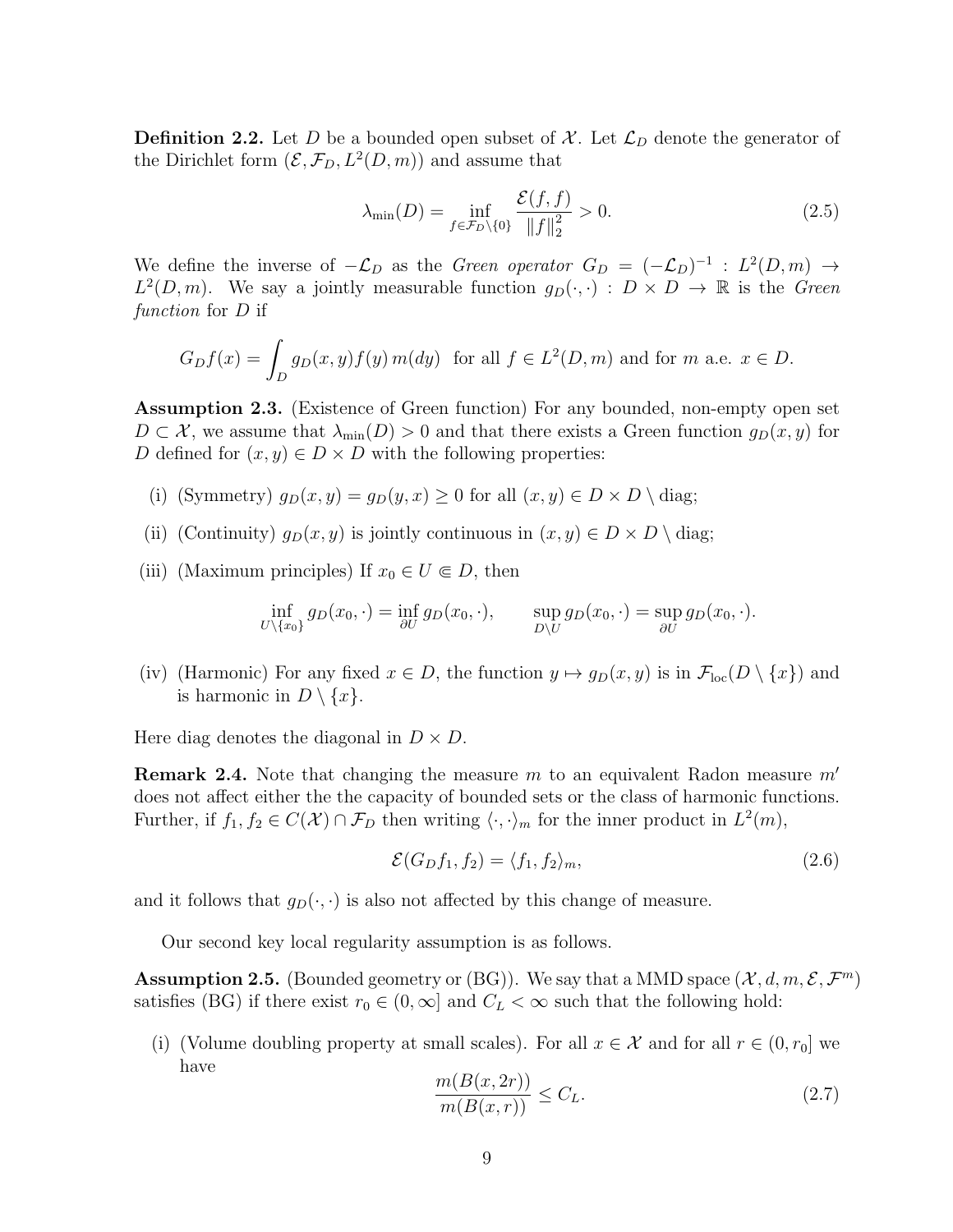**Definition 2.2.** Let D be a bounded open subset of X. Let  $\mathcal{L}_D$  denote the generator of the Dirichlet form  $(\mathcal{E}, \mathcal{F}_D, L^2(D, m))$  and assume that

$$
\lambda_{\min}(D) = \inf_{f \in \mathcal{F}_D \setminus \{0\}} \frac{\mathcal{E}(f, f)}{\|f\|_2^2} > 0. \tag{2.5}
$$

We define the inverse of  $-\mathcal{L}_D$  as the *Green operator*  $G_D = (-\mathcal{L}_D)^{-1}$  :  $L^2(D,m) \rightarrow$  $L^2(D,m)$ . We say a jointly measurable function  $g_D(\cdot,\cdot) : D \times D \to \mathbb{R}$  is the Green function for D if

$$
G_D f(x) = \int_D g_D(x, y) f(y) m(dy) \text{ for all } f \in L^2(D, m) \text{ and for } m \text{ a.e. } x \in D.
$$

<span id="page-8-0"></span>Assumption 2.3. (Existence of Green function) For any bounded, non-empty open set  $D \subset \mathcal{X}$ , we assume that  $\lambda_{\min}(D) > 0$  and that there exists a Green function  $g_D(x, y)$  for D defined for  $(x, y) \in D \times D$  with the following properties:

- (i) (Symmetry)  $q_D(x, y) = q_D(y, x) \ge 0$  for all  $(x, y) \in D \times D \setminus$  diag;
- (ii) (Continuity)  $g_D(x, y)$  is jointly continuous in  $(x, y) \in D \times D \setminus$  diag;
- (iii) (Maximum principles) If  $x_0 \in U \subseteq D$ , then

$$
\inf_{U \setminus \{x_0\}} g_D(x_0, \cdot) = \inf_{\partial U} g_D(x_0, \cdot), \qquad \sup_{D \setminus U} g_D(x_0, \cdot) = \sup_{\partial U} g_D(x_0, \cdot).
$$

(iv) (Harmonic) For any fixed  $x \in D$ , the function  $y \mapsto g_D(x, y)$  is in  $\mathcal{F}_{loc}(D \setminus \{x\})$  and is harmonic in  $D \setminus \{x\}.$ 

Here diag denotes the diagonal in  $D \times D$ .

**Remark 2.4.** Note that changing the measure  $m$  to an equivalent Radon measure  $m'$ does not affect either the the capacity of bounded sets or the class of harmonic functions. Further, if  $f_1, f_2 \in C(\mathcal{X}) \cap \mathcal{F}_D$  then writing  $\langle \cdot, \cdot \rangle_m$  for the inner product in  $L^2(m)$ ,

$$
\mathcal{E}(G_D f_1, f_2) = \langle f_1, f_2 \rangle_m,\tag{2.6}
$$

and it follows that  $g_D(\cdot, \cdot)$  is also not affected by this change of measure.

Our second key local regularity assumption is as follows.

<span id="page-8-1"></span>**Assumption 2.5.** (Bounded geometry or (BG)). We say that a MMD space  $(\mathcal{X}, d, m, \mathcal{E}, \mathcal{F}^m)$ satisfies (BG) if there exist  $r_0 \in (0,\infty]$  and  $C_L < \infty$  such that the following hold:

(i) (Volume doubling property at small scales). For all  $x \in \mathcal{X}$  and for all  $r \in (0, r_0]$  we have

<span id="page-8-3"></span><span id="page-8-2"></span>
$$
\frac{m(B(x,2r))}{m(B(x,r))} \le C_L. \tag{2.7}
$$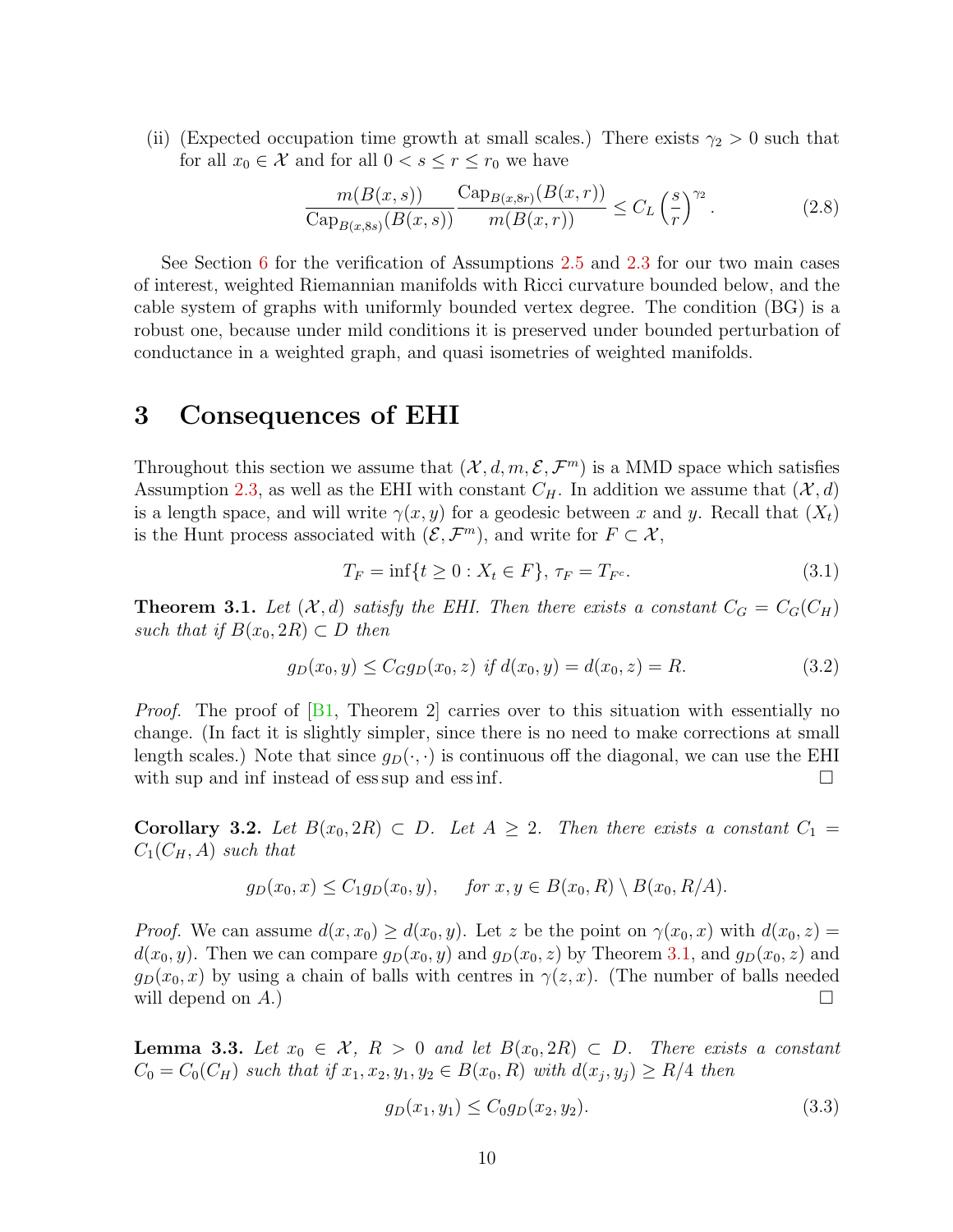(ii) (Expected occupation time growth at small scales.) There exists  $\gamma_2 > 0$  such that for all  $x_0 \in \mathcal{X}$  and for all  $0 < s \le r \le r_0$  we have

<span id="page-9-4"></span>
$$
\frac{m(B(x,s))}{\text{Cap}_{B(x,8s)}(B(x,s))} \frac{\text{Cap}_{B(x,8r)}(B(x,r))}{m(B(x,r))} \le C_L \left(\frac{s}{r}\right)^{\gamma_2}.
$$
\n(2.8)

See Section [6](#page-31-0) for the verification of Assumptions [2.5](#page-8-1) and [2.3](#page-8-0) for our two main cases of interest, weighted Riemannian manifolds with Ricci curvature bounded below, and the cable system of graphs with uniformly bounded vertex degree. The condition (BG) is a robust one, because under mild conditions it is preserved under bounded perturbation of conductance in a weighted graph, and quasi isometries of weighted manifolds.

### <span id="page-9-0"></span>3 Consequences of EHI

Throughout this section we assume that  $(\mathcal{X}, d, m, \mathcal{E}, \mathcal{F}^m)$  is a MMD space which satisfies Assumption [2.3,](#page-8-0) as well as the EHI with constant  $C_H$ . In addition we assume that  $(\mathcal{X}, d)$ is a length space, and will write  $\gamma(x, y)$  for a geodesic between x and y. Recall that  $(X_t)$ is the Hunt process associated with  $(\mathcal{E}, \mathcal{F}^m)$ , and write for  $F \subset \mathcal{X}$ ,

$$
T_F = \inf\{t \ge 0 : X_t \in F\}, \tau_F = T_{F^c}.
$$
\n(3.1)

<span id="page-9-1"></span>**Theorem 3.1.** Let  $(X, d)$  satisfy the EHI. Then there exists a constant  $C_G = C_G(C_H)$ such that if  $B(x_0, 2R) \subset D$  then

$$
g_D(x_0, y) \le C_G g_D(x_0, z) \text{ if } d(x_0, y) = d(x_0, z) = R. \tag{3.2}
$$

*Proof.* The proof of  $[B1,$  Theorem 2 carries over to this situation with essentially no change. (In fact it is slightly simpler, since there is no need to make corrections at small length scales.) Note that since  $g_D(\cdot, \cdot)$  is continuous off the diagonal, we can use the EHI with sup and inf instead of ess sup and ess inf.  $\Box$ 

<span id="page-9-2"></span>Corollary 3.2. Let  $B(x_0, 2R) \subset D$ . Let  $A \geq 2$ . Then there exists a constant  $C_1 =$  $C_1(C_H, A)$  such that

$$
g_D(x_0, x) \le C_1 g_D(x_0, y), \quad \text{for } x, y \in B(x_0, R) \setminus B(x_0, R/A).
$$

*Proof.* We can assume  $d(x, x_0) \geq d(x_0, y)$ . Let z be the point on  $\gamma(x_0, x)$  with  $d(x_0, z) =$  $d(x_0, y)$ . Then we can compare  $g_D(x_0, y)$  and  $g_D(x_0, z)$  by Theorem [3.1,](#page-9-1) and  $g_D(x_0, z)$  and  $g_D(x_0, x)$  by using a chain of balls with centres in  $\gamma(z, x)$ . (The number of balls needed will depend on  $A$ .)

<span id="page-9-3"></span>**Lemma 3.3.** Let  $x_0 \in \mathcal{X}$ ,  $R > 0$  and let  $B(x_0, 2R) \subset D$ . There exists a constant  $C_0 = C_0(C_H)$  such that if  $x_1, x_2, y_1, y_2 \in B(x_0, R)$  with  $d(x_j, y_j) \ge R/4$  then

$$
g_D(x_1, y_1) \le C_0 g_D(x_2, y_2). \tag{3.3}
$$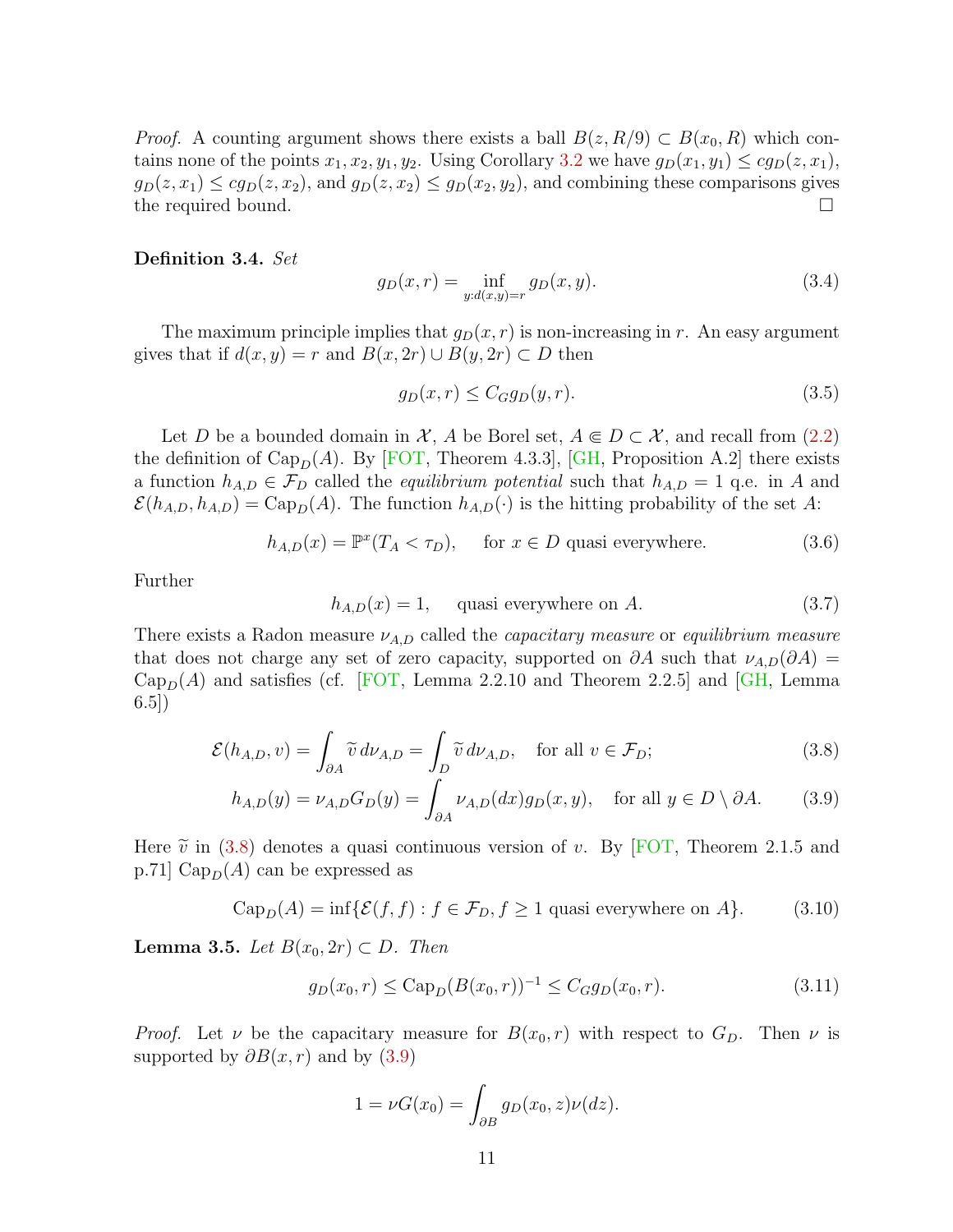*Proof.* A counting argument shows there exists a ball  $B(z, R/9) \subset B(x_0, R)$  which contains none of the points  $x_1, x_2, y_1, y_2$ . Using Corollary [3.2](#page-9-2) we have  $g_D(x_1, y_1) \leq cg_D(x, x_1)$ ,  $g_D(z, x_1) \leq c g_D(z, x_2)$ , and  $g_D(z, x_2) \leq g_D(x_2, y_2)$ , and combining these comparisons gives the required bound.

Definition 3.4. Set

$$
g_D(x,r) = \inf_{y:d(x,y)=r} g_D(x,y).
$$
 (3.4)

The maximum principle implies that  $g_D(x, r)$  is non-increasing in r. An easy argument gives that if  $d(x, y) = r$  and  $B(x, 2r) \cup B(y, 2r) \subset D$  then

$$
g_D(x,r) \le C_G g_D(y,r). \tag{3.5}
$$

Let D be a bounded domain in X, A be Borel set,  $A \subseteq D \subset X$ , and recall from [\(2.2\)](#page-7-0) the definition of  $\text{Cap}_D(A)$ . By [\[FOT,](#page-39-10) Theorem 4.3.3], [\[GH,](#page-40-4) Proposition A.2] there exists a function  $h_{A,D} \in \mathcal{F}_D$  called the *equilibrium potential* such that  $h_{A,D} = 1$  q.e. in A and  $\mathcal{E}(h_{A,D}, h_{A,D}) = \text{Cap}_D(A)$ . The function  $h_{A,D}(\cdot)$  is the hitting probability of the set A:

<span id="page-10-3"></span>
$$
h_{A,D}(x) = \mathbb{P}^x(T_A < \tau_D), \quad \text{for } x \in D \text{ quasi everywhere.} \tag{3.6}
$$

Further

<span id="page-10-1"></span><span id="page-10-0"></span>
$$
h_{A,D}(x) = 1, \quad \text{ quasi everywhere on } A. \tag{3.7}
$$

There exists a Radon measure  $\nu_{A,D}$  called the *capacitary measure* or *equilibrium measure* that does not charge any set of zero capacity, supported on  $\partial A$  such that  $\nu_{A,D}(\partial A) =$  $Cap<sub>D</sub>(A)$  and satisfies (cf. [\[FOT,](#page-39-10) Lemma 2.2.10 and Theorem 2.2.5] and [\[GH,](#page-40-4) Lemma 6.5])

$$
\mathcal{E}(h_{A,D}, v) = \int_{\partial A} \widetilde{v} \, d\nu_{A,D} = \int_{D} \widetilde{v} \, d\nu_{A,D}, \quad \text{for all } v \in \mathcal{F}_D; \tag{3.8}
$$

$$
h_{A,D}(y) = \nu_{A,D} G_D(y) = \int_{\partial A} \nu_{A,D}(dx) g_D(x, y), \quad \text{for all } y \in D \setminus \partial A. \tag{3.9}
$$

Here  $\tilde{v}$  in [\(3.8\)](#page-10-0) denotes a quasi continuous version of v. By [\[FOT,](#page-39-10) Theorem 2.1.5 and p.71]  $Cap<sub>D</sub>(A)$  can be expressed as

<span id="page-10-4"></span>
$$
CapD(A) = inf{E(f, f) : f \in \mathcal{F}_D, f \ge 1 \text{ quasi everywhere on } A}.
$$
 (3.10)

<span id="page-10-2"></span>**Lemma 3.5.** Let  $B(x_0, 2r) \subset D$ . Then

$$
g_D(x_0, r) \leq \text{Cap}_D(B(x_0, r))^{-1} \leq C_G g_D(x_0, r). \tag{3.11}
$$

*Proof.* Let  $\nu$  be the capacitary measure for  $B(x_0, r)$  with respect to  $G_D$ . Then  $\nu$  is supported by  $\partial B(x, r)$  and by [\(3.9\)](#page-10-1)

$$
1 = \nu G(x_0) = \int_{\partial B} g_D(x_0, z) \nu(dz).
$$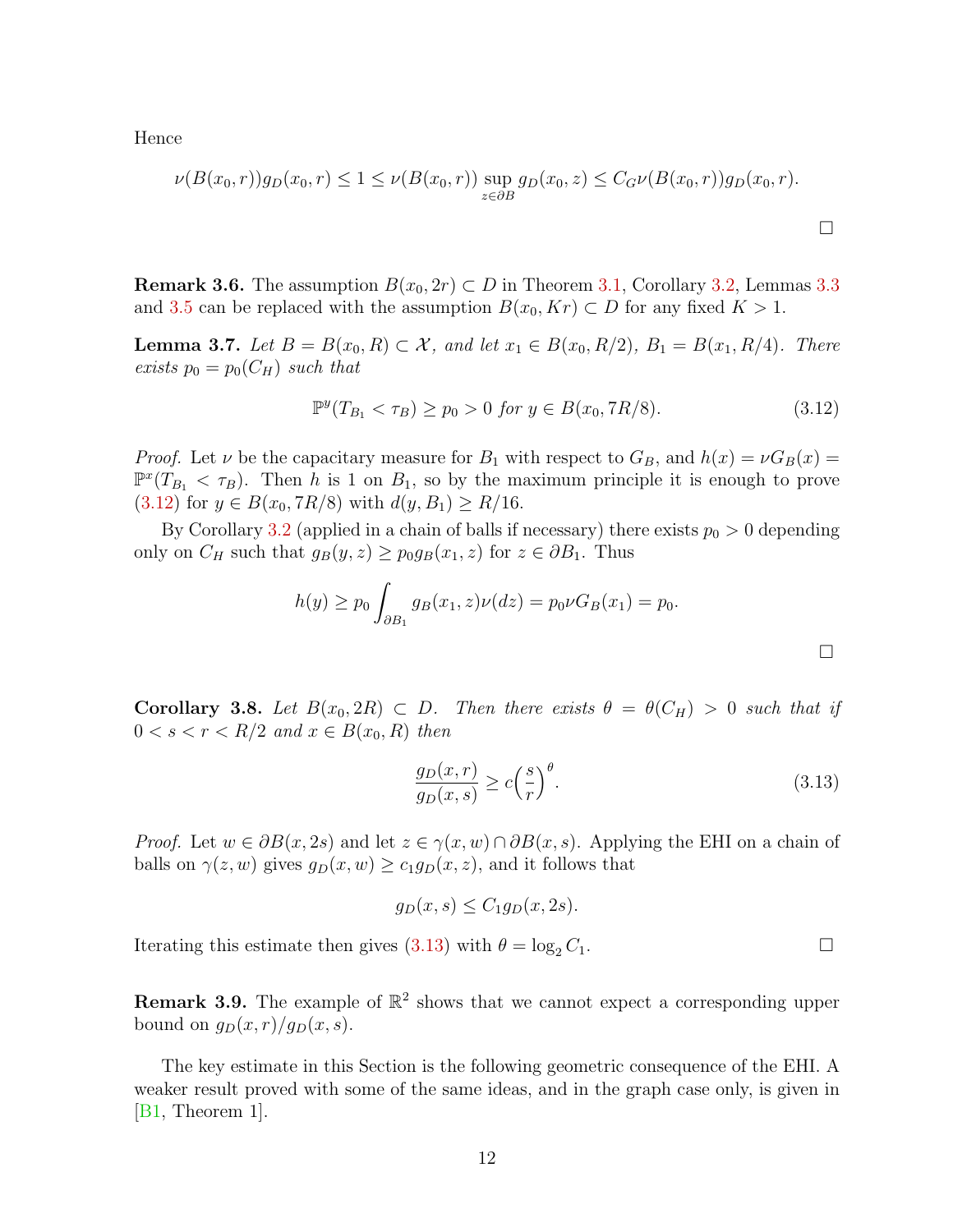Hence

$$
\nu(B(x_0,r))g_D(x_0,r) \le 1 \le \nu(B(x_0,r)) \sup_{z \in \partial B} g_D(x_0,z) \le C_G \nu(B(x_0,r))g_D(x_0,r).
$$

**Remark 3.6.** The assumption  $B(x_0, 2r) \subset D$  in Theorem [3.1,](#page-9-1) Corollary [3.2,](#page-9-2) Lemmas [3.3](#page-9-3) and [3.5](#page-10-2) can be replaced with the assumption  $B(x_0, Kr) \subset D$  for any fixed  $K > 1$ .

<span id="page-11-2"></span>**Lemma 3.7.** Let  $B = B(x_0, R) \subset \mathcal{X}$ , and let  $x_1 \in B(x_0, R/2)$ ,  $B_1 = B(x_1, R/4)$ . There exists  $p_0 = p_0(C_H)$  such that

<span id="page-11-0"></span>
$$
\mathbb{P}^y(T_{B_1} < \tau_B) \ge p_0 > 0 \text{ for } y \in B(x_0, 7R/8). \tag{3.12}
$$

*Proof.* Let  $\nu$  be the capacitary measure for  $B_1$  with respect to  $G_B$ , and  $h(x) = \nu G_B(x)$  $\mathbb{P}^{x}(T_{B_1} < \tau_B)$ . Then h is 1 on  $B_1$ , so by the maximum principle it is enough to prove  $(3.12)$  for  $y \in B(x_0, 7R/8)$  with  $d(y, B_1) \ge R/16$ .

By Corollary [3.2](#page-9-2) (applied in a chain of balls if necessary) there exists  $p_0 > 0$  depending only on  $C_H$  such that  $g_B(y, z) \geq p_0 g_B(x_1, z)$  for  $z \in \partial B_1$ . Thus

$$
h(y) \ge p_0 \int_{\partial B_1} g_B(x_1, z) \nu(dz) = p_0 \nu G_B(x_1) = p_0.
$$

Corollary 3.8. Let  $B(x_0, 2R) \subset D$ . Then there exists  $\theta = \theta(C_H) > 0$  such that if  $0 < s < r < R/2$  and  $x \in B(x_0, R)$  then

<span id="page-11-1"></span>
$$
\frac{g_D(x,r)}{g_D(x,s)} \ge c \left(\frac{s}{r}\right)^{\theta}.\tag{3.13}
$$

*Proof.* Let  $w \in \partial B(x, 2s)$  and let  $z \in \gamma(x, w) \cap \partial B(x, s)$ . Applying the EHI on a chain of balls on  $\gamma(z, w)$  gives  $g_D(x, w) \geq c_1 g_D(x, z)$ , and it follows that

$$
g_D(x,s) \le C_1 g_D(x,2s).
$$

Iterating this estimate then gives [\(3.13\)](#page-11-1) with  $\theta = \log_2 C_1$ .

**Remark 3.9.** The example of  $\mathbb{R}^2$  shows that we cannot expect a corresponding upper bound on  $g_D(x, r)/g_D(x, s)$ .

The key estimate in this Section is the following geometric consequence of the EHI. A weaker result proved with some of the same ideas, and in the graph case only, is given in [\[B1,](#page-38-3) Theorem 1].

 $\Box$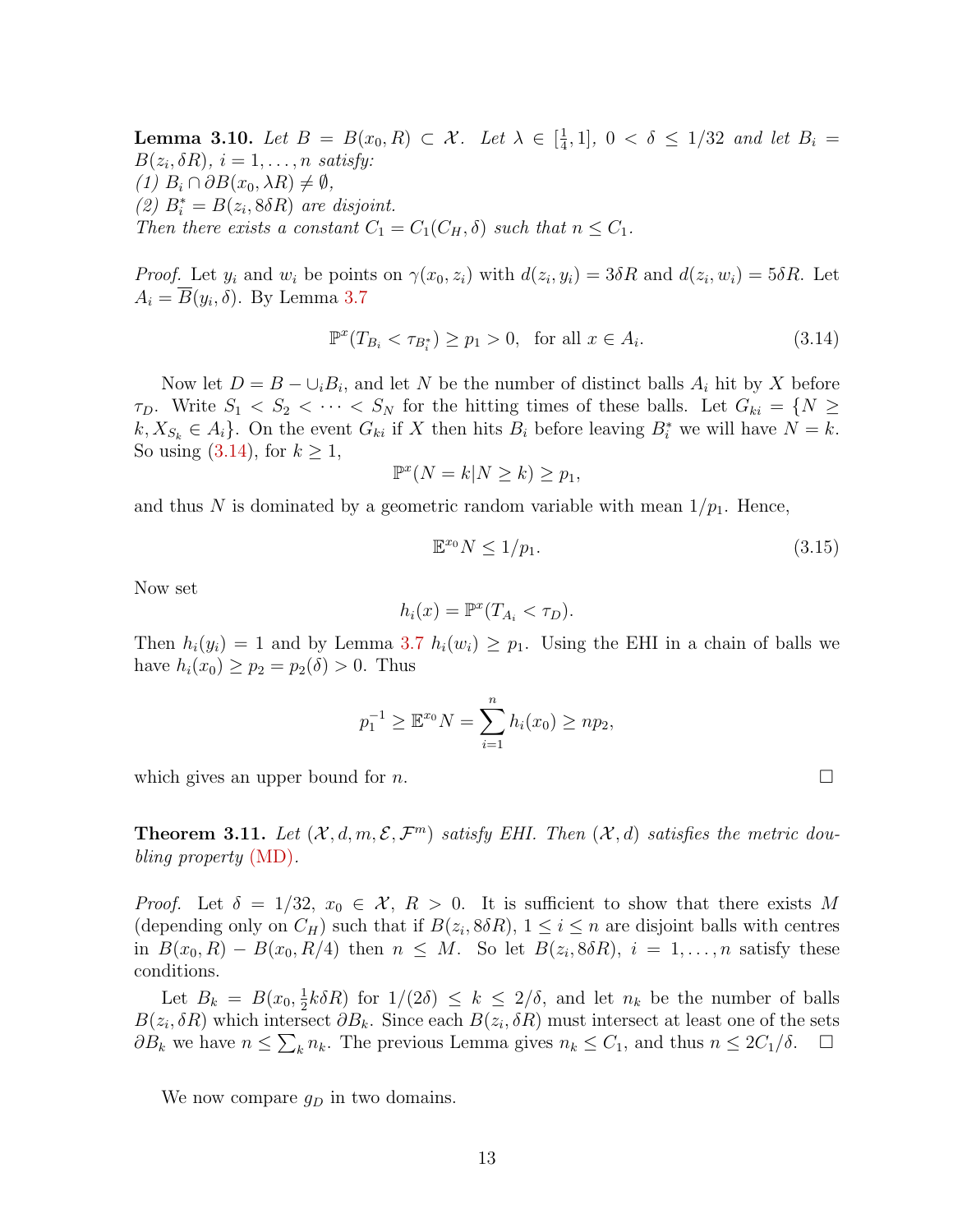**Lemma 3.10.** Let  $B = B(x_0, R) \subset \mathcal{X}$ . Let  $\lambda \in \left[\frac{1}{4}\right]$  $\frac{1}{4}$ , 1],  $0 < \delta \leq 1/32$  and let  $B_i =$  $B(z_i, \delta R)$ ,  $i = 1, \ldots, n$  satisfy:  $(1)$   $B_i \cap \partial B(x_0, \lambda R) \neq \emptyset$ , (2)  $B_i^* = B(z_i, 8\delta R)$  are disjoint. Then there exists a constant  $C_1 = C_1(C_H, \delta)$  such that  $n \leq C_1$ .

*Proof.* Let  $y_i$  and  $w_i$  be points on  $\gamma(x_0, z_i)$  with  $d(z_i, y_i) = 3\delta R$  and  $d(z_i, w_i) = 5\delta R$ . Let  $A_i = \overline{B}(y_i, \delta)$ . By Lemma [3.7](#page-11-2)

<span id="page-12-1"></span>
$$
\mathbb{P}^x(T_{B_i} < \tau_{B_i^*}) \ge p_1 > 0, \quad \text{for all } x \in A_i. \tag{3.14}
$$

Now let  $D = B - \bigcup_i B_i$ , and let N be the number of distinct balls  $A_i$  hit by X before  $\tau_D$ . Write  $S_1 < S_2 < \cdots < S_N$  for the hitting times of these balls. Let  $G_{ki} = \{N \geq 1\}$  $k, X_{S_k} \in A_i$ . On the event  $G_{ki}$  if X then hits  $B_i$  before leaving  $B_i^*$  we will have  $N = k$ . So using  $(3.14)$ , for  $k \geq 1$ ,

$$
\mathbb{P}^x(N=k|N\geq k)\geq p_1,
$$

and thus N is dominated by a geometric random variable with mean  $1/p_1$ . Hence,

$$
\mathbb{E}^{x_0} N \le 1/p_1. \tag{3.15}
$$

Now set

$$
h_i(x) = \mathbb{P}^x(T_{A_i} < \tau_D).
$$

Then  $h_i(y_i) = 1$  and by Lemma [3.7](#page-11-2)  $h_i(w_i) \geq p_1$ . Using the EHI in a chain of balls we have  $h_i(x_0) \ge p_2 = p_2(\delta) > 0$ . Thus

$$
p_1^{-1} \ge \mathbb{E}^{x_0} N = \sum_{i=1}^n h_i(x_0) \ge np_2,
$$

which gives an upper bound for  $n$ .

<span id="page-12-0"></span>**Theorem 3.11.** Let  $(X, d, m, \mathcal{E}, \mathcal{F}^m)$  satisfy EHI. Then  $(X, d)$  satisfies the metric doubling property [\(MD\)](#page-5-1).

*Proof.* Let  $\delta = 1/32$ ,  $x_0 \in \mathcal{X}$ ,  $R > 0$ . It is sufficient to show that there exists M (depending only on  $C_H$ ) such that if  $B(z_i, 8\delta R)$ ,  $1 \leq i \leq n$  are disjoint balls with centres in  $B(x_0, R) - B(x_0, R/4)$  then  $n \leq M$ . So let  $B(z_i, 8\delta R)$ ,  $i = 1, \ldots, n$  satisfy these conditions.

Let  $B_k = B(x_0, \frac{1}{2})$  $\frac{1}{2}k\delta R$  for  $1/(2\delta) \leq k \leq 2/\delta$ , and let  $n_k$  be the number of balls  $B(z_i, \delta R)$  which intersect  $\partial B_k$ . Since each  $B(z_i, \delta R)$  must intersect at least one of the sets  $\partial B_k$  we have  $n \leq \sum_k n_k$ . The previous Lemma gives  $n_k \leq C_1$ , and thus  $n \leq 2C_1/\delta$ .  $\Box$ 

We now compare  $g_D$  in two domains.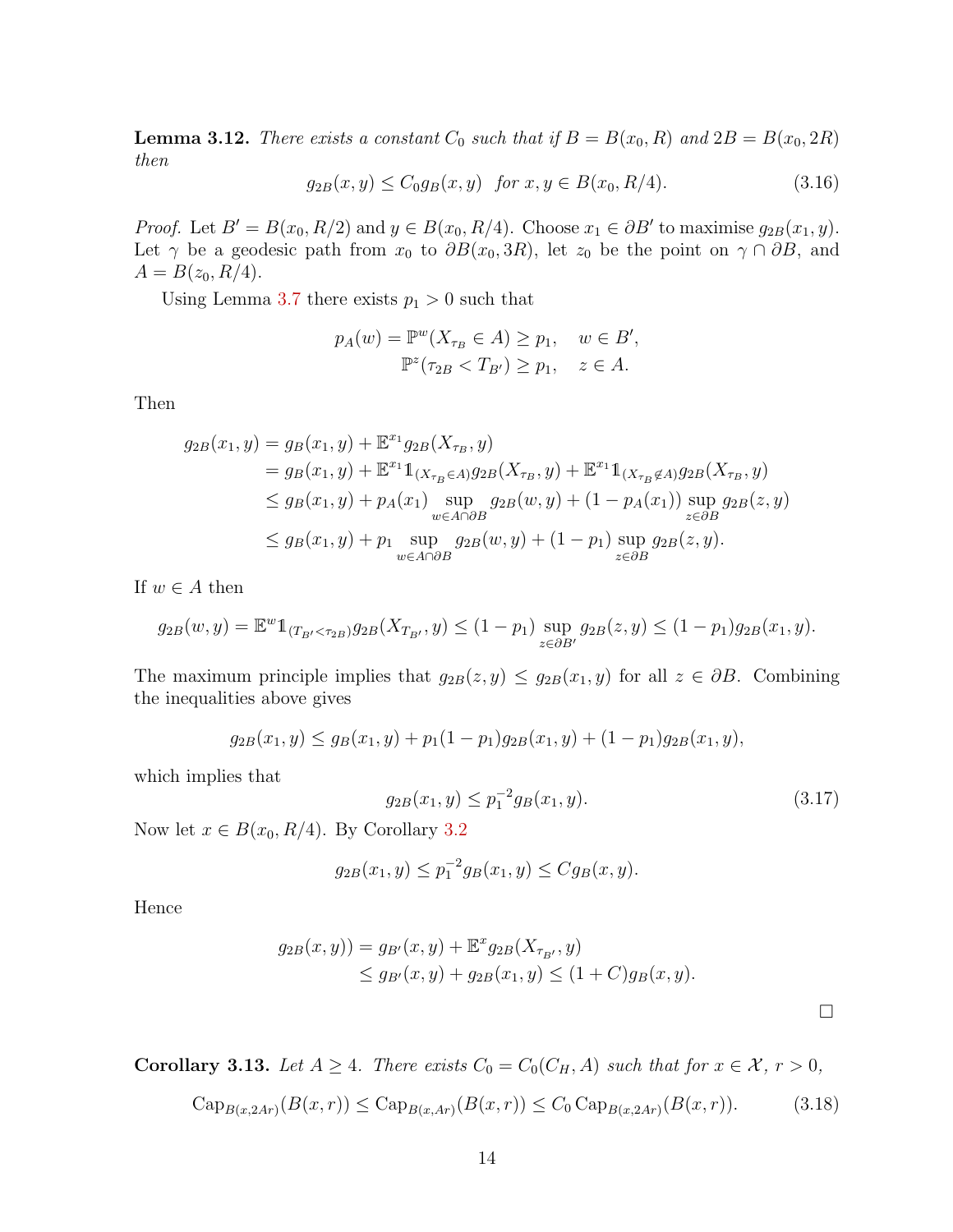<span id="page-13-0"></span>**Lemma 3.12.** There exists a constant  $C_0$  such that if  $B = B(x_0, R)$  and  $2B = B(x_0, 2R)$ then

$$
g_{2B}(x,y) \le C_0 g_B(x,y) \quad \text{for } x, y \in B(x_0, R/4). \tag{3.16}
$$

*Proof.* Let  $B' = B(x_0, R/2)$  and  $y \in B(x_0, R/4)$ . Choose  $x_1 \in \partial B'$  to maximise  $g_{2B}(x_1, y)$ . Let  $\gamma$  be a geodesic path from  $x_0$  to  $\partial B(x_0, 3R)$ , let  $z_0$  be the point on  $\gamma \cap \partial B$ , and  $A = B(z_0, R/4).$ 

Using Lemma [3.7](#page-11-2) there exists  $p_1 > 0$  such that

$$
p_A(w) = \mathbb{P}^w(X_{\tau_B} \in A) \ge p_1, \quad w \in B',
$$
  

$$
\mathbb{P}^z(\tau_{2B} < T_{B'}) \ge p_1, \quad z \in A.
$$

Then

$$
g_{2B}(x_1, y) = g_B(x_1, y) + \mathbb{E}^{x_1} g_{2B}(X_{\tau_B}, y)
$$
  
\n
$$
= g_B(x_1, y) + \mathbb{E}^{x_1} \mathbb{1}_{(X_{\tau_B} \in A)} g_{2B}(X_{\tau_B}, y) + \mathbb{E}^{x_1} \mathbb{1}_{(X_{\tau_B} \notin A)} g_{2B}(X_{\tau_B}, y)
$$
  
\n
$$
\le g_B(x_1, y) + p_A(x_1) \sup_{w \in A \cap \partial B} g_{2B}(w, y) + (1 - p_A(x_1)) \sup_{z \in \partial B} g_{2B}(z, y)
$$
  
\n
$$
\le g_B(x_1, y) + p_1 \sup_{w \in A \cap \partial B} g_{2B}(w, y) + (1 - p_1) \sup_{z \in \partial B} g_{2B}(z, y).
$$

If  $w \in A$  then

$$
g_{2B}(w, y) = \mathbb{E}^{w} 1_{(T_{B'} < \tau_{2B})} g_{2B}(X_{T_{B'}}, y) \le (1 - p_1) \sup_{z \in \partial B'} g_{2B}(z, y) \le (1 - p_1) g_{2B}(x_1, y).
$$

The maximum principle implies that  $g_{2B}(z, y) \leq g_{2B}(x_1, y)$  for all  $z \in \partial B$ . Combining the inequalities above gives

$$
g_{2B}(x_1, y) \le g_B(x_1, y) + p_1(1 - p_1)g_{2B}(x_1, y) + (1 - p_1)g_{2B}(x_1, y),
$$

which implies that

$$
g_{2B}(x_1, y) \le p_1^{-2} g_B(x_1, y). \tag{3.17}
$$

 $\Box$ 

Now let  $x \in B(x_0, R/4)$ . By Corollary [3.2](#page-9-2)

$$
g_{2B}(x_1, y) \le p_1^{-2} g_B(x_1, y) \le C g_B(x, y).
$$

Hence

$$
g_{2B}(x,y)) = g_{B'}(x,y) + \mathbb{E}^x g_{2B}(X_{\tau_{B'}}, y)
$$
  
\n
$$
\leq g_{B'}(x,y) + g_{2B}(x_1,y) \leq (1+C)g_B(x,y).
$$

<span id="page-13-1"></span>**Corollary 3.13.** Let  $A \geq 4$ . There exists  $C_0 = C_0(C_H, A)$  such that for  $x \in \mathcal{X}$ ,  $r > 0$ ,

$$
Cap_{B(x,2Ar)}(B(x,r)) \le Cap_{B(x,Ar)}(B(x,r)) \le C_0 Cap_{B(x,2Ar)}(B(x,r)).
$$
\n(3.18)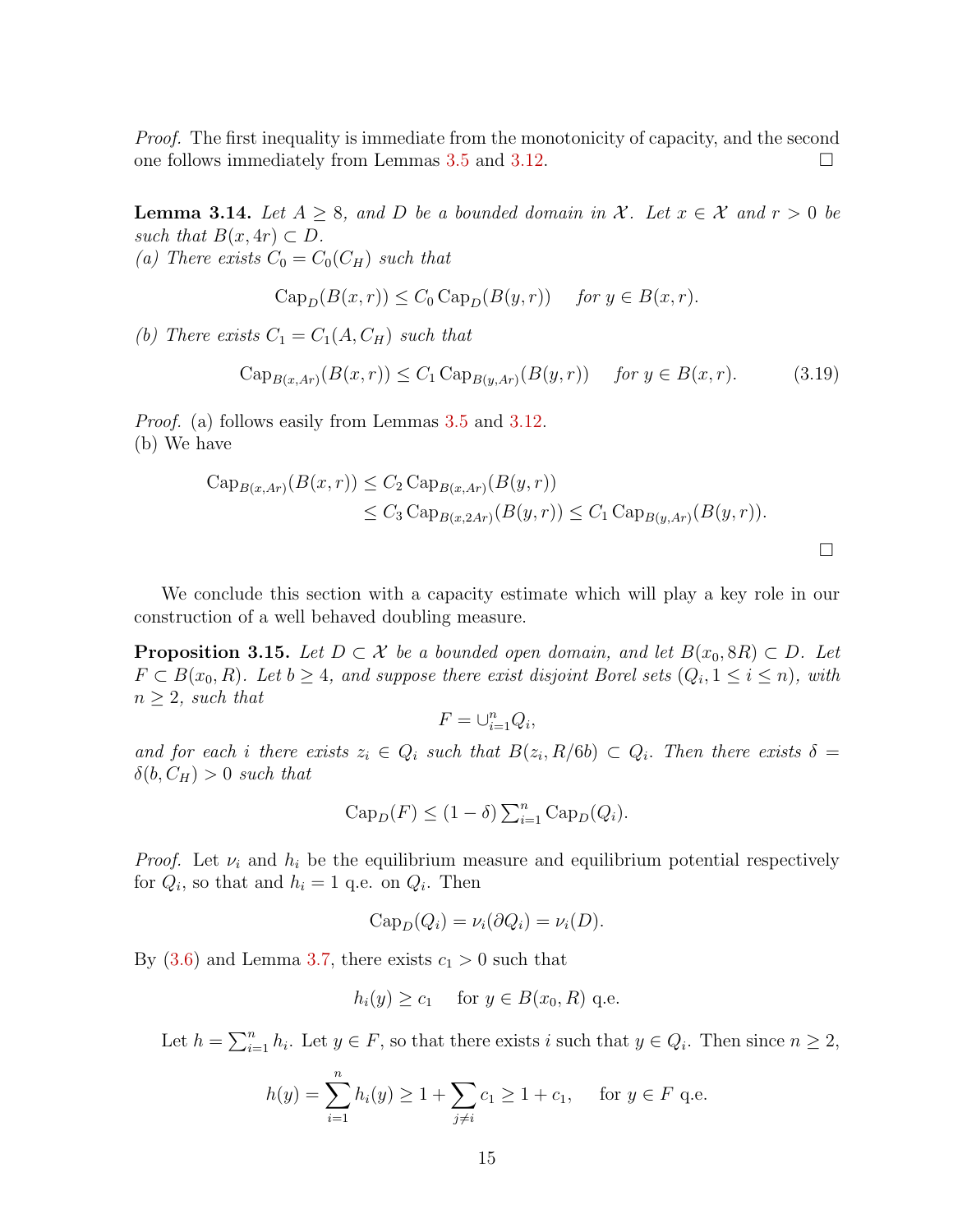Proof. The first inequality is immediate from the monotonicity of capacity, and the second one follows immediately from Lemmas [3.5](#page-10-2) and [3.12.](#page-13-0)

**Lemma 3.14.** Let  $A \geq 8$ , and D be a bounded domain in X. Let  $x \in \mathcal{X}$  and  $r > 0$  be such that  $B(x, 4r) \subset D$ . (a) There exists  $C_0 = C_0(C_H)$  such that

$$
Cap_D(B(x,r)) \le C_0 Cap_D(B(y,r)) \quad \text{for } y \in B(x,r).
$$

(b) There exists  $C_1 = C_1(A, C_H)$  such that

$$
\text{Cap}_{B(x,Ar)}(B(x,r)) \le C_1 \text{Cap}_{B(y,Ar)}(B(y,r)) \quad \text{for } y \in B(x,r). \tag{3.19}
$$

Proof. (a) follows easily from Lemmas [3.5](#page-10-2) and [3.12.](#page-13-0) (b) We have

$$
\begin{aligned} \operatorname{Cap}_{B(x,Ar)}(B(x,r)) &\leq C_2 \operatorname{Cap}_{B(x,Ar)}(B(y,r)) \\ &\leq C_3 \operatorname{Cap}_{B(x,2Ar)}(B(y,r)) \leq C_1 \operatorname{Cap}_{B(y,Ar)}(B(y,r)). \end{aligned}
$$

We conclude this section with a capacity estimate which will play a key role in our construction of a well behaved doubling measure.

<span id="page-14-0"></span>**Proposition 3.15.** Let  $D \subset \mathcal{X}$  be a bounded open domain, and let  $B(x_0, 8R) \subset D$ . Let  $F \subset B(x_0, R)$ . Let  $b \geq 4$ , and suppose there exist disjoint Borel sets  $(Q_i, 1 \leq i \leq n)$ , with  $n \geq 2$ , such that

$$
F=\cup_{i=1}^n Q_i,
$$

and for each i there exists  $z_i \in Q_i$  such that  $B(z_i, R/6b) \subset Q_i$ . Then there exists  $\delta =$  $\delta(b, C_H) > 0$  such that

$$
Cap_D(F) \le (1 - \delta) \sum_{i=1}^n Cap_D(Q_i).
$$

*Proof.* Let  $\nu_i$  and  $h_i$  be the equilibrium measure and equilibrium potential respectively for  $Q_i$ , so that and  $h_i = 1$  q.e. on  $Q_i$ . Then

$$
Cap_D(Q_i) = \nu_i(\partial Q_i) = \nu_i(D).
$$

By  $(3.6)$  and Lemma [3.7,](#page-11-2) there exists  $c_1 > 0$  such that

$$
h_i(y) \ge c_1 \quad \text{ for } y \in B(x_0, R) \text{ q.e.}
$$

Let  $h = \sum_{i=1}^{n} h_i$ . Let  $y \in F$ , so that there exists i such that  $y \in Q_i$ . Then since  $n \geq 2$ ,

$$
h(y) = \sum_{i=1}^{n} h_i(y) \ge 1 + \sum_{j \ne i} c_1 \ge 1 + c_1, \quad \text{for } y \in F \text{ q.e.}
$$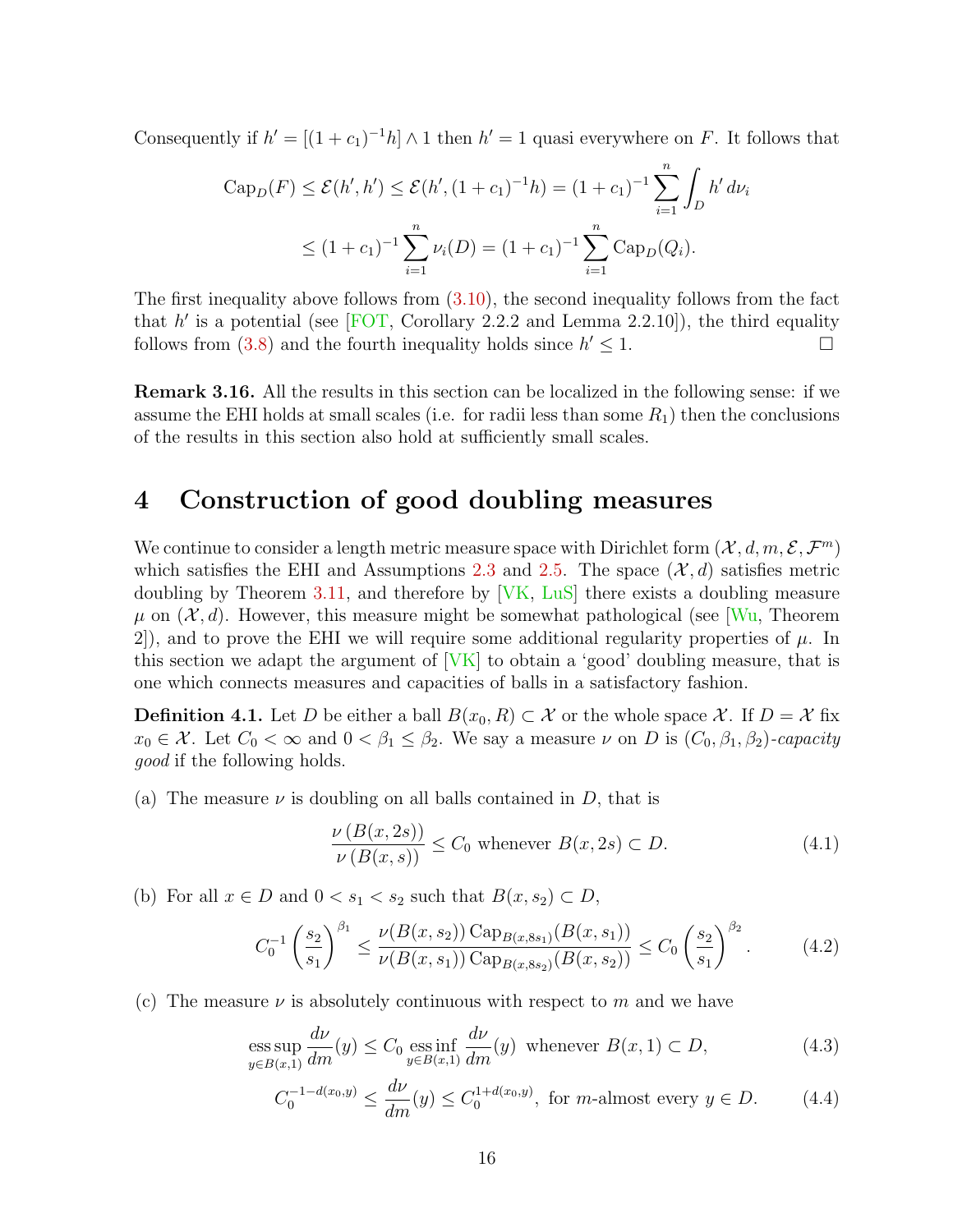Consequently if  $h' = [(1 + c_1)^{-1}h] \wedge 1$  then  $h' = 1$  quasi everywhere on F. It follows that

$$
\begin{aligned} \text{Cap}_D(F) &\le \mathcal{E}(h', h') \le \mathcal{E}(h', (1+c_1)^{-1}h) = (1+c_1)^{-1} \sum_{i=1}^n \int_D h' \, d\nu_i \\ &\le (1+c_1)^{-1} \sum_{i=1}^n \nu_i(D) = (1+c_1)^{-1} \sum_{i=1}^n \text{Cap}_D(Q_i). \end{aligned}
$$

The first inequality above follows from [\(3.10\)](#page-10-4), the second inequality follows from the fact that  $h'$  is a potential (see [\[FOT,](#page-39-10) Corollary 2.2.2 and Lemma 2.2.10]), the third equality follows from [\(3.8\)](#page-10-0) and the fourth inequality holds since  $h' \leq 1$ .

<span id="page-15-6"></span>Remark 3.16. All the results in this section can be localized in the following sense: if we assume the EHI holds at small scales (i.e. for radii less than some  $R_1$ ) then the conclusions of the results in this section also hold at sufficiently small scales.

#### <span id="page-15-0"></span>4 Construction of good doubling measures

We continue to consider a length metric measure space with Dirichlet form  $(\mathcal{X}, d, m, \mathcal{E}, \mathcal{F}^m)$ which satisfies the EHI and Assumptions [2.3](#page-8-0) and [2.5.](#page-8-1) The space  $(\mathcal{X}, d)$  satisfies metric doubling by Theorem [3.11,](#page-12-0) and therefore by [\[VK,](#page-42-8) [LuS\]](#page-41-5) there exists a doubling measure  $\mu$  on  $(\mathcal{X}, d)$ . However, this measure might be somewhat pathological (see [\[Wu,](#page-42-9) Theorem 2), and to prove the EHI we will require some additional regularity properties of  $\mu$ . In this section we adapt the argument of  $[VK]$  to obtain a 'good' doubling measure, that is one which connects measures and capacities of balls in a satisfactory fashion.

<span id="page-15-1"></span>**Definition 4.1.** Let D be either a ball  $B(x_0, R) \subset \mathcal{X}$  or the whole space X. If  $D = \mathcal{X}$  fix  $x_0 \in \mathcal{X}$ . Let  $C_0 < \infty$  and  $0 < \beta_1 \leq \beta_2$ . We say a measure  $\nu$  on D is  $(C_0, \beta_1, \beta_2)$ -capacity good if the following holds.

(a) The measure  $\nu$  is doubling on all balls contained in D, that is

<span id="page-15-5"></span><span id="page-15-3"></span>
$$
\frac{\nu(B(x,2s))}{\nu(B(x,s))} \le C_0 \text{ whenever } B(x,2s) \subset D. \tag{4.1}
$$

(b) For all  $x \in D$  and  $0 < s_1 < s_2$  such that  $B(x, s_2) \subset D$ ,

<span id="page-15-2"></span>
$$
C_0^{-1} \left(\frac{s_2}{s_1}\right)^{\beta_1} \le \frac{\nu(B(x, s_2)) \operatorname{Cap}_{B(x, 8s_1)}(B(x, s_1))}{\nu(B(x, s_1)) \operatorname{Cap}_{B(x, 8s_2)}(B(x, s_2))} \le C_0 \left(\frac{s_2}{s_1}\right)^{\beta_2}.
$$
 (4.2)

(c) The measure  $\nu$  is absolutely continuous with respect to m and we have

ess sup 
$$
\frac{d\nu}{dm}(y) \le C_0
$$
ess inf  $\frac{d\nu}{dm}(y)$  whenever  $B(x, 1) \subset D$ ,   
  $y \in B(x, 1)$   $\boxed{dm}$  (4.3)

<span id="page-15-4"></span>
$$
C_0^{-1-d(x_0,y)} \le \frac{d\nu}{dm}(y) \le C_0^{1+d(x_0,y)}, \text{ for } m\text{-almost every } y \in D. \tag{4.4}
$$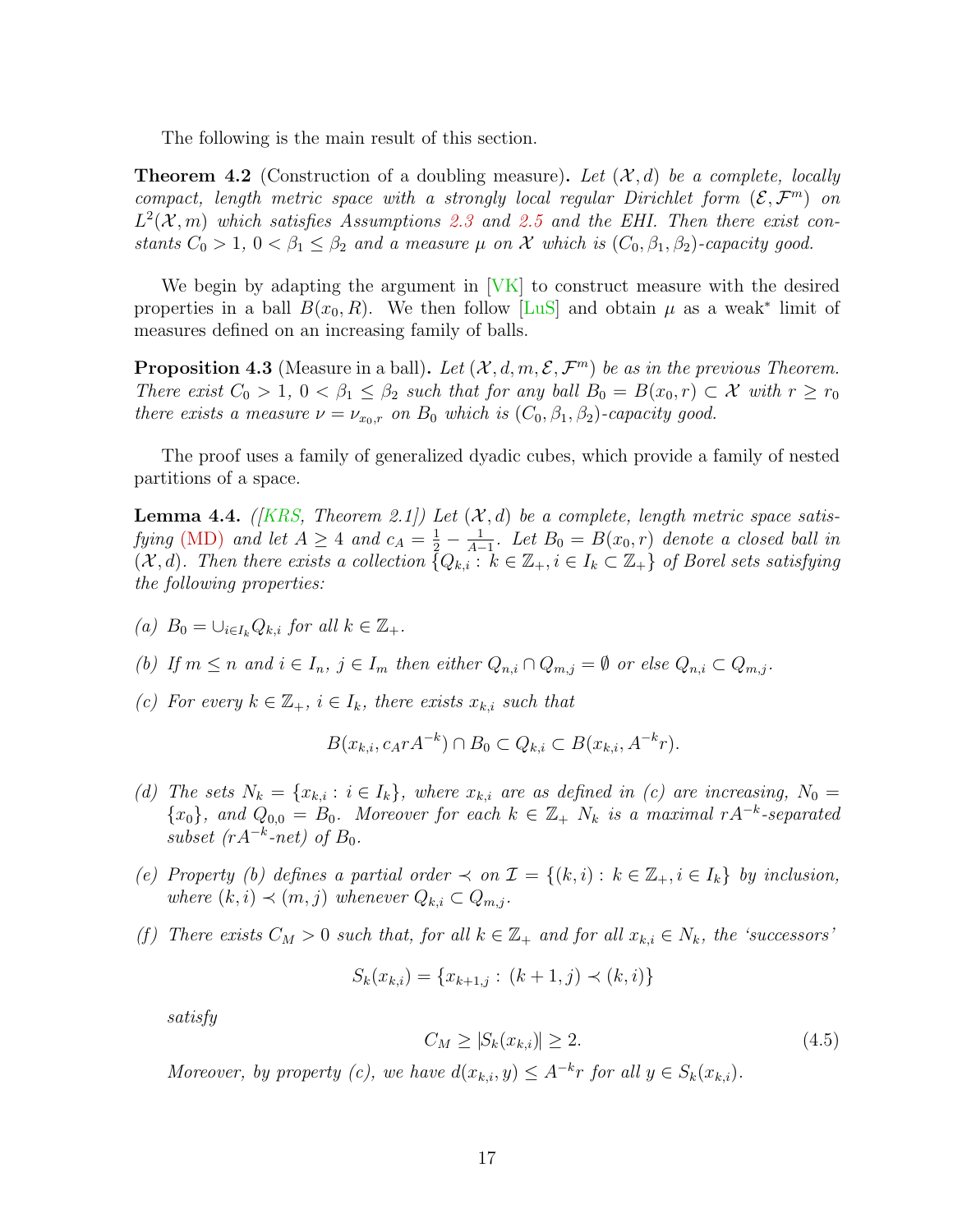The following is the main result of this section.

<span id="page-16-0"></span>**Theorem 4.2** (Construction of a doubling measure). Let  $(\mathcal{X}, d)$  be a complete, locally compact, length metric space with a strongly local regular Dirichlet form  $(\mathcal{E}, \mathcal{F}^m)$  on  $L^2(\mathcal{X}, m)$  which satisfies Assumptions [2.3](#page-8-0) and [2.5](#page-8-1) and the EHI. Then there exist constants  $C_0 > 1$ ,  $0 < \beta_1 \leq \beta_2$  and a measure  $\mu$  on  $\mathcal X$  which is  $(C_0, \beta_1, \beta_2)$ -capacity good.

We begin by adapting the argument in [\[VK\]](#page-42-8) to construct measure with the desired properties in a ball  $B(x_0, R)$ . We then follow [\[LuS\]](#page-41-5) and obtain  $\mu$  as a weak<sup>\*</sup> limit of measures defined on an increasing family of balls.

<span id="page-16-1"></span>**Proposition 4.3** (Measure in a ball). Let  $(\mathcal{X}, d, m, \mathcal{E}, \mathcal{F}^m)$  be as in the previous Theorem. There exist  $C_0 > 1$ ,  $0 < \beta_1 \leq \beta_2$  such that for any ball  $B_0 = B(x_0, r) \subset \mathcal{X}$  with  $r \geq r_0$ there exists a measure  $\nu = \nu_{x_0,r}$  on  $B_0$  which is  $(C_0, \beta_1, \beta_2)$ -capacity good.

The proof uses a family of generalized dyadic cubes, which provide a family of nested partitions of a space.

<span id="page-16-2"></span>**Lemma 4.4.** (*KRS, Theorem 2.1])* Let  $(X, d)$  be a complete, length metric space satis-fying [\(MD\)](#page-5-1) and let  $A \geq 4$  and  $c_A = \frac{1}{2} - \frac{1}{A-4}$  $\frac{1}{A-1}$ . Let  $B_0 = B(x_0,r)$  denote a closed ball in  $(\mathcal{X}, d)$ . Then there exists a collection  $\{Q_{k,i} : k \in \mathbb{Z}_+, i \in I_k \subset \mathbb{Z}_+\}$  of Borel sets satisfying the following properties:

- (a)  $B_0 = \bigcup_{i \in I_k} Q_{k,i}$  for all  $k \in \mathbb{Z}_+$ .
- (b) If  $m \leq n$  and  $i \in I_n$ ,  $j \in I_m$  then either  $Q_{n,i} \cap Q_{m,j} = \emptyset$  or else  $Q_{n,i} \subset Q_{m,j}$ .
- (c) For every  $k \in \mathbb{Z}_+, i \in I_k$ , there exists  $x_{k,i}$  such that

$$
B(x_{k,i}, c_A r A^{-k}) \cap B_0 \subset Q_{k,i} \subset B(x_{k,i}, A^{-k}r).
$$

- (d) The sets  $N_k = \{x_{k,i} : i \in I_k\}$ , where  $x_{k,i}$  are as defined in (c) are increasing,  $N_0 =$  ${x_0},$  and  $Q_{0,0} = B_0$ . Moreover for each  $k \in \mathbb{Z}_+$   $N_k$  is a maximal rA<sup>-k</sup>-separated subset  $(rA^{-k}$ -net) of  $B_0$ .
- (e) Property (b) defines a partial order  $\prec$  on  $\mathcal{I} = \{(k,i): k \in \mathbb{Z}_+, i \in I_k\}$  by inclusion, where  $(k, i) \prec (m, j)$  whenever  $Q_{k,i} \subset Q_{m,j}$ .
- (f) There exists  $C_M > 0$  such that, for all  $k \in \mathbb{Z}_+$  and for all  $x_{k,i} \in N_k$ , the 'successors'

$$
S_k(x_{k,i}) = \{x_{k+1,j} : (k+1,j) \prec (k,i)\}
$$

satisfy

<span id="page-16-3"></span>
$$
C_M \ge |S_k(x_{k,i})| \ge 2. \tag{4.5}
$$

Moreover, by property (c), we have  $d(x_{k,i}, y) \leq A^{-k}r$  for all  $y \in S_k(x_{k,i})$ .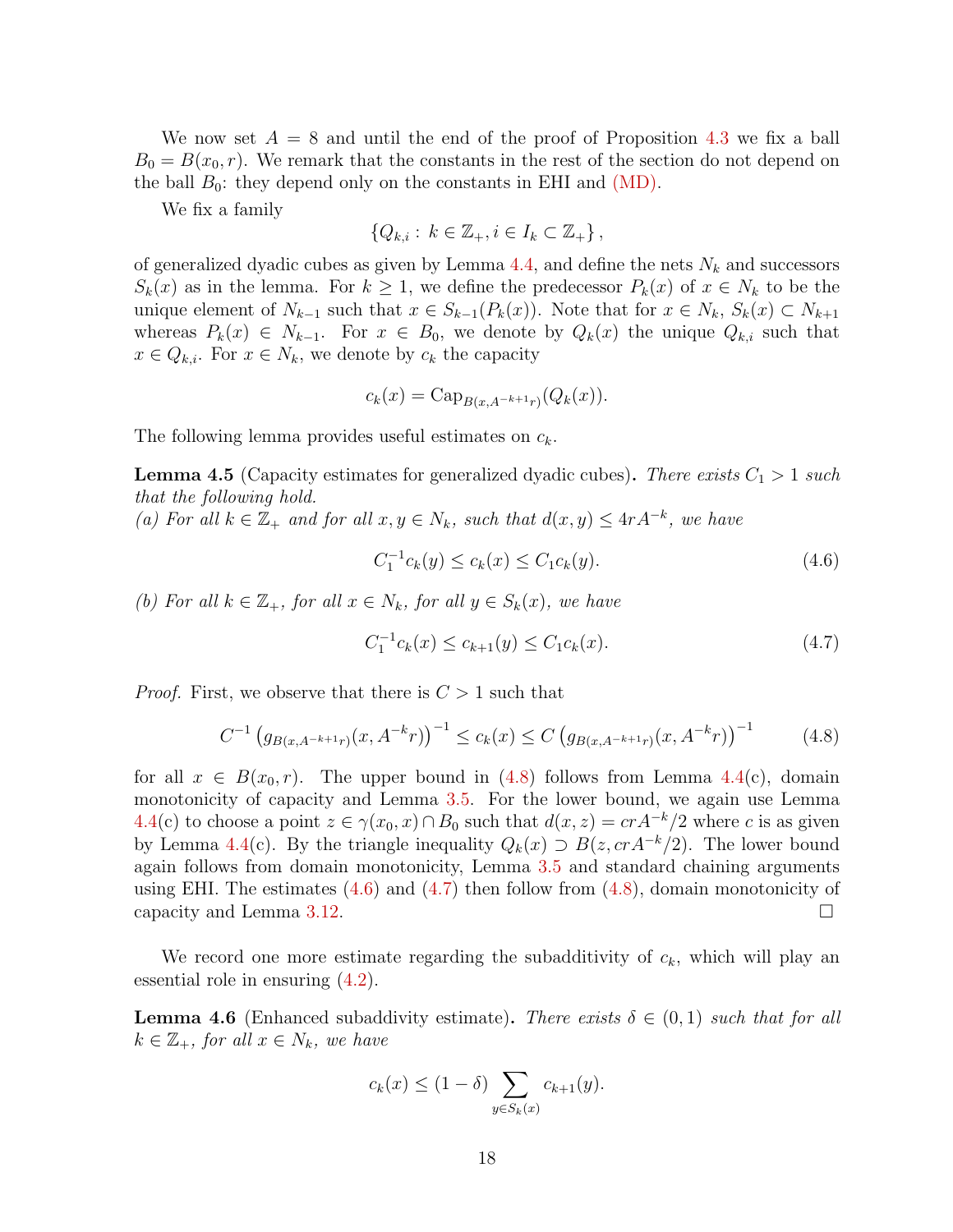We now set  $A = 8$  and until the end of the proof of Proposition [4.3](#page-16-1) we fix a ball  $B_0 = B(x_0, r)$ . We remark that the constants in the rest of the section do not depend on the ball  $B_0$ : they depend only on the constants in EHI and  $(MD)$ .

We fix a family

$$
\{Q_{k,i} : k \in \mathbb{Z}_+, i \in I_k \subset \mathbb{Z}_+\},\
$$

of generalized dyadic cubes as given by Lemma [4.4,](#page-16-2) and define the nets  $N_k$  and successors  $S_k(x)$  as in the lemma. For  $k \geq 1$ , we define the predecessor  $P_k(x)$  of  $x \in N_k$  to be the unique element of  $N_{k-1}$  such that  $x \in S_{k-1}(P_k(x))$ . Note that for  $x \in N_k$ ,  $S_k(x) \subset N_{k+1}$ whereas  $P_k(x) \in N_{k-1}$ . For  $x \in B_0$ , we denote by  $Q_k(x)$  the unique  $Q_{k,i}$  such that  $x \in Q_{k,i}$ . For  $x \in N_k$ , we denote by  $c_k$  the capacity

$$
c_k(x) = \text{Cap}_{B(x, A^{-k+1}r)}(Q_k(x)).
$$

The following lemma provides useful estimates on  $c_k$ .

<span id="page-17-4"></span>**Lemma 4.5** (Capacity estimates for generalized dyadic cubes). There exists  $C_1 > 1$  such that the following hold.

(a) For all  $k \in \mathbb{Z}_+$  and for all  $x, y \in N_k$ , such that  $d(x, y) \leq 4rA^{-k}$ , we have

<span id="page-17-1"></span>
$$
C_1^{-1}c_k(y) \le c_k(x) \le C_1c_k(y). \tag{4.6}
$$

(b) For all  $k \in \mathbb{Z}_+$ , for all  $x \in N_k$ , for all  $y \in S_k(x)$ , we have

<span id="page-17-2"></span>
$$
C_1^{-1}c_k(x) \le c_{k+1}(y) \le C_1c_k(x). \tag{4.7}
$$

*Proof.* First, we observe that there is  $C > 1$  such that

<span id="page-17-0"></span>
$$
C^{-1} \left( g_{B(x, A^{-k+1}r)}(x, A^{-k}r) \right)^{-1} \le c_k(x) \le C \left( g_{B(x, A^{-k+1}r)}(x, A^{-k}r) \right)^{-1} \tag{4.8}
$$

for all  $x \in B(x_0, r)$ . The upper bound in [\(4.8\)](#page-17-0) follows from Lemma [4.4\(](#page-16-2)c), domain monotonicity of capacity and Lemma [3.5.](#page-10-2) For the lower bound, we again use Lemma [4.4\(](#page-16-2)c) to choose a point  $z \in \gamma(x_0, x) \cap B_0$  such that  $d(x, z) = cr A^{-k}/2$  where c is as given by Lemma [4.4\(](#page-16-2)c). By the triangle inequality  $Q_k(x) \supseteq B(z, c r A^{-k}/2)$ . The lower bound again follows from domain monotonicity, Lemma [3.5](#page-10-2) and standard chaining arguments using EHI. The estimates  $(4.6)$  and  $(4.7)$  then follow from  $(4.8)$ , domain monotonicity of capacity and Lemma [3.12.](#page-13-0)

We record one more estimate regarding the subadditivity of  $c_k$ , which will play an essential role in ensuring [\(4.2\)](#page-15-2).

<span id="page-17-3"></span>**Lemma 4.6** (Enhanced subaddivity estimate). There exists  $\delta \in (0,1)$  such that for all  $k \in \mathbb{Z}_+$ , for all  $x \in N_k$ , we have

$$
c_k(x) \le (1 - \delta) \sum_{y \in S_k(x)} c_{k+1}(y).
$$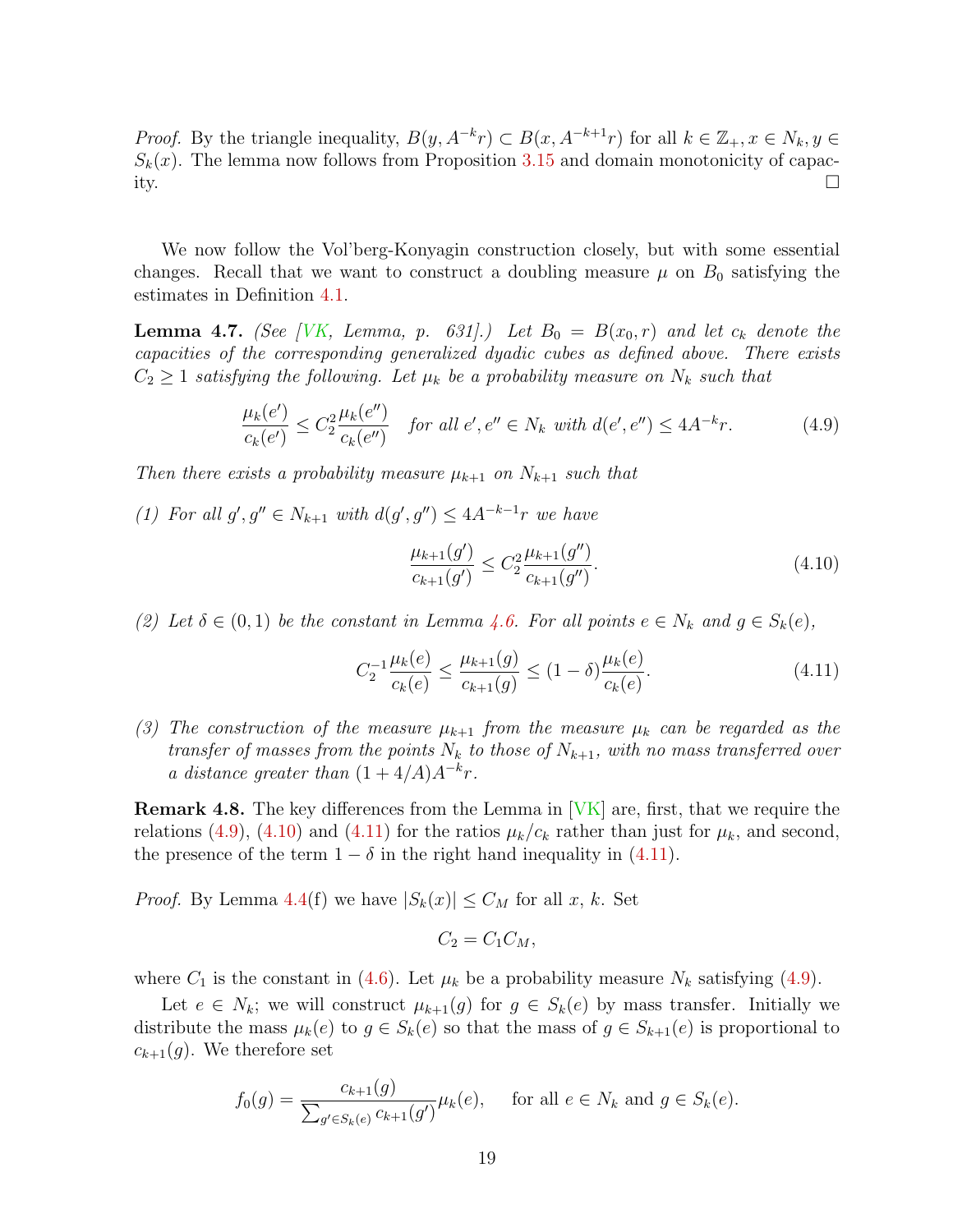*Proof.* By the triangle inequality,  $B(y, A^{-k}r) \subset B(x, A^{-k+1}r)$  for all  $k \in \mathbb{Z}_+, x \in N_k, y \in$  $S_k(x)$ . The lemma now follows from Proposition [3.15](#page-14-0) and domain monotonicity of capacity.

We now follow the Vol'berg-Konyagin construction closely, but with some essential changes. Recall that we want to construct a doubling measure  $\mu$  on  $B_0$  satisfying the estimates in Definition [4.1.](#page-15-1)

<span id="page-18-3"></span>**Lemma 4.7.** (See [\[VK,](#page-42-8) Lemma, p. 631].) Let  $B_0 = B(x_0, r)$  and let  $c_k$  denote the capacities of the corresponding generalized dyadic cubes as defined above. There exists  $C_2 \geq 1$  satisfying the following. Let  $\mu_k$  be a probability measure on  $N_k$  such that

<span id="page-18-0"></span>
$$
\frac{\mu_k(e')}{c_k(e')} \le C_2^2 \frac{\mu_k(e'')}{c_k(e'')} \quad \text{for all } e', e'' \in N_k \text{ with } d(e', e'') \le 4A^{-k}r. \tag{4.9}
$$

Then there exists a probability measure  $\mu_{k+1}$  on  $N_{k+1}$  such that

(1) For all  $g', g'' \in N_{k+1}$  with  $d(g', g'') \leq 4A^{-k-1}r$  we have

<span id="page-18-1"></span>
$$
\frac{\mu_{k+1}(g')}{c_{k+1}(g')} \le C_2^2 \frac{\mu_{k+1}(g'')}{c_{k+1}(g'')}.
$$
\n(4.10)

(2) Let  $\delta \in (0,1)$  be the constant in Lemma [4.6.](#page-17-3) For all points  $e \in N_k$  and  $g \in S_k(e)$ ,

<span id="page-18-2"></span>
$$
C_2^{-1} \frac{\mu_k(e)}{c_k(e)} \le \frac{\mu_{k+1}(g)}{c_{k+1}(g)} \le (1 - \delta) \frac{\mu_k(e)}{c_k(e)}.\tag{4.11}
$$

(3) The construction of the measure  $\mu_{k+1}$  from the measure  $\mu_k$  can be regarded as the transfer of masses from the points  $N_k$  to those of  $N_{k+1}$ , with no mass transferred over a distance greater than  $(1+4/A)A^{-k}r$ .

**Remark 4.8.** The key differences from the Lemma in [\[VK\]](#page-42-8) are, first, that we require the relations [\(4.9\)](#page-18-0), [\(4.10\)](#page-18-1) and [\(4.11\)](#page-18-2) for the ratios  $\mu_k/c_k$  rather than just for  $\mu_k$ , and second, the presence of the term  $1 - \delta$  in the right hand inequality in [\(4.11\)](#page-18-2).

*Proof.* By Lemma [4.4\(](#page-16-2)f) we have  $|S_k(x)| \leq C_M$  for all x, k. Set

$$
C_2 = C_1 C_M,
$$

where  $C_1$  is the constant in [\(4.6\)](#page-17-1). Let  $\mu_k$  be a probability measure  $N_k$  satisfying [\(4.9\)](#page-18-0).

Let  $e \in N_k$ ; we will construct  $\mu_{k+1}(g)$  for  $g \in S_k(e)$  by mass transfer. Initially we distribute the mass  $\mu_k(e)$  to  $g \in S_k(e)$  so that the mass of  $g \in S_{k+1}(e)$  is proportional to  $c_{k+1}(g)$ . We therefore set

$$
f_0(g) = \frac{c_{k+1}(g)}{\sum_{g' \in S_k(e)} c_{k+1}(g')} \mu_k(e), \quad \text{ for all } e \in N_k \text{ and } g \in S_k(e).
$$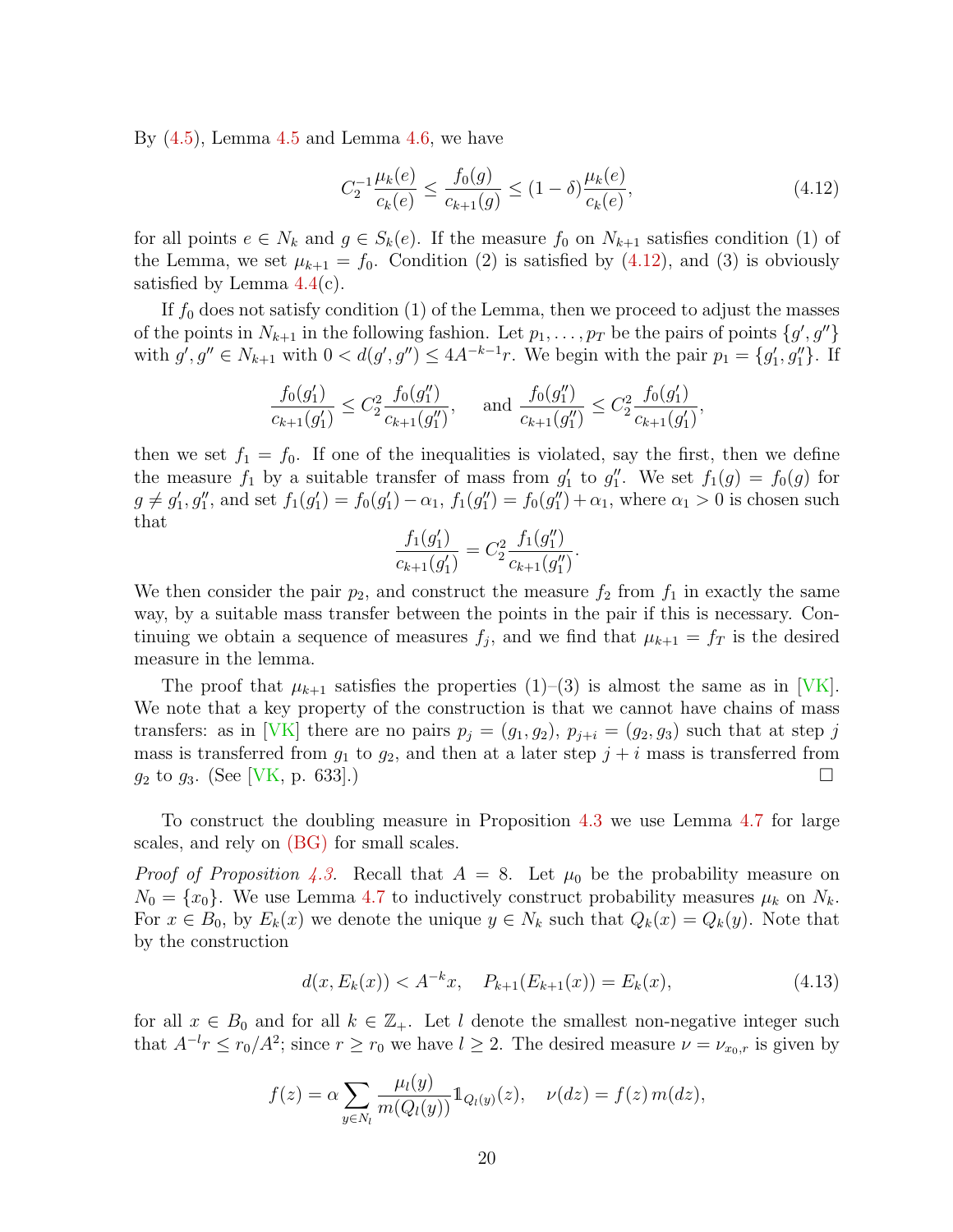By  $(4.5)$  $(4.5)$  $(4.5)$ , Lemma  $4.5$  and Lemma  $4.6$ , we have

<span id="page-19-0"></span>
$$
C_2^{-1} \frac{\mu_k(e)}{c_k(e)} \le \frac{f_0(g)}{c_{k+1}(g)} \le (1 - \delta) \frac{\mu_k(e)}{c_k(e)},
$$
\n(4.12)

for all points  $e \in N_k$  and  $g \in S_k(e)$ . If the measure  $f_0$  on  $N_{k+1}$  satisfies condition (1) of the Lemma, we set  $\mu_{k+1} = f_0$ . Condition (2) is satisfied by [\(4.12\)](#page-19-0), and (3) is obviously satisfied by Lemma  $4.4(c)$  $4.4(c)$ .

If  $f_0$  does not satisfy condition (1) of the Lemma, then we proceed to adjust the masses of the points in  $N_{k+1}$  in the following fashion. Let  $p_1, \ldots, p_T$  be the pairs of points  $\{g', g''\}$ with  $g', g'' \in N_{k+1}$  with  $0 < d(g', g'') \leq 4A^{-k-1}r$ . We begin with the pair  $p_1 = \{g'_1, g''_1\}$ . If

$$
\frac{f_0(g_1')}{c_{k+1}(g_1')} \le C_2^2 \frac{f_0(g_1'')}{c_{k+1}(g_1'')}, \quad \text{ and } \frac{f_0(g_1'')}{c_{k+1}(g_1'')} \le C_2^2 \frac{f_0(g_1')}{c_{k+1}(g_1')},
$$

then we set  $f_1 = f_0$ . If one of the inequalities is violated, say the first, then we define the measure  $f_1$  by a suitable transfer of mass from  $g'_1$  to  $g''_1$ . We set  $f_1(g) = f_0(g)$  for  $g \neq g'_1, g''_1$ , and set  $f_1(g'_1) = f_0(g'_1) - \alpha_1$ ,  $f_1(g''_1) = f_0(g''_1) + \alpha_1$ , where  $\alpha_1 > 0$  is chosen such that

$$
\frac{f_1(g_1')}{c_{k+1}(g_1')} = C_2^2 \frac{f_1(g_1'')}{c_{k+1}(g_1'')}.
$$

We then consider the pair  $p_2$ , and construct the measure  $f_2$  from  $f_1$  in exactly the same way, by a suitable mass transfer between the points in the pair if this is necessary. Continuing we obtain a sequence of measures  $f_j$ , and we find that  $\mu_{k+1} = f_T$  is the desired measure in the lemma.

The proof that  $\mu_{k+1}$  satisfies the properties  $(1)-(3)$  is almost the same as in [\[VK\]](#page-42-8). We note that a key property of the construction is that we cannot have chains of mass transfers: as in [\[VK\]](#page-42-8) there are no pairs  $p_j = (g_1, g_2), p_{j+i} = (g_2, g_3)$  such that at step j mass is transferred from  $g_1$  to  $g_2$ , and then at a later step  $j + i$  mass is transferred from  $g_2$  to  $g_3$ . (See [\[VK,](#page-42-8) p. 633].)

To construct the doubling measure in Proposition [4.3](#page-16-1) we use Lemma [4.7](#page-18-3) for large scales, and rely on [\(BG\)](#page-8-2) for small scales.

*Proof of Proposition [4.3.](#page-16-1)* Recall that  $A = 8$ . Let  $\mu_0$  be the probability measure on  $N_0 = \{x_0\}$ . We use Lemma [4.7](#page-18-3) to inductively construct probability measures  $\mu_k$  on  $N_k$ . For  $x \in B_0$ , by  $E_k(x)$  we denote the unique  $y \in N_k$  such that  $Q_k(x) = Q_k(y)$ . Note that by the construction

<span id="page-19-1"></span>
$$
d(x, E_k(x)) < A^{-k}x, \quad P_{k+1}(E_{k+1}(x)) = E_k(x),\tag{4.13}
$$

for all  $x \in B_0$  and for all  $k \in \mathbb{Z}_+$ . Let l denote the smallest non-negative integer such that  $A^{-l}r \leq r_0/A^2$ ; since  $r \geq r_0$  we have  $l \geq 2$ . The desired measure  $\nu = \nu_{x_0,r}$  is given by

$$
f(z) = \alpha \sum_{y \in N_l} \frac{\mu_l(y)}{m(Q_l(y))} 1_{Q_l(y)}(z), \quad \nu(dz) = f(z) \, m(dz),
$$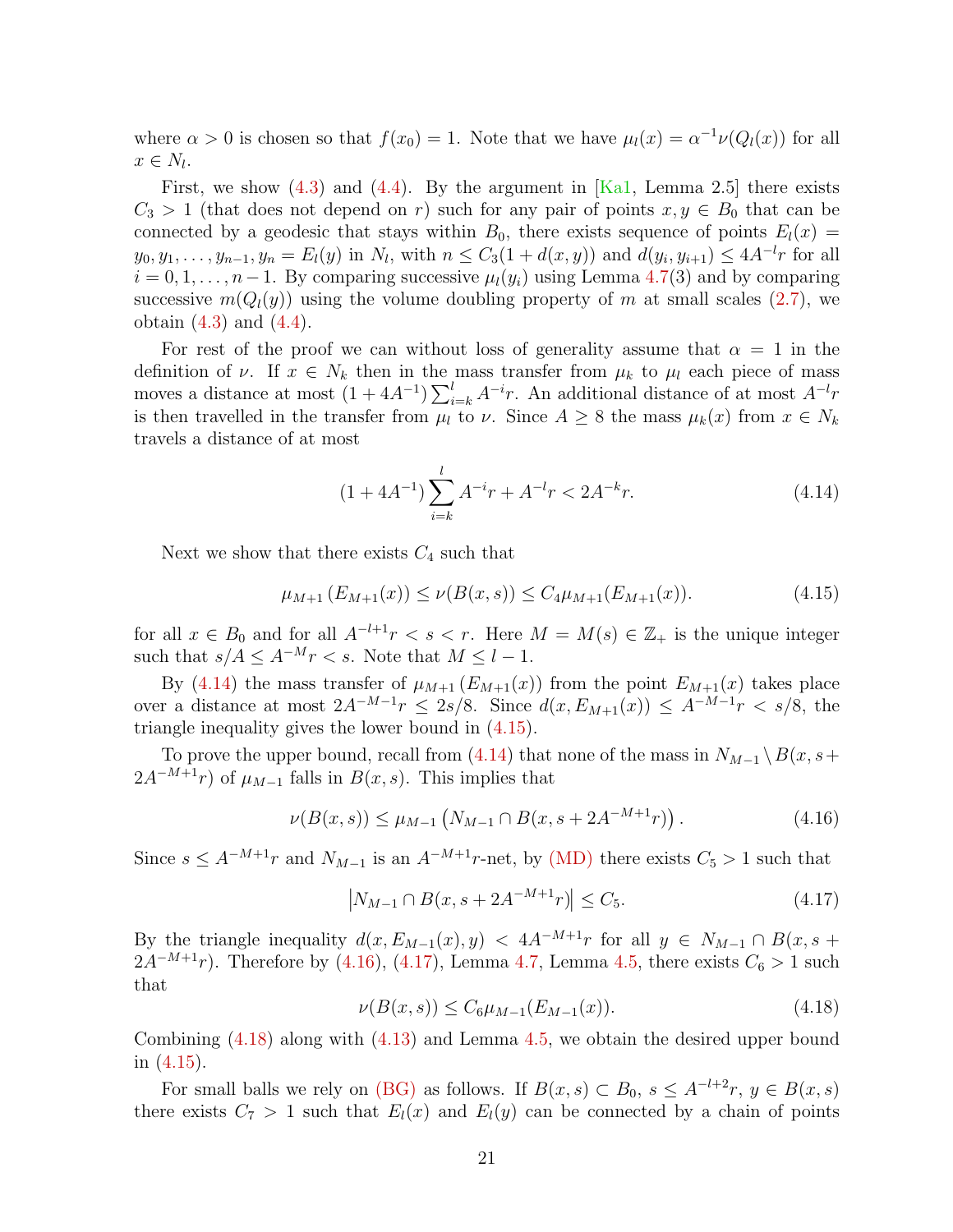where  $\alpha > 0$  is chosen so that  $f(x_0) = 1$ . Note that we have  $\mu_l(x) = \alpha^{-1} \nu(Q_l(x))$  for all  $x \in N_l$ .

First, we show  $(4.3)$  and  $(4.4)$ . By the argument in [\[Ka1,](#page-40-6) Lemma 2.5] there exists  $C_3 > 1$  (that does not depend on r) such for any pair of points  $x, y \in B_0$  that can be connected by a geodesic that stays within  $B_0$ , there exists sequence of points  $E_l(x)$  =  $y_0, y_1, \ldots, y_{n-1}, y_n = E_l(y)$  in  $N_l$ , with  $n \leq C_3(1 + d(x, y))$  and  $d(y_i, y_{i+1}) \leq 4A^{-l}r$  for all  $i = 0, 1, \ldots, n-1$ . By comparing successive  $\mu_l(y_i)$  using Lemma [4.7\(](#page-18-3)3) and by comparing successive  $m(Q_l(y))$  using the volume doubling property of m at small scales [\(2.7\)](#page-8-3), we obtain  $(4.3)$  and  $(4.4)$ .

For rest of the proof we can without loss of generality assume that  $\alpha = 1$  in the definition of  $\nu$ . If  $x \in N_k$  then in the mass transfer from  $\mu_k$  to  $\mu_l$  each piece of mass moves a distance at most  $(1 + 4A^{-1}) \sum_{i=k}^{l} A^{-i}r$ . An additional distance of at most  $A^{-l}r$ is then travelled in the transfer from  $\mu_l$  to  $\nu$ . Since  $A \geq 8$  the mass  $\mu_k(x)$  from  $x \in N_k$ travels a distance of at most

<span id="page-20-0"></span>
$$
(1 + 4A^{-1}) \sum_{i=k}^{l} A^{-i}r + A^{-l}r < 2A^{-k}r. \tag{4.14}
$$

Next we show that there exists  $C_4$  such that

<span id="page-20-1"></span>
$$
\mu_{M+1}(E_{M+1}(x)) \le \nu(B(x,s)) \le C_4 \mu_{M+1}(E_{M+1}(x)). \tag{4.15}
$$

for all  $x \in B_0$  and for all  $A^{-l+1}r < s < r$ . Here  $M = M(s) \in \mathbb{Z}_+$  is the unique integer such that  $s/A \leq A^{-M}r < s$ . Note that  $M \leq l-1$ .

By [\(4.14\)](#page-20-0) the mass transfer of  $\mu_{M+1}(E_{M+1}(x))$  from the point  $E_{M+1}(x)$  takes place over a distance at most  $2A^{-M-1}r \leq 2s/8$ . Since  $d(x, E_{M+1}(x)) \leq A^{-M-1}r \leq s/8$ , the triangle inequality gives the lower bound in [\(4.15\)](#page-20-1).

To prove the upper bound, recall from [\(4.14\)](#page-20-0) that none of the mass in  $N_{M-1} \setminus B(x, s+)$  $2A^{-M+1}r$ ) of  $\mu_{M-1}$  falls in  $B(x, s)$ . This implies that

<span id="page-20-2"></span>
$$
\nu(B(x,s)) \le \mu_{M-1} \left( N_{M-1} \cap B(x,s+2A^{-M+1}r) \right). \tag{4.16}
$$

Since  $s \leq A^{-M+1}r$  and  $N_{M-1}$  is an  $A^{-M+1}r$ -net, by [\(MD\)](#page-5-1) there exists  $C_5 > 1$  such that

<span id="page-20-3"></span>
$$
|N_{M-1} \cap B(x, s + 2A^{-M+1}r)| \le C_5. \tag{4.17}
$$

By the triangle inequality  $d(x, E_{M-1}(x), y) < 4A^{-M+1}r$  for all  $y \in N_{M-1} \cap B(x, s +$  $2A^{-M+1}r$ ). Therefore by [\(4.16\)](#page-20-2), [\(4.17\)](#page-20-3), Lemma [4.7,](#page-18-3) Lemma [4.5,](#page-17-4) there exists  $C_6 > 1$  such that

<span id="page-20-4"></span>
$$
\nu(B(x,s)) \le C_6 \mu_{M-1}(E_{M-1}(x)).\tag{4.18}
$$

Combining [\(4.18\)](#page-20-4) along with [\(4.13\)](#page-19-1) and Lemma [4.5,](#page-17-4) we obtain the desired upper bound in [\(4.15\)](#page-20-1).

For small balls we rely on [\(BG\)](#page-8-2) as follows. If  $B(x, s) \subset B_0$ ,  $s \leq A^{-l+2}r$ ,  $y \in B(x, s)$ there exists  $C_7 > 1$  such that  $E_l(x)$  and  $E_l(y)$  can be connected by a chain of points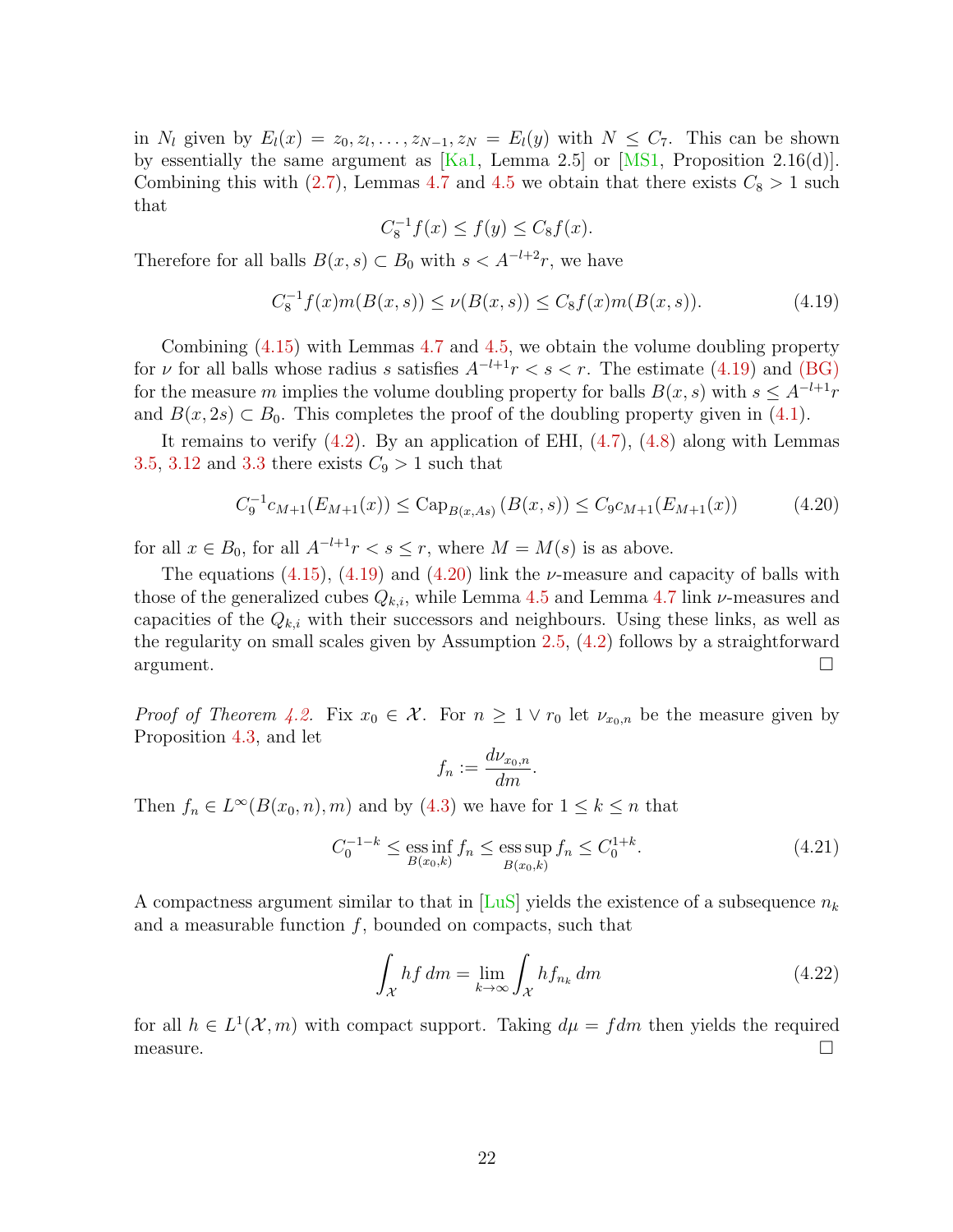in  $N_l$  given by  $E_l(x) = z_0, z_l, \ldots, z_{N-1}, z_N = E_l(y)$  with  $N \leq C_7$ . This can be shown by essentially the same argument as  $[Ka1, Lemma 2.5]$  or  $[MS1, Proposition 2.16(d)].$ Combining this with  $(2.7)$ , Lemmas [4.7](#page-18-3) and [4.5](#page-17-4) we obtain that there exists  $C_8 > 1$  such that

$$
C_8^{-1}f(x) \le f(y) \le C_8f(x).
$$

Therefore for all balls  $B(x, s) \subset B_0$  with  $s < A^{-l+2}r$ , we have

<span id="page-21-0"></span>
$$
C_8^{-1}f(x)m(B(x,s)) \le \nu(B(x,s)) \le C_8f(x)m(B(x,s)).\tag{4.19}
$$

Combining [\(4.15\)](#page-20-1) with Lemmas [4.7](#page-18-3) and [4.5,](#page-17-4) we obtain the volume doubling property for v for all balls whose radius s satisfies  $A^{-l+1}r < s < r$ . The estimate [\(4.19\)](#page-21-0) and [\(BG\)](#page-8-2) for the measure m implies the volume doubling property for balls  $B(x, s)$  with  $s \leq A^{-l+1}r$ and  $B(x, 2s) \subset B_0$ . This completes the proof of the doubling property given in [\(4.1\)](#page-15-5).

It remains to verify  $(4.2)$ . By an application of EHI,  $(4.7)$ ,  $(4.8)$  along with Lemmas [3.5,](#page-10-2) [3.12](#page-13-0) and [3.3](#page-9-3) there exists  $C_9 > 1$  such that

<span id="page-21-1"></span>
$$
C_9^{-1}c_{M+1}(E_{M+1}(x)) \leq \text{Cap}_{B(x,As)}\left(B(x,s)\right) \leq C_9c_{M+1}(E_{M+1}(x))\tag{4.20}
$$

for all  $x \in B_0$ , for all  $A^{-l+1}r < s \leq r$ , where  $M = M(s)$  is as above.

The equations  $(4.15)$ ,  $(4.19)$  and  $(4.20)$  link the *ν*-measure and capacity of balls with those of the generalized cubes  $Q_{k,i}$ , while Lemma [4.5](#page-17-4) and Lemma [4.7](#page-18-3) link  $\nu$ -measures and capacities of the  $Q_{k,i}$  with their successors and neighbours. Using these links, as well as the regularity on small scales given by Assumption [2.5,](#page-8-1) [\(4.2\)](#page-15-2) follows by a straightforward argument.

*Proof of Theorem [4.2.](#page-16-0)* Fix  $x_0 \in \mathcal{X}$ . For  $n \geq 1 \vee r_0$  let  $\nu_{x_0,n}$  be the measure given by Proposition [4.3,](#page-16-1) and let

$$
f_n := \frac{d\nu_{x_0,n}}{dm}.
$$

Then  $f_n \in L^{\infty}(B(x_0, n), m)$  and by  $(4.3)$  we have for  $1 \leq k \leq n$  that

$$
C_0^{-1-k} \le \underset{B(x_0,k)}{\text{ess inf}} f_n \le \underset{B(x_0,k)}{\text{ess sup}} f_n \le C_0^{1+k}.\tag{4.21}
$$

A compactness argument similar to that in [\[LuS\]](#page-41-5) yields the existence of a subsequence  $n_k$ and a measurable function  $f$ , bounded on compacts, such that

$$
\int_{\mathcal{X}} hf \, dm = \lim_{k \to \infty} \int_{\mathcal{X}} hf_{n_k} \, dm \tag{4.22}
$$

for all  $h \in L^1(\mathcal{X}, m)$  with compact support. Taking  $d\mu = fdm$  then yields the required  $\Box$  measure.  $\Box$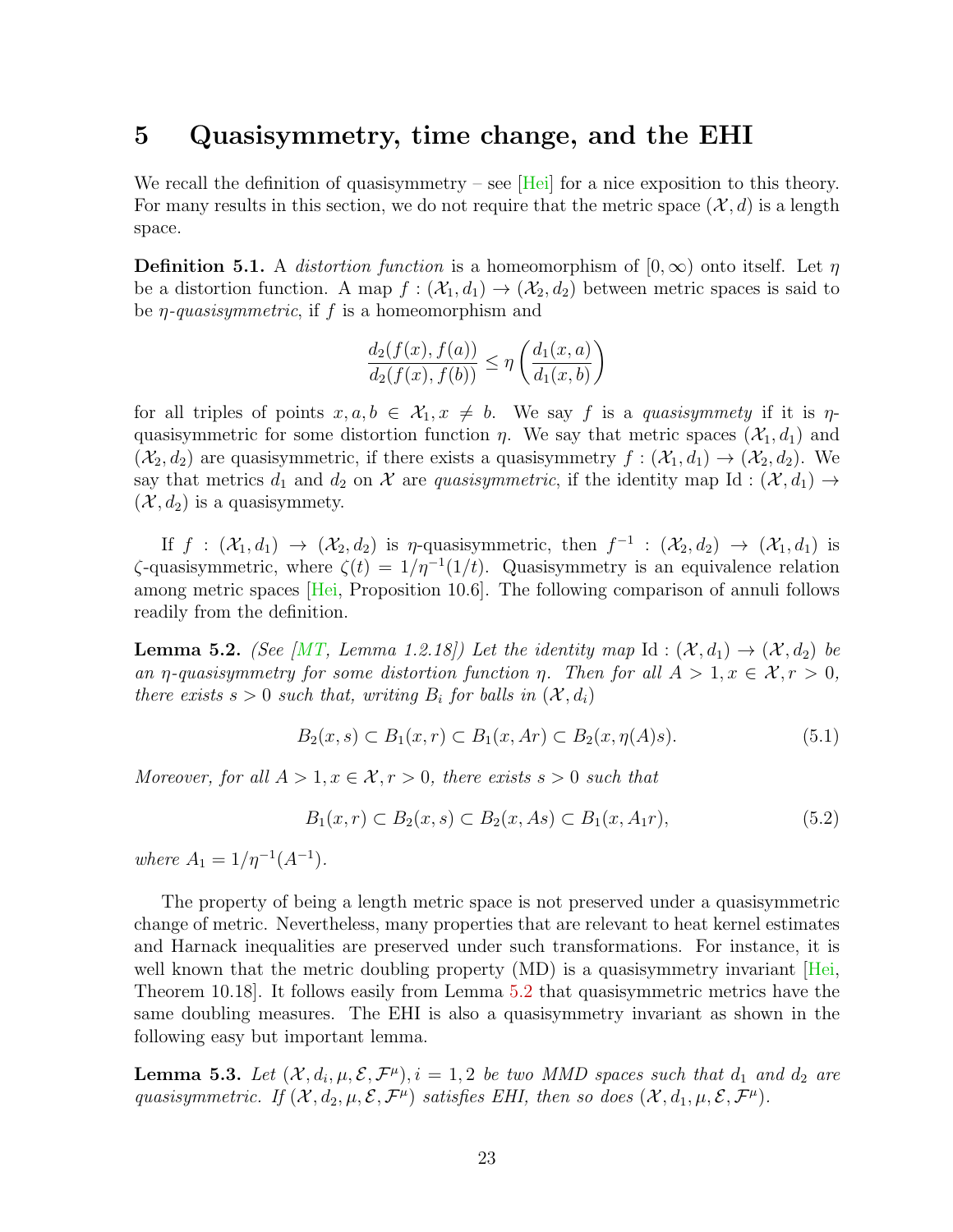#### <span id="page-22-0"></span>5 Quasisymmetry, time change, and the EHI

We recall the definition of quasisymmetry – see  $[Hei]$  for a nice exposition to this theory. For many results in this section, we do not require that the metric space  $(\mathcal{X}, d)$  is a length space.

<span id="page-22-4"></span>**Definition 5.1.** A *distortion function* is a homeomorphism of  $[0, \infty)$  onto itself. Let  $\eta$ be a distortion function. A map  $f : (\mathcal{X}_1, d_1) \to (\mathcal{X}_2, d_2)$  between metric spaces is said to be  $\eta$ -quasisymmetric, if f is a homeomorphism and

$$
\frac{d_2(f(x), f(a))}{d_2(f(x), f(b))} \le \eta \left( \frac{d_1(x, a)}{d_1(x, b)} \right)
$$

for all triples of points  $x, a, b \in \mathcal{X}_1, x \neq b$ . We say f is a quasisymmety if it is  $\eta$ quasisymmetric for some distortion function  $\eta$ . We say that metric spaces  $(\mathcal{X}_1, d_1)$  and  $(\mathcal{X}_2, d_2)$  are quasisymmetric, if there exists a quasisymmetry  $f : (\mathcal{X}_1, d_1) \to (\mathcal{X}_2, d_2)$ . We say that metrics  $d_1$  and  $d_2$  on X are quasisymmetric, if the identity map Id :  $(\mathcal{X}, d_1) \rightarrow$  $(\mathcal{X}, d_2)$  is a quasisymmety.

If  $f: (\mathcal{X}_1, d_1) \to (\mathcal{X}_2, d_2)$  is  $\eta$ -quasisymmetric, then  $f^{-1}: (\mathcal{X}_2, d_2) \to (\mathcal{X}_1, d_1)$  is  $\zeta$ -quasisymmetric, where  $\zeta(t) = 1/\eta^{-1}(1/t)$ . Quasisymmetry is an equivalence relation among metric spaces [\[Hei,](#page-40-3) Proposition 10.6]. The following comparison of annuli follows readily from the definition.

<span id="page-22-2"></span>**Lemma 5.2.** (See [\[MT,](#page-41-8) Lemma 1.2.18]) Let the identity map Id:  $(\mathcal{X}, d_1) \rightarrow (\mathcal{X}, d_2)$  be an *η*-quasisymmetry for some distortion function *η*. Then for all  $A > 1, x \in \mathcal{X}, r > 0$ , there exists  $s > 0$  such that, writing  $B_i$  for balls in  $(\mathcal{X}, d_i)$ 

$$
B_2(x,s) \subset B_1(x,r) \subset B_1(x,Ar) \subset B_2(x,\eta(A)s). \tag{5.1}
$$

Moreover, for all  $A > 1, x \in \mathcal{X}, r > 0$ , there exists  $s > 0$  such that

<span id="page-22-3"></span>
$$
B_1(x,r) \subset B_2(x,s) \subset B_2(x,As) \subset B_1(x,A_1r),\tag{5.2}
$$

where  $A_1 = 1/\eta^{-1}(A^{-1})$ .

The property of being a length metric space is not preserved under a quasisymmetric change of metric. Nevertheless, many properties that are relevant to heat kernel estimates and Harnack inequalities are preserved under such transformations. For instance, it is well known that the metric doubling property (MD) is a quasisymmetry invariant [\[Hei,](#page-40-3) Theorem 10.18]. It follows easily from Lemma [5.2](#page-22-2) that quasisymmetric metrics have the same doubling measures. The EHI is also a quasisymmetry invariant as shown in the following easy but important lemma.

<span id="page-22-1"></span>**Lemma 5.3.** Let  $(X, d_i, \mu, \mathcal{E}, \mathcal{F}^{\mu}), i = 1, 2$  be two MMD spaces such that  $d_1$  and  $d_2$  are quasisymmetric. If  $(X, d_2, \mu, \mathcal{E}, \mathcal{F}^{\mu})$  satisfies EHI, then so does  $(X, d_1, \mu, \mathcal{E}, \mathcal{F}^{\mu})$ .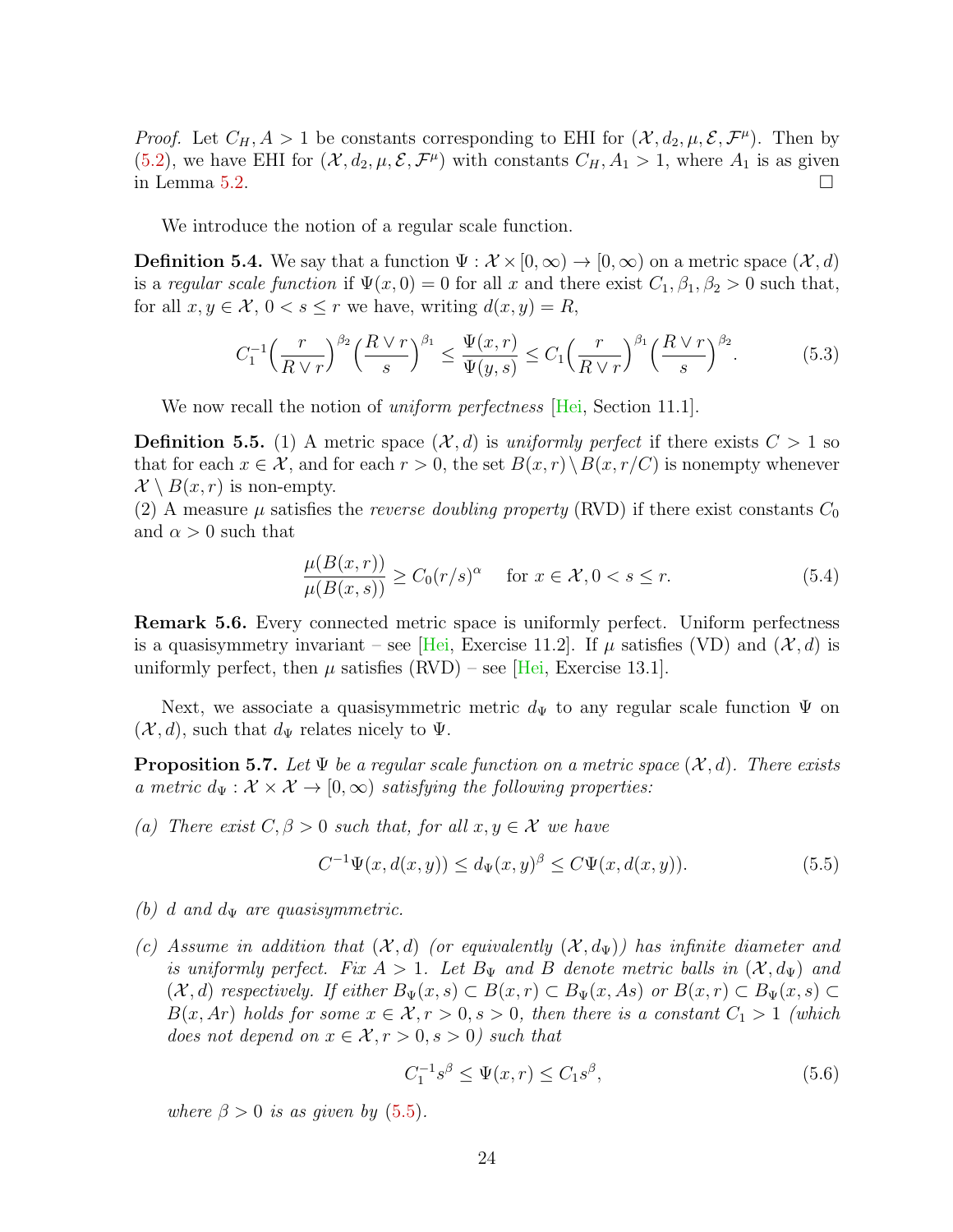*Proof.* Let  $C_H$ ,  $A > 1$  be constants corresponding to EHI for  $(\mathcal{X}, d_2, \mu, \mathcal{E}, \mathcal{F}^{\mu})$ . Then by [\(5.2\)](#page-22-3), we have EHI for  $(\mathcal{X}, d_2, \mu, \mathcal{E}, \mathcal{F}^{\mu})$  with constants  $C_H, A_1 > 1$ , where  $A_1$  is as given in Lemma [5.2.](#page-22-2)  $\Box$ 

We introduce the notion of a regular scale function.

**Definition 5.4.** We say that a function  $\Psi : \mathcal{X} \times [0,\infty) \to [0,\infty)$  on a metric space  $(\mathcal{X}, d)$ is a regular scale function if  $\Psi(x, 0) = 0$  for all x and there exist  $C_1, \beta_1, \beta_2 > 0$  such that, for all  $x, y \in \mathcal{X}, 0 < s \leq r$  we have, writing  $d(x, y) = R$ ,

<span id="page-23-1"></span>
$$
C_1^{-1} \left(\frac{r}{R\vee r}\right)^{\beta_2} \left(\frac{R\vee r}{s}\right)^{\beta_1} \le \frac{\Psi(x,r)}{\Psi(y,s)} \le C_1 \left(\frac{r}{R\vee r}\right)^{\beta_1} \left(\frac{R\vee r}{s}\right)^{\beta_2}.\tag{5.3}
$$

We now recall the notion of *uniform perfectness* [\[Hei,](#page-40-3) Section 11.1].

**Definition 5.5.** (1) A metric space  $(\mathcal{X}, d)$  is uniformly perfect if there exists  $C > 1$  so that for each  $x \in \mathcal{X}$ , and for each  $r > 0$ , the set  $B(x, r) \setminus B(x, r/C)$  is nonempty whenever  $\mathcal{X} \setminus B(x,r)$  is non-empty.

(2) A measure  $\mu$  satisfies the *reverse doubling property* (RVD) if there exist constants  $C_0$ and  $\alpha > 0$  such that

$$
\frac{\mu(B(x,r))}{\mu(B(x,s))} \ge C_0(r/s)^\alpha \quad \text{for } x \in \mathcal{X}, 0 < s \le r. \tag{5.4}
$$

<span id="page-23-4"></span>Remark 5.6. Every connected metric space is uniformly perfect. Uniform perfectness is a quasisymmetry invariant – see [\[Hei,](#page-40-3) Exercise 11.2]. If  $\mu$  satisfies (VD) and  $(\mathcal{X}, d)$  is uniformly perfect, then  $\mu$  satisfies (RVD) – see [\[Hei,](#page-40-3) Exercise 13.1].

Next, we associate a quasisymmetric metric  $d_{\Psi}$  to any regular scale function  $\Psi$  on  $(\mathcal{X}, d)$ , such that  $d_{\Psi}$  relates nicely to  $\Psi$ .

<span id="page-23-3"></span>**Proposition 5.7.** Let  $\Psi$  be a regular scale function on a metric space  $(X, d)$ . There exists a metric  $d_{\Psi}: \mathcal{X} \times \mathcal{X} \rightarrow [0, \infty)$  satisfying the following properties:

(a) There exist  $C, \beta > 0$  such that, for all  $x, y \in \mathcal{X}$  we have

<span id="page-23-0"></span>
$$
C^{-1}\Psi(x, d(x, y)) \le d_{\Psi}(x, y)^{\beta} \le C\Psi(x, d(x, y)).
$$
\n(5.5)

- (b) d and  $d_{\Psi}$  are quasisymmetric.
- (c) Assume in addition that  $(\mathcal{X}, d)$  (or equivalently  $(\mathcal{X}, d_{\Psi})$ ) has infinite diameter and is uniformly perfect. Fix  $A > 1$ . Let  $B_{\Psi}$  and B denote metric balls in  $(\mathcal{X}, d_{\Psi})$  and  $(\mathcal{X}, d)$  respectively. If either  $B_{\Psi}(x, s) \subset B(x, r) \subset B_{\Psi}(x, As)$  or  $B(x, r) \subset B_{\Psi}(x, s) \subset$  $B(x, Ar)$  holds for some  $x \in \mathcal{X}, r > 0, s > 0$ , then there is a constant  $C_1 > 1$  (which does not depend on  $x \in \mathcal{X}, r > 0, s > 0$ ) such that

<span id="page-23-2"></span>
$$
C_1^{-1}s^{\beta} \le \Psi(x,r) \le C_1s^{\beta},\tag{5.6}
$$

where  $\beta > 0$  is as given by [\(5.5\)](#page-23-0).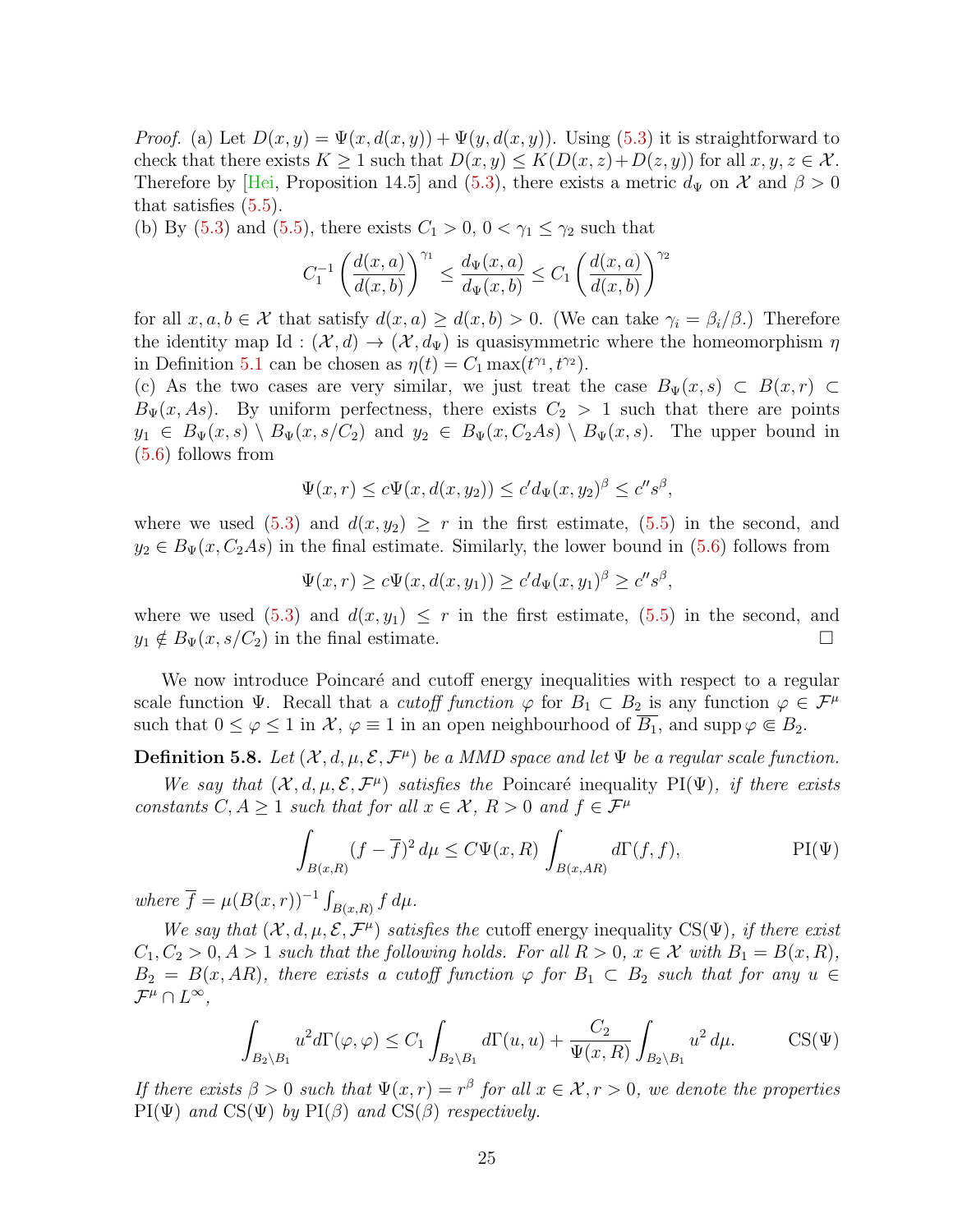*Proof.* (a) Let  $D(x, y) = \Psi(x, d(x, y)) + \Psi(y, d(x, y))$ . Using [\(5.3\)](#page-23-1) it is straightforward to check that there exists  $K \geq 1$  such that  $D(x, y) \leq K(D(x, z) + D(z, y))$  for all  $x, y, z \in \mathcal{X}$ . Therefore by [\[Hei,](#page-40-3) Proposition 14.5] and [\(5.3\)](#page-23-1), there exists a metric  $d_{\Psi}$  on X and  $\beta > 0$ that satisfies [\(5.5\)](#page-23-0).

(b) By [\(5.3\)](#page-23-1) and [\(5.5\)](#page-23-0), there exists  $C_1 > 0$ ,  $0 < \gamma_1 \leq \gamma_2$  such that

$$
C_1^{-1}\left(\frac{d(x,a)}{d(x,b)}\right)^{\gamma_1}\leq \frac{d_{\Psi}(x,a)}{d_{\Psi}(x,b)}\leq C_1\left(\frac{d(x,a)}{d(x,b)}\right)^{\gamma_2}
$$

for all  $x, a, b \in \mathcal{X}$  that satisfy  $d(x, a) \geq d(x, b) > 0$ . (We can take  $\gamma_i = \beta_i/\beta$ .) Therefore the identity map Id :  $(\mathcal{X}, d) \to (\mathcal{X}, d_{\Psi})$  is quasisymmetric where the homeomorphism  $\eta$ in Definition [5.1](#page-22-4) can be chosen as  $\eta(t) = C_1 \max(t^{\gamma_1}, t^{\gamma_2}).$ 

(c) As the two cases are very similar, we just treat the case  $B_{\Psi}(x, s) \subset B(x, r) \subset$  $B_{\Psi}(x, As)$ . By uniform perfectness, there exists  $C_2 > 1$  such that there are points  $y_1 \in B_{\Psi}(x, s) \setminus B_{\Psi}(x, s/C_2)$  and  $y_2 \in B_{\Psi}(x, C_2As) \setminus B_{\Psi}(x, s)$ . The upper bound in [\(5.6\)](#page-23-2) follows from

$$
\Psi(x,r) \le c\Psi(x, d(x,y_2)) \le c'd_{\Psi}(x,y_2)^{\beta} \le c''s^{\beta},
$$

where we used  $(5.3)$  and  $d(x, y_2) \geq r$  in the first estimate,  $(5.5)$  in the second, and  $y_2 \in B_{\Psi}(x, C_2As)$  in the final estimate. Similarly, the lower bound in [\(5.6\)](#page-23-2) follows from

$$
\Psi(x,r) \ge c\Psi(x,d(x,y_1)) \ge c'd_{\Psi}(x,y_1)^{\beta} \ge c''s^{\beta},
$$

where we used [\(5.3\)](#page-23-1) and  $d(x, y_1) \leq r$  in the first estimate, [\(5.5\)](#page-23-0) in the second, and  $y_1 \notin B_{\Psi}(x, s/C_2)$  in the final estimate.

We now introduce Poincaré and cutoff energy inequalities with respect to a regular scale function  $\Psi$ . Recall that a *cutoff function*  $\varphi$  for  $B_1 \subset B_2$  is any function  $\varphi \in \mathcal{F}^{\mu}$ such that  $0 \le \varphi \le 1$  in  $\mathcal{X}, \varphi \equiv 1$  in an open neighbourhood of  $B_1$ , and supp  $\varphi \in B_2$ .

**Definition 5.8.** Let  $(X, d, \mu, \mathcal{E}, \mathcal{F}^{\mu})$  be a MMD space and let  $\Psi$  be a regular scale function.

We say that  $(X, d, \mu, \mathcal{E}, \mathcal{F}^{\mu})$  satisfies the Poincaré inequality PI( $\Psi$ ), if there exists constants  $C, A \geq 1$  such that for all  $x \in \mathcal{X}, R > 0$  and  $f \in \mathcal{F}^{\mu}$ 

<span id="page-24-4"></span><span id="page-24-2"></span><span id="page-24-0"></span>
$$
\int_{B(x,R)} (f - \overline{f})^2 d\mu \le C\Psi(x,R) \int_{B(x,AR)} d\Gamma(f,f),
$$
 PI(\Psi)

where  $\overline{f} = \mu(B(x,r))^{-1} \int_{B(x,R)} f d\mu$ .

We say that  $(\mathcal{X}, d, \mu, \mathcal{E}, \mathcal{F}^{\mu})$  satisfies the cutoff energy inequality CS( $\Psi$ ), if there exist  $C_1, C_2 > 0, A > 1$  such that the following holds. For all  $R > 0, x \in \mathcal{X}$  with  $B_1 = B(x, R)$ ,  $B_2 = B(x, AR)$ , there exists a cutoff function  $\varphi$  for  $B_1 \subset B_2$  such that for any  $u \in$  $\mathcal{F}^{\mu} \cap L^{\infty}$ ,

<span id="page-24-3"></span><span id="page-24-1"></span>
$$
\int_{B_2 \setminus B_1} u^2 d\Gamma(\varphi, \varphi) \le C_1 \int_{B_2 \setminus B_1} d\Gamma(u, u) + \frac{C_2}{\Psi(x, R)} \int_{B_2 \setminus B_1} u^2 d\mu.
$$
 CS(\Psi)

If there exists  $\beta > 0$  such that  $\Psi(x, r) = r^{\beta}$  for all  $x \in \mathcal{X}, r > 0$ , we denote the properties  $PI(\Psi)$  and  $CS(\Psi)$  by  $PI(\beta)$  and  $CS(\beta)$  respectively.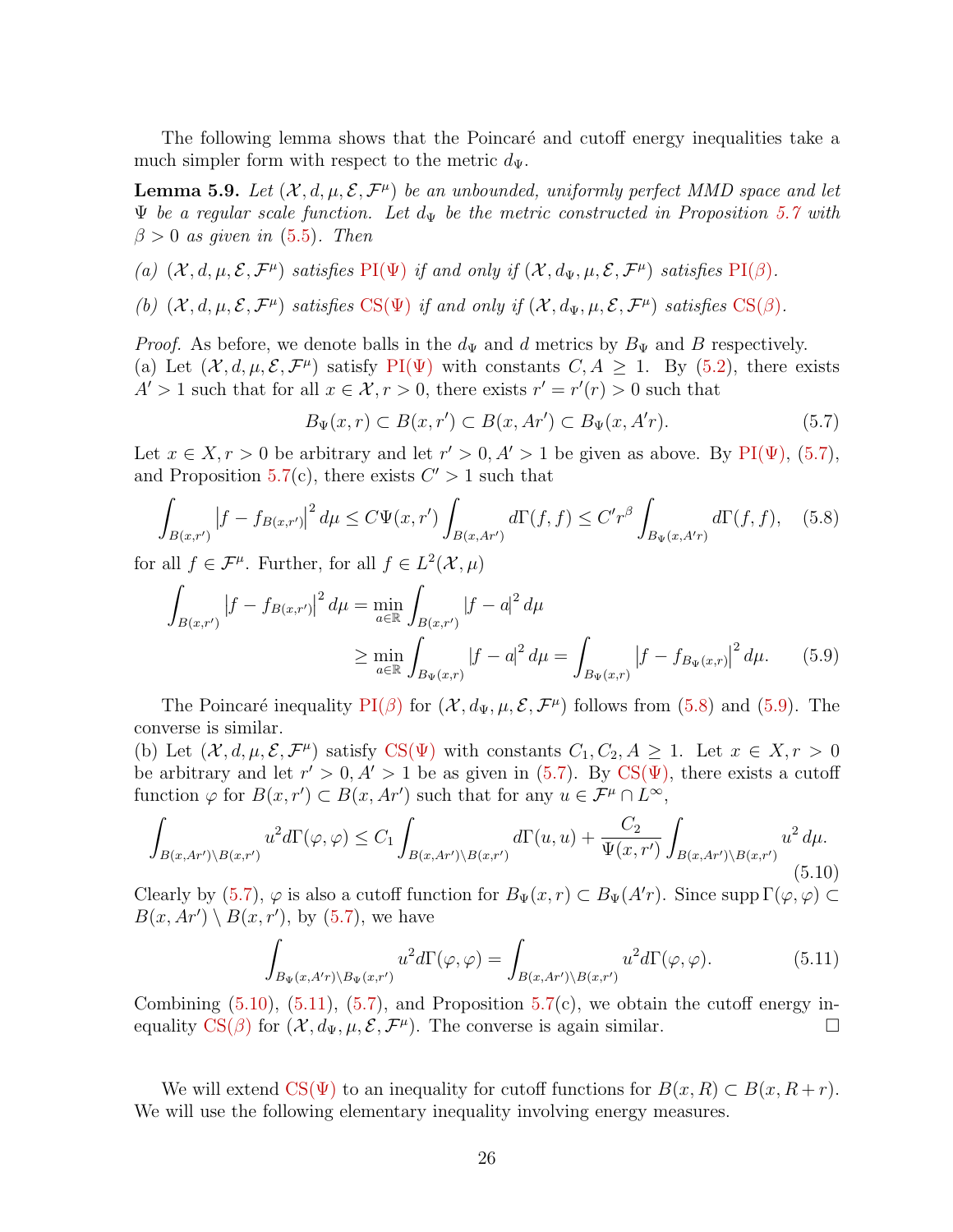The following lemma shows that the Poincaré and cutoff energy inequalities take a much simpler form with respect to the metric  $d_{\Psi}$ .

<span id="page-25-4"></span>**Lemma 5.9.** Let  $(X, d, \mu, \mathcal{E}, \mathcal{F}^{\mu})$  be an unbounded, uniformly perfect MMD space and let  $\Psi$  be a regular scale function. Let  $d_{\Psi}$  be the metric constructed in Proposition [5.7](#page-23-3) with  $\beta > 0$  as given in [\(5.5\)](#page-23-0). Then

- (a)  $(\mathcal{X}, d, \mu, \mathcal{E}, \mathcal{F}^{\mu})$  satisfies  $\text{PI}(\Psi)$  if and only if  $(\mathcal{X}, d_{\Psi}, \mu, \mathcal{E}, \mathcal{F}^{\mu})$  satisfies  $\text{PI}(\beta)$ .
- (b)  $(\mathcal{X}, d, \mu, \mathcal{E}, \mathcal{F}^{\mu})$  satisfies  $CS(\Psi)$  $CS(\Psi)$  if and only if  $(\mathcal{X}, d_{\Psi}, \mu, \mathcal{E}, \mathcal{F}^{\mu})$  satisfies  $CS(\beta)$ .

*Proof.* As before, we denote balls in the  $d_{\Psi}$  and d metrics by  $B_{\Psi}$  and B respectively. (a) Let  $(\mathcal{X}, d, \mu, \mathcal{E}, \mathcal{F}^{\mu})$  satisfy PI( $\Psi$ ) with constants  $C, A \geq 1$ . By [\(5.2\)](#page-22-3), there exists  $A' > 1$  such that for all  $x \in \mathcal{X}, r > 0$ , there exists  $r' = r'(r) > 0$  such that

<span id="page-25-1"></span>
$$
B_{\Psi}(x,r) \subset B(x,r') \subset B(x,Ar') \subset B_{\Psi}(x,A'r). \tag{5.7}
$$

Let  $x \in X, r > 0$  be arbitrary and let  $r' > 0, A' > 1$  be given as above. By PI( $\Psi$ ), [\(5.7\)](#page-24-4), and Proposition [5.7\(](#page-23-3)c), there exists  $C' > 1$  such that

<span id="page-25-0"></span>
$$
\int_{B(x,r')} |f - f_{B(x,r')}|^2 d\mu \le C\Psi(x,r') \int_{B(x,Ar')} d\Gamma(f,f) \le C'r^{\beta} \int_{B_{\Psi}(x,A'r)} d\Gamma(f,f), \quad (5.8)
$$

for all  $f \in \mathcal{F}^{\mu}$ . Further, for all  $f \in L^2(\mathcal{X}, \mu)$ 

$$
\int_{B(x,r')} |f - f_{B(x,r')}|^2 d\mu = \min_{a \in \mathbb{R}} \int_{B(x,r')} |f - a|^2 d\mu
$$
\n
$$
\geq \min_{a \in \mathbb{R}} \int_{B_{\Psi}(x,r)} |f - a|^2 d\mu = \int_{B_{\Psi}(x,r)} |f - f_{B_{\Psi}(x,r)}|^2 d\mu. \tag{5.9}
$$

The Poincaré inequality  $PI(\beta)$  $PI(\beta)$  for  $(\mathcal{X}, d_{\Psi}, \mu, \mathcal{E}, \mathcal{F}^{\mu})$  follows from [\(5.8\)](#page-25-0) and [\(5.9\)](#page-25-1). The converse is similar.

(b) Let  $(\mathcal{X}, d, \mu, \mathcal{E}, \mathcal{F}^{\mu})$  satisfy CS( $\Psi$ ) with constants  $C_1, C_2, A \geq 1$ . Let  $x \in X, r > 0$ be arbitrary and let  $r' > 0$ ,  $A' > 1$  be as given in [\(5.7\)](#page-24-4). By CS( $\Psi$ ), there exists a cutoff function  $\varphi$  for  $B(x, r') \subset B(x, Ar')$  such that for any  $u \in \mathcal{F}^{\mu} \cap L^{\infty}$ ,

<span id="page-25-2"></span>
$$
\int_{B(x,Ar')\backslash B(x,r')} u^2 d\Gamma(\varphi,\varphi) \le C_1 \int_{B(x,Ar')\backslash B(x,r')} d\Gamma(u,u) + \frac{C_2}{\Psi(x,r')} \int_{B(x,Ar')\backslash B(x,r')} u^2 d\mu.
$$
\n(5.10)

Clearly by [\(5.7\)](#page-24-4),  $\varphi$  is also a cutoff function for  $B_{\Psi}(x,r) \subset B_{\Psi}(A'r)$ . Since supp  $\Gamma(\varphi, \varphi) \subset$  $B(x, Ar') \setminus B(x, r')$ , by [\(5.7\)](#page-24-4), we have

<span id="page-25-3"></span>
$$
\int_{B_{\Psi}(x,A'r)\backslash B_{\Psi}(x,r')} u^2 d\Gamma(\varphi,\varphi) = \int_{B(x,Ar')\backslash B(x,r')} u^2 d\Gamma(\varphi,\varphi).
$$
\n(5.11)

Combining  $(5.10)$ ,  $(5.11)$ ,  $(5.7)$ , and Proposition  $5.7(c)$  $5.7(c)$ , we obtain the cutoff energy inequality  $\text{CS}(\beta)$  for  $(\mathcal{X}, d_{\Psi}, \mu, \mathcal{E}, \mathcal{F}^{\mu})$ . The converse is again similar.

We will extend  $\text{CS}(\Psi)$  to an inequality for cutoff functions for  $B(x, R) \subset B(x, R+r)$ . We will use the following elementary inequality involving energy measures.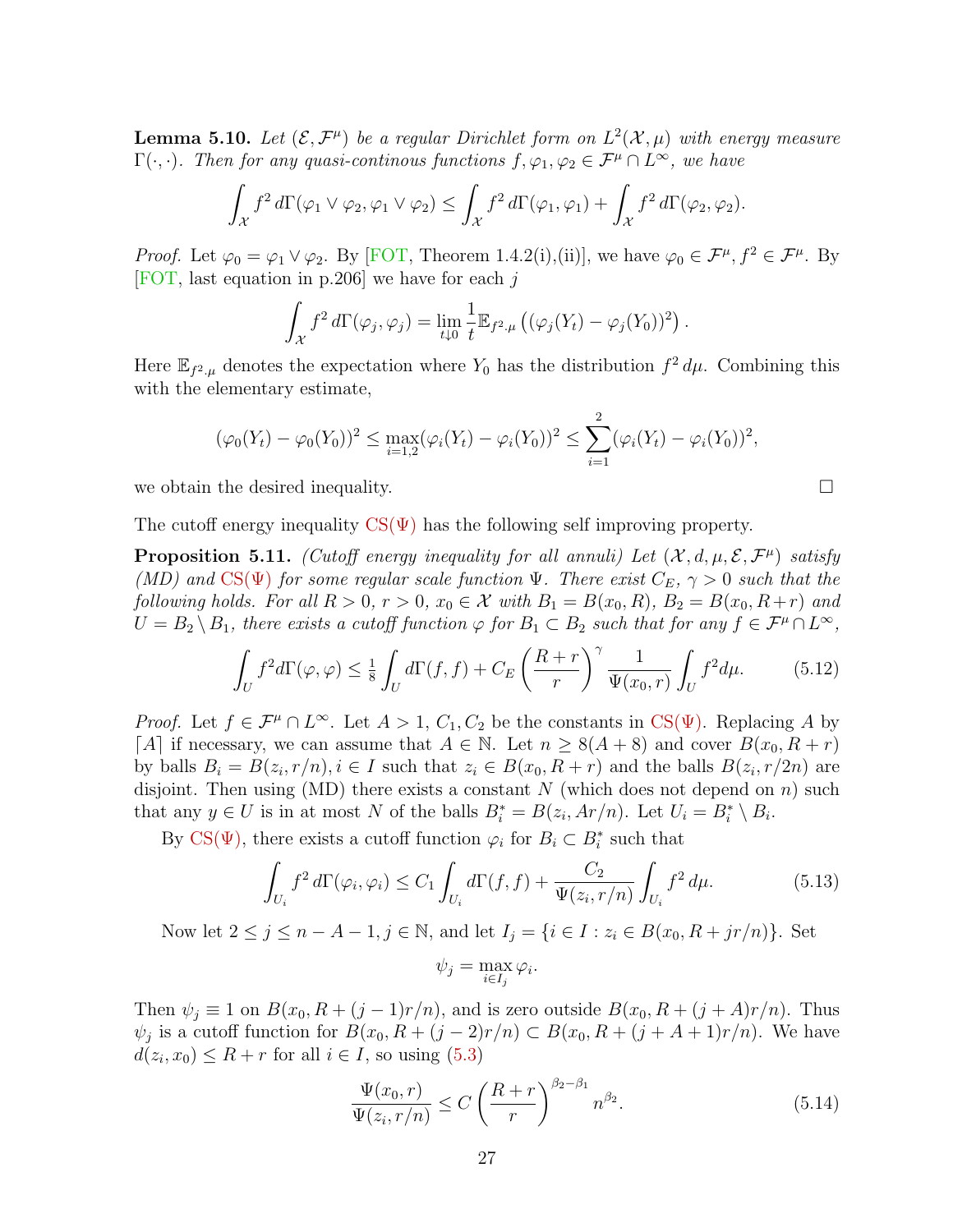<span id="page-26-0"></span>**Lemma 5.10.** Let  $(\mathcal{E}, \mathcal{F}^{\mu})$  be a regular Dirichlet form on  $L^2(\mathcal{X}, \mu)$  with energy measure  $\Gamma(\cdot, \cdot)$ . Then for any quasi-continous functions  $f, \varphi_1, \varphi_2 \in \mathcal{F}^{\mu} \cap L^{\infty}$ , we have

$$
\int_{\mathcal{X}} f^2 d\Gamma(\varphi_1 \vee \varphi_2, \varphi_1 \vee \varphi_2) \leq \int_{\mathcal{X}} f^2 d\Gamma(\varphi_1, \varphi_1) + \int_{\mathcal{X}} f^2 d\Gamma(\varphi_2, \varphi_2).
$$

*Proof.* Let  $\varphi_0 = \varphi_1 \vee \varphi_2$ . By [\[FOT,](#page-39-10) Theorem 1.4.2(i),(ii)], we have  $\varphi_0 \in \mathcal{F}^\mu$ ,  $f^2 \in \mathcal{F}^\mu$ . By [\[FOT,](#page-39-10) last equation in p.206] we have for each j

$$
\int_{\mathcal{X}} f^2 d\Gamma(\varphi_j, \varphi_j) = \lim_{t \downarrow 0} \frac{1}{t} \mathbb{E}_{f^2 \cdot \mu} \left( (\varphi_j(Y_t) - \varphi_j(Y_0))^2 \right).
$$

Here  $\mathbb{E}_{f^2,\mu}$  denotes the expectation where  $Y_0$  has the distribution  $f^2 d\mu$ . Combining this with the elementary estimate,

$$
(\varphi_0(Y_t) - \varphi_0(Y_0))^2 \le \max_{i=1,2} (\varphi_i(Y_t) - \varphi_i(Y_0))^2 \le \sum_{i=1}^2 (\varphi_i(Y_t) - \varphi_i(Y_0))^2,
$$

we obtain the desired inequality.  $\Box$ 

The cutoff energy inequality  $CS(\Psi)$  has the following self improving property.

<span id="page-26-4"></span>**Proposition 5.11.** (Cutoff energy inequality for all annuli) Let  $(\mathcal{X}, d, \mu, \mathcal{E}, \mathcal{F}^{\mu})$  satisfy (MD) and  $CS(\Psi)$  for some regular scale function  $\Psi$ . There exist  $C_E$ ,  $\gamma > 0$  such that the following holds. For all  $R > 0$ ,  $r > 0$ ,  $x_0 \in \mathcal{X}$  with  $B_1 = B(x_0, R)$ ,  $B_2 = B(x_0, R+r)$  and  $U = B_2 \setminus B_1$ , there exists a cutoff function  $\varphi$  for  $B_1 \subset B_2$  such that for any  $f \in \mathcal{F}^{\mu} \cap L^{\infty}$ ,

<span id="page-26-3"></span>
$$
\int_{U} f^{2}d\Gamma(\varphi,\varphi) \leq \frac{1}{8} \int_{U} d\Gamma(f,f) + C_{E} \left(\frac{R+r}{r}\right)^{\gamma} \frac{1}{\Psi(x_{0},r)} \int_{U} f^{2} d\mu.
$$
 (5.12)

*Proof.* Let  $f \in \mathcal{F}^{\mu} \cap L^{\infty}$ . Let  $A > 1$ ,  $C_1, C_2$  be the constants in CS( $\Psi$ ). Replacing A by [A] if necessary, we can assume that  $A \in \mathbb{N}$ . Let  $n \geq 8(A+8)$  and cover  $B(x_0, R+r)$ by balls  $B_i = B(z_i, r/n), i \in I$  such that  $z_i \in B(x_0, R+r)$  and the balls  $B(z_i, r/2n)$  are disjoint. Then using (MD) there exists a constant N (which does not depend on n) such that any  $y \in U$  is in at most N of the balls  $B_i^* = B(z_i, Ar/n)$ . Let  $U_i = B_i^* \setminus B_i$ .

By CS( $\Psi$ ), there exists a cutoff function  $\varphi_i$  for  $B_i \subset B_i^*$  such that

<span id="page-26-1"></span>
$$
\int_{U_i} f^2 d\Gamma(\varphi_i, \varphi_i) \le C_1 \int_{U_i} d\Gamma(f, f) + \frac{C_2}{\Psi(z_i, r/n)} \int_{U_i} f^2 d\mu.
$$
\n(5.13)

Now let  $2 \le j \le n - A - 1, j \in \mathbb{N}$ , and let  $I_j = \{i \in I : z_i \in B(x_0, R + jr/n)\}.$  Set

$$
\psi_j = \max_{i \in I_j} \varphi_i.
$$

Then  $\psi_j \equiv 1$  on  $B(x_0, R + (j-1)r/n)$ , and is zero outside  $B(x_0, R + (j+A)r/n)$ . Thus  $\psi_j$  is a cutoff function for  $B(x_0, R + (j-2)r/n) \subset B(x_0, R + (j+A+1)r/n)$ . We have  $d(z_i, x_0) \leq R + r$  for all  $i \in I$ , so using  $(5.3)$ 

<span id="page-26-2"></span>
$$
\frac{\Psi(x_0, r)}{\Psi(z_i, r/n)} \le C \left(\frac{R+r}{r}\right)^{\beta_2 - \beta_1} n^{\beta_2}.
$$
\n(5.14)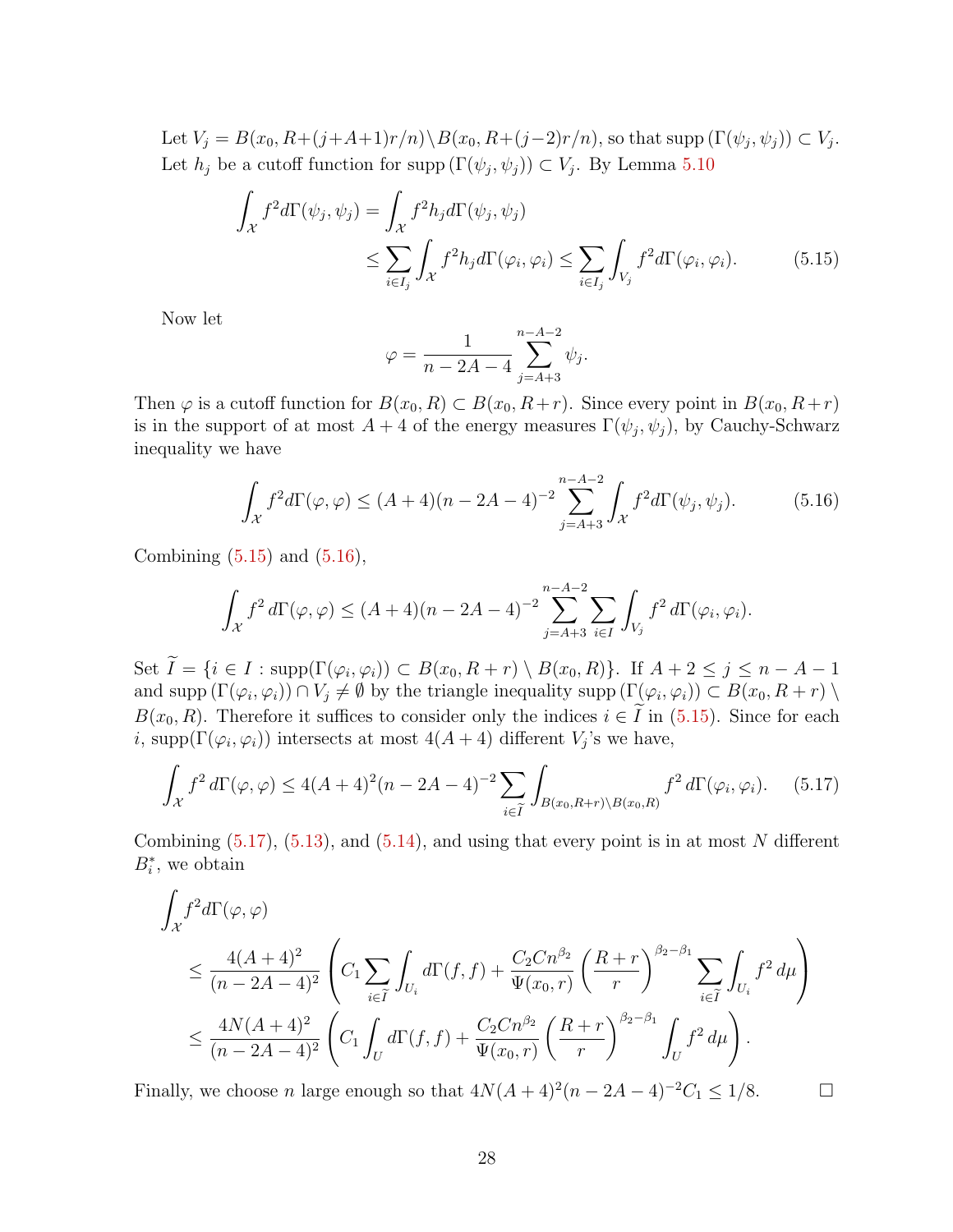Let  $V_j = B(x_0, R+(j+A+1)r/n) \ B(x_0, R+(j-2)r/n)$ , so that supp  $(\Gamma(\psi_j, \psi_j)) \subset V_j$ . Let  $h_j$  be a cutoff function for supp  $(\Gamma(\psi_j, \psi_j)) \subset V_j$ . By Lemma [5.10](#page-26-0)

$$
\int_{\mathcal{X}} f^2 d\Gamma(\psi_j, \psi_j) = \int_{\mathcal{X}} f^2 h_j d\Gamma(\psi_j, \psi_j)
$$
\n
$$
\leq \sum_{i \in I_j} \int_{\mathcal{X}} f^2 h_j d\Gamma(\varphi_i, \varphi_i) \leq \sum_{i \in I_j} \int_{V_j} f^2 d\Gamma(\varphi_i, \varphi_i). \tag{5.15}
$$

Now let

<span id="page-27-0"></span>
$$
\varphi = \frac{1}{n - 2A - 4} \sum_{j = A + 3}^{n - A - 2} \psi_j.
$$

Then  $\varphi$  is a cutoff function for  $B(x_0, R) \subset B(x_0, R+r)$ . Since every point in  $B(x_0, R+r)$ is in the support of at most  $A + 4$  of the energy measures  $\Gamma(\psi_j, \psi_j)$ , by Cauchy-Schwarz inequality we have

<span id="page-27-1"></span>
$$
\int_{\mathcal{X}} f^2 d\Gamma(\varphi, \varphi) \le (A+4)(n-2A-4)^{-2} \sum_{j=A+3}^{n-A-2} \int_{\mathcal{X}} f^2 d\Gamma(\psi_j, \psi_j). \tag{5.16}
$$

Combining  $(5.15)$  and  $(5.16)$ ,

$$
\int_{\mathcal{X}} f^2 d\Gamma(\varphi, \varphi) \le (A+4)(n-2A-4)^{-2} \sum_{j=A+3}^{n-A-2} \sum_{i \in I} \int_{V_j} f^2 d\Gamma(\varphi_i, \varphi_i).
$$

Set  $I = \{i \in I : \text{supp}(\Gamma(\varphi_i, \varphi_i)) \subset B(x_0, R + r) \setminus B(x_0, R)\}.$  If  $A + 2 \leq j \leq n - A - 1$ and supp  $(\Gamma(\varphi_i, \varphi_i)) \cap V_j \neq \emptyset$  by the triangle inequality supp  $(\Gamma(\varphi_i, \varphi_i)) \subset B(x_0, R+r) \setminus$  $B(x_0, R)$ . Therefore it suffices to consider only the indices  $i \in I$  in [\(5.15\)](#page-27-0). Since for each i, supp $(\Gamma(\varphi_i, \varphi_i))$  intersects at most  $4(A + 4)$  different  $V_j$ 's we have,

<span id="page-27-2"></span>
$$
\int_{\mathcal{X}} f^2 d\Gamma(\varphi, \varphi) \le 4(A+4)^2 (n-2A-4)^{-2} \sum_{i \in \tilde{I}} \int_{B(x_0, R+r) \backslash B(x_0, R)} f^2 d\Gamma(\varphi_i, \varphi_i). \tag{5.17}
$$

Combining  $(5.17)$ ,  $(5.13)$ , and  $(5.14)$ , and using that every point is in at most N different  $B_i^*$ , we obtain

$$
\int_{\mathcal{X}} f^{2} d\Gamma(\varphi, \varphi) \leq \frac{4(A+4)^{2}}{(n-2A-4)^{2}} \left( C_{1} \sum_{i \in \widetilde{I}} \int_{U_{i}} d\Gamma(f, f) + \frac{C_{2}Cn^{\beta_{2}}}{\Psi(x_{0}, r)} \left( \frac{R+r}{r} \right)^{\beta_{2} - \beta_{1}} \sum_{i \in \widetilde{I}} \int_{U_{i}} f^{2} d\mu \right) \leq \frac{4N(A+4)^{2}}{(n-2A-4)^{2}} \left( C_{1} \int_{U} d\Gamma(f, f) + \frac{C_{2}Cn^{\beta_{2}}}{\Psi(x_{0}, r)} \left( \frac{R+r}{r} \right)^{\beta_{2} - \beta_{1}} \int_{U} f^{2} d\mu \right).
$$

Finally, we choose *n* large enough so that  $4N(A+4)^2(n-2A-4)^{-2}C_1 \leq 1/8$ .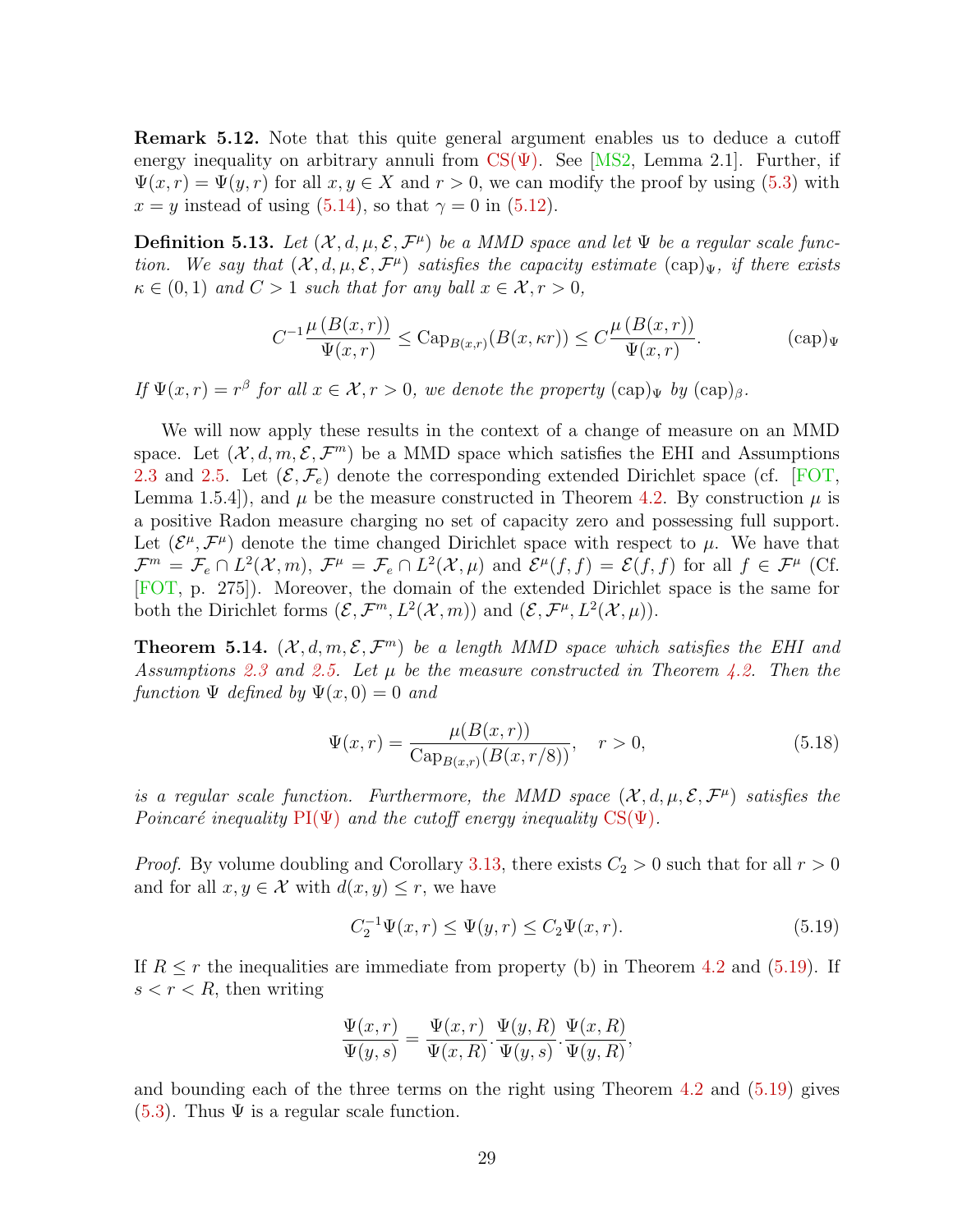<span id="page-28-3"></span>Remark 5.12. Note that this quite general argument enables us to deduce a cutoff energy inequality on arbitrary annuli from  $CS(\Psi)$ . See [\[MS2,](#page-42-10) Lemma 2.1]. Further, if  $\Psi(x, r) = \Psi(y, r)$  for all  $x, y \in X$  and  $r > 0$ , we can modify the proof by using [\(5.3\)](#page-23-1) with  $x = y$  instead of using [\(5.14\)](#page-26-2), so that  $\gamma = 0$  in [\(5.12\)](#page-26-3).

**Definition 5.13.** Let  $(X, d, \mu, \mathcal{E}, \mathcal{F}^{\mu})$  be a MMD space and let  $\Psi$  be a regular scale function. We say that  $(\mathcal{X}, d, \mu, \mathcal{E}, \mathcal{F}^{\mu})$  satisfies the capacity estimate  $(\text{cap})_{\Psi}$ , if there exists  $\kappa \in (0,1)$  and  $C > 1$  such that for any ball  $x \in \mathcal{X}, r > 0$ ,

<span id="page-28-2"></span>
$$
C^{-1} \frac{\mu(B(x,r))}{\Psi(x,r)} \leq \text{Cap}_{B(x,r)}(B(x,\kappa r)) \leq C \frac{\mu(B(x,r))}{\Psi(x,r)}.
$$
 (cap)<sub>W</sub>

If  $\Psi(x,r) = r^{\beta}$  for all  $x \in \mathcal{X}, r > 0$ , we denote the property  $(\text{cap})_{\Psi}$  by  $(\text{cap})_{\beta}$ .

We will now apply these results in the context of a change of measure on an MMD space. Let  $(\mathcal{X}, d, m, \mathcal{E}, \mathcal{F}^m)$  be a MMD space which satisfies the EHI and Assumptions [2.3](#page-8-0) and [2.5.](#page-8-1) Let  $(\mathcal{E}, \mathcal{F}_e)$  denote the corresponding extended Dirichlet space (cf. [\[FOT,](#page-39-10) Lemma 1.5.4), and  $\mu$  be the measure constructed in Theorem [4.2.](#page-16-0) By construction  $\mu$  is a positive Radon measure charging no set of capacity zero and possessing full support. Let  $(\mathcal{E}^{\mu}, \mathcal{F}^{\mu})$  denote the time changed Dirichlet space with respect to  $\mu$ . We have that  $\mathcal{F}^m = \mathcal{F}_e \cap L^2(\mathcal{X}, m)$ ,  $\mathcal{F}^\mu = \mathcal{F}_e \cap L^2(\mathcal{X}, \mu)$  and  $\mathcal{E}^\mu(f, f) = \mathcal{E}(f, f)$  for all  $f \in \mathcal{F}^\mu$  (Cf. [\[FOT,](#page-39-10) p. 275]). Moreover, the domain of the extended Dirichlet space is the same for both the Dirichlet forms  $(\mathcal{E}, \mathcal{F}^m, L^2(\mathcal{X}, m))$  and  $(\mathcal{E}, \mathcal{F}^\mu, L^2(\mathcal{X}, \mu))$ .

<span id="page-28-0"></span>**Theorem 5.14.**  $(\mathcal{X}, d, m, \mathcal{E}, \mathcal{F}^m)$  be a length MMD space which satisfies the EHI and Assumptions [2.3](#page-8-0) and [2.5.](#page-8-1) Let  $\mu$  be the measure constructed in Theorem [4.2.](#page-16-0) Then the function  $\Psi$  defined by  $\Psi(x,0) = 0$  and

$$
\Psi(x,r) = \frac{\mu(B(x,r))}{\text{Cap}_{B(x,r)}(B(x,r/8))}, \quad r > 0,
$$
\n(5.18)

is a regular scale function. Furthermore, the MMD space  $(\mathcal{X}, d, \mu, \mathcal{E}, \mathcal{F}^{\mu})$  satisfies the Poincaré inequality  $PI(\Psi)$  and the cutoff energy inequality  $CS(\Psi)$ .

*Proof.* By volume doubling and Corollary [3.13,](#page-13-1) there exists  $C_2 > 0$  such that for all  $r > 0$ and for all  $x, y \in \mathcal{X}$  with  $d(x, y) \leq r$ , we have

<span id="page-28-1"></span>
$$
C_2^{-1}\Psi(x,r) \le \Psi(y,r) \le C_2\Psi(x,r). \tag{5.19}
$$

If  $R \le r$  the inequalities are immediate from property (b) in Theorem [4.2](#page-16-0) and [\(5.19\)](#page-28-1). If  $s < r < R$ , then writing

$$
\frac{\Psi(x,r)}{\Psi(y,s)} = \frac{\Psi(x,r)}{\Psi(x,R)} \cdot \frac{\Psi(y,R)}{\Psi(y,s)} \cdot \frac{\Psi(x,R)}{\Psi(y,R)},
$$

and bounding each of the three terms on the right using Theorem [4.2](#page-16-0) and [\(5.19\)](#page-28-1) gives  $(5.3)$ . Thus  $\Psi$  is a regular scale function.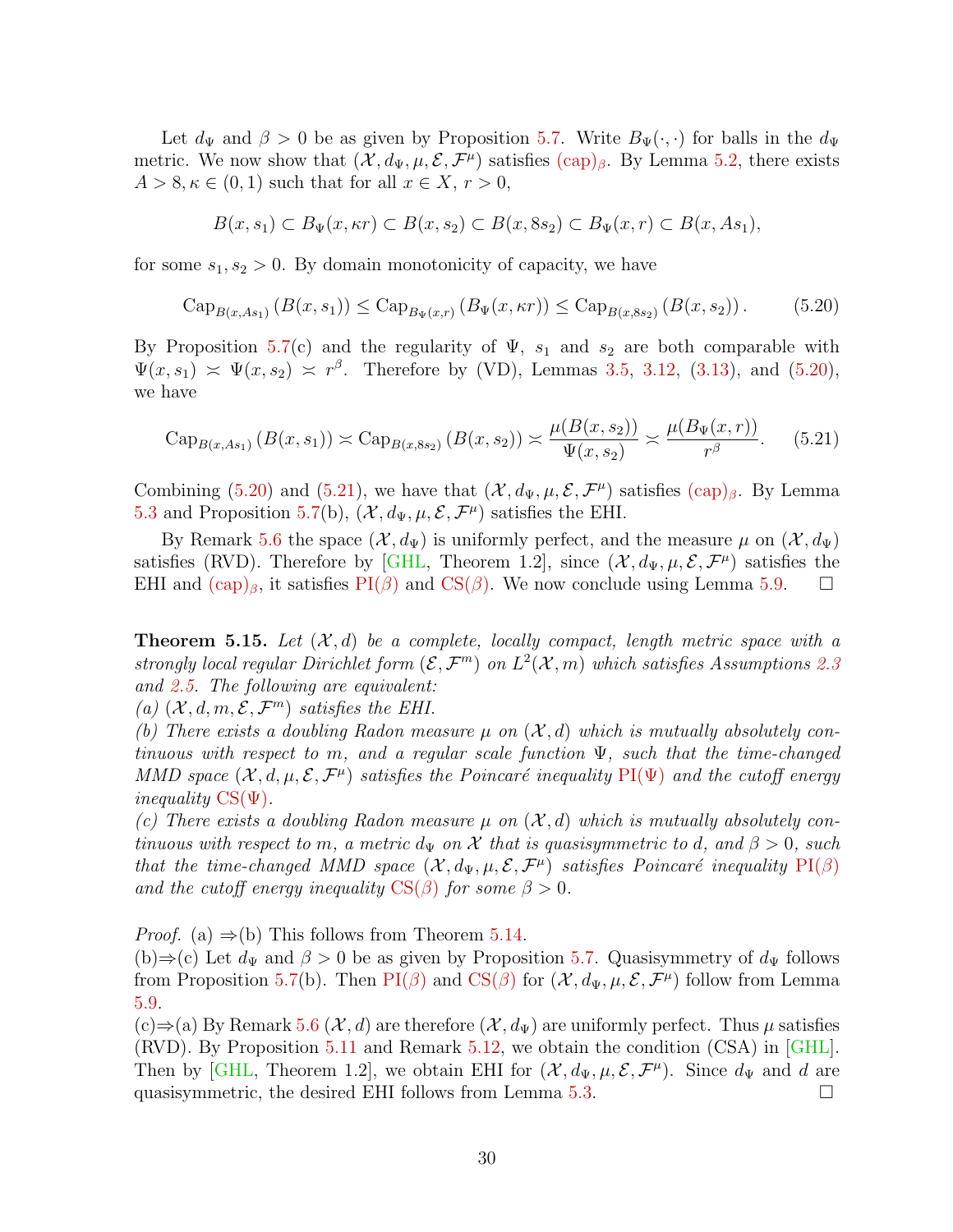Let  $d_{\Psi}$  and  $\beta > 0$  be as given by Proposition [5.7.](#page-23-3) Write  $B_{\Psi}(\cdot, \cdot)$  for balls in the  $d_{\Psi}$ metric. We now show that  $(\mathcal{X}, d_{\Psi}, \mu, \mathcal{E}, \mathcal{F}^{\mu})$  satisfies  $(\text{cap})_{\beta}$ . By Lemma [5.2,](#page-22-2) there exists  $A > 8, \kappa \in (0, 1)$  such that for all  $x \in X, r > 0$ ,

$$
B(x, s_1) \subset B_{\Psi}(x, \kappa r) \subset B(x, s_2) \subset B(x, 8s_2) \subset B_{\Psi}(x, r) \subset B(x, As_1),
$$

for some  $s_1, s_2 > 0$ . By domain monotonicity of capacity, we have

<span id="page-29-1"></span>
$$
Cap_{B(x, As_1)}(B(x, s_1)) \le Cap_{B_{\Psi}(x,r)}(B_{\Psi}(x, \kappa r)) \le Cap_{B(x, 8s_2)}(B(x, s_2)).
$$
 (5.20)

By Proposition [5.7\(](#page-23-3)c) and the regularity of  $\Psi$ ,  $s_1$  and  $s_2$  are both comparable with  $\Psi(x, s_1) \approx \Psi(x, s_2) \approx r^{\beta}$ . Therefore by (VD), Lemmas [3.5,](#page-10-2) [3.12,](#page-13-0) [\(3.13\)](#page-11-1), and [\(5.20\)](#page-29-1), we have

<span id="page-29-2"></span>
$$
\operatorname{Cap}_{B(x,As_1)}\left(B(x,s_1)\right) \asymp \operatorname{Cap}_{B(x,8s_2)}\left(B(x,s_2)\right) \asymp \frac{\mu(B(x,s_2))}{\Psi(x,s_2)} \asymp \frac{\mu(B_{\Psi}(x,r))}{r^{\beta}}.\tag{5.21}
$$

Combining [\(5.20\)](#page-29-1) and [\(5.21\)](#page-29-2), we have that  $(\mathcal{X}, d_{\Psi}, \mu, \mathcal{E}, \mathcal{F}^{\mu})$  satisfies  $(\text{cap})_{\beta}$ . By Lemma [5.3](#page-22-1) and Proposition [5.7\(](#page-23-3)b),  $(\mathcal{X}, d_{\Psi}, \mu, \mathcal{E}, \mathcal{F}^{\mu})$  satisfies the EHI.

By Remark [5.6](#page-23-4) the space  $(\mathcal{X}, d_{\Psi})$  is uniformly perfect, and the measure  $\mu$  on  $(\mathcal{X}, d_{\Psi})$ satisfies (RVD). Therefore by [\[GHL,](#page-40-0) Theorem 1.2], since  $(\mathcal{X}, d_{\Psi}, \mu, \mathcal{E}, \mathcal{F}^{\mu})$  satisfies the EHI and  $(\text{cap})_\beta$ , it satisfies  $\text{PI}(\beta)$  and  $\text{CS}(\beta)$ . We now conclude using Lemma [5.9.](#page-25-4)

<span id="page-29-0"></span>**Theorem 5.15.** Let  $(X, d)$  be a complete, locally compact, length metric space with a strongly local regular Dirichlet form  $(\mathcal{E}, \mathcal{F}^m)$  on  $L^2(\mathcal{X}, m)$  which satisfies Assumptions [2.3](#page-8-0) and [2.5.](#page-8-1) The following are equivalent:

(a)  $(\mathcal{X}, d, m, \mathcal{E}, \mathcal{F}^m)$  satisfies the EHI.

(b) There exists a doubling Radon measure  $\mu$  on  $(\mathcal{X}, d)$  which is mutually absolutely continuous with respect to m, and a regular scale function  $\Psi$ , such that the time-changed MMD space  $(\mathcal{X}, d, \mu, \mathcal{E}, \mathcal{F}^{\mu})$  satisfies the Poincaré inequality  $PI(\Psi)$  and the cutoff energy *inequality*  $CS(\Psi)$ .

(c) There exists a doubling Radon measure  $\mu$  on  $(\mathcal{X}, d)$  which is mutually absolutely continuous with respect to m, a metric  $d_{\Psi}$  on X that is quasisymmetric to d, and  $\beta > 0$ , such that the time-changed MMD space  $(X, d_{\Psi}, \mu, \mathcal{E}, \mathcal{F}^{\mu})$  satisfies Poincaré inequality [PI\(](#page-24-1) $\beta$ ) and the cutoff energy inequality  $CS(\beta)$  $CS(\beta)$  for some  $\beta > 0$ .

*Proof.* (a)  $\Rightarrow$  (b) This follows from Theorem [5.14.](#page-28-0)

(b)⇒(c) Let  $d_{\Psi}$  and  $\beta > 0$  be as given by Proposition [5.7.](#page-23-3) Quasisymmetry of  $d_{\Psi}$  follows from Proposition [5.7\(](#page-23-3)b). Then  $PI(\beta)$  $PI(\beta)$  and  $CS(\beta)$  $CS(\beta)$  for  $(\mathcal{X}, d_{\Psi}, \mu, \mathcal{E}, \mathcal{F}^{\mu})$  follow from Lemma [5.9.](#page-25-4)

(c)⇒(a) By Remark [5.6](#page-23-4) ( $\mathcal{X}, d$ ) are therefore ( $\mathcal{X}, d_{\Psi}$ ) are uniformly perfect. Thus  $\mu$  satisfies (RVD). By Proposition [5.11](#page-26-4) and Remark [5.12,](#page-28-3) we obtain the condition (CSA) in [\[GHL\]](#page-40-0). Then by [\[GHL,](#page-40-0) Theorem 1.2], we obtain EHI for  $(\mathcal{X}, d_{\Psi}, \mu, \mathcal{E}, \mathcal{F}^{\mu})$ . Since  $d_{\Psi}$  and d are quasisymmetric, the desired EHI follows from Lemma [5.3.](#page-22-1)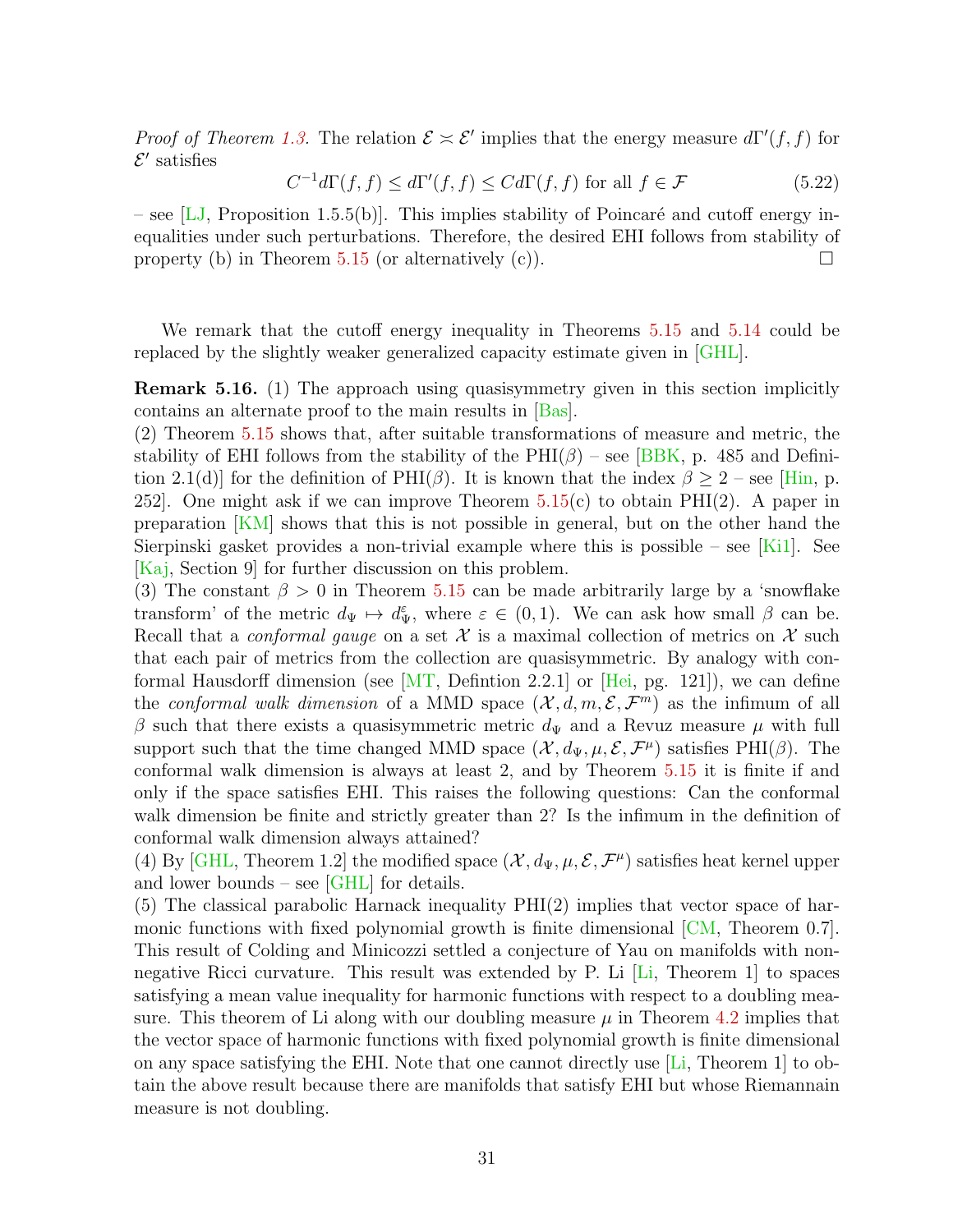*Proof of Theorem [1.3.](#page-4-0)* The relation  $\mathcal{E} \approx \mathcal{E}'$  implies that the energy measure  $d\Gamma'(f, f)$  for  $\mathcal{E}'$  satisfies

$$
C^{-1}d\Gamma(f,f) \le d\Gamma'(f,f) \le Cd\Gamma(f,f) \text{ for all } f \in \mathcal{F}
$$
\n(5.22)

– see [\[LJ,](#page-41-9) Proposition 1.5.5(b)]. This implies stability of Poincaré and cutoff energy inequalities under such perturbations. Therefore, the desired EHI follows from stability of property (b) in Theorem [5.15](#page-29-0) (or alternatively (c)).

We remark that the cutoff energy inequality in Theorems [5.15](#page-29-0) and [5.14](#page-28-0) could be replaced by the slightly weaker generalized capacity estimate given in [\[GHL\]](#page-40-0).

Remark 5.16. (1) The approach using quasisymmetry given in this section implicitly contains an alternate proof to the main results in [\[Bas\]](#page-39-9).

(2) Theorem [5.15](#page-29-0) shows that, after suitable transformations of measure and metric, the stability of EHI follows from the stability of the  $PHI(\beta)$  – see [\[BBK,](#page-39-5) p. 485 and Definition 2.1(d)] for the definition of  $PHI(\beta)$ . It is known that the index  $\beta \geq 2$  – see [\[Hin,](#page-40-7) p. 252. One might ask if we can improve Theorem  $5.15(c)$  $5.15(c)$  to obtain PHI(2). A paper in preparation [\[KM\]](#page-40-8) shows that this is not possible in general, but on the other hand the Sierpinski gasket provides a non-trivial example where this is possible – see [\[Ki1\]](#page-41-10). See [\[Kaj,](#page-40-9) Section 9] for further discussion on this problem.

(3) The constant  $\beta > 0$  in Theorem [5.15](#page-29-0) can be made arbitrarily large by a 'snowflake transform' of the metric  $d_{\Psi} \mapsto d_{\Psi}^{\varepsilon}$ , where  $\varepsilon \in (0,1)$ . We can ask how small  $\beta$  can be. Recall that a *conformal gauge* on a set X is a maximal collection of metrics on X such that each pair of metrics from the collection are quasisymmetric. By analogy with conformal Hausdorff dimension (see  $\left[\text{MT}, \text{Definition } 2.2.1\right]$  or  $\left[\text{Hei}, \text{pg. } 121\right]$ ), we can define the conformal walk dimension of a MMD space  $(\mathcal{X}, d, m, \mathcal{E}, \mathcal{F}^m)$  as the infimum of all  $\beta$  such that there exists a quasisymmetric metric  $d_{\Psi}$  and a Revuz measure  $\mu$  with full support such that the time changed MMD space  $(\mathcal{X}, d_{\Psi}, \mu, \mathcal{E}, \mathcal{F}^{\mu})$  satisfies PHI( $\beta$ ). The conformal walk dimension is always at least 2, and by Theorem [5.15](#page-29-0) it is finite if and only if the space satisfies EHI. This raises the following questions: Can the conformal walk dimension be finite and strictly greater than 2? Is the infimum in the definition of conformal walk dimension always attained?

(4) By [\[GHL,](#page-40-0) Theorem 1.2] the modified space  $(\mathcal{X}, d_{\Psi}, \mu, \mathcal{E}, \mathcal{F}^{\mu})$  satisfies heat kernel upper and lower bounds – see [\[GHL\]](#page-40-0) for details.

(5) The classical parabolic Harnack inequality PHI(2) implies that vector space of harmonic functions with fixed polynomial growth is finite dimensional  $\lfloor CM \rfloor$ , Theorem 0.7. This result of Colding and Minicozzi settled a conjecture of Yau on manifolds with nonnegative Ricci curvature. This result was extended by P. Li [\[Li,](#page-41-11) Theorem 1] to spaces satisfying a mean value inequality for harmonic functions with respect to a doubling measure. This theorem of Li along with our doubling measure  $\mu$  in Theorem [4.2](#page-16-0) implies that the vector space of harmonic functions with fixed polynomial growth is finite dimensional on any space satisfying the EHI. Note that one cannot directly use  $[Li,$  Theorem 1 to obtain the above result because there are manifolds that satisfy EHI but whose Riemannain measure is not doubling.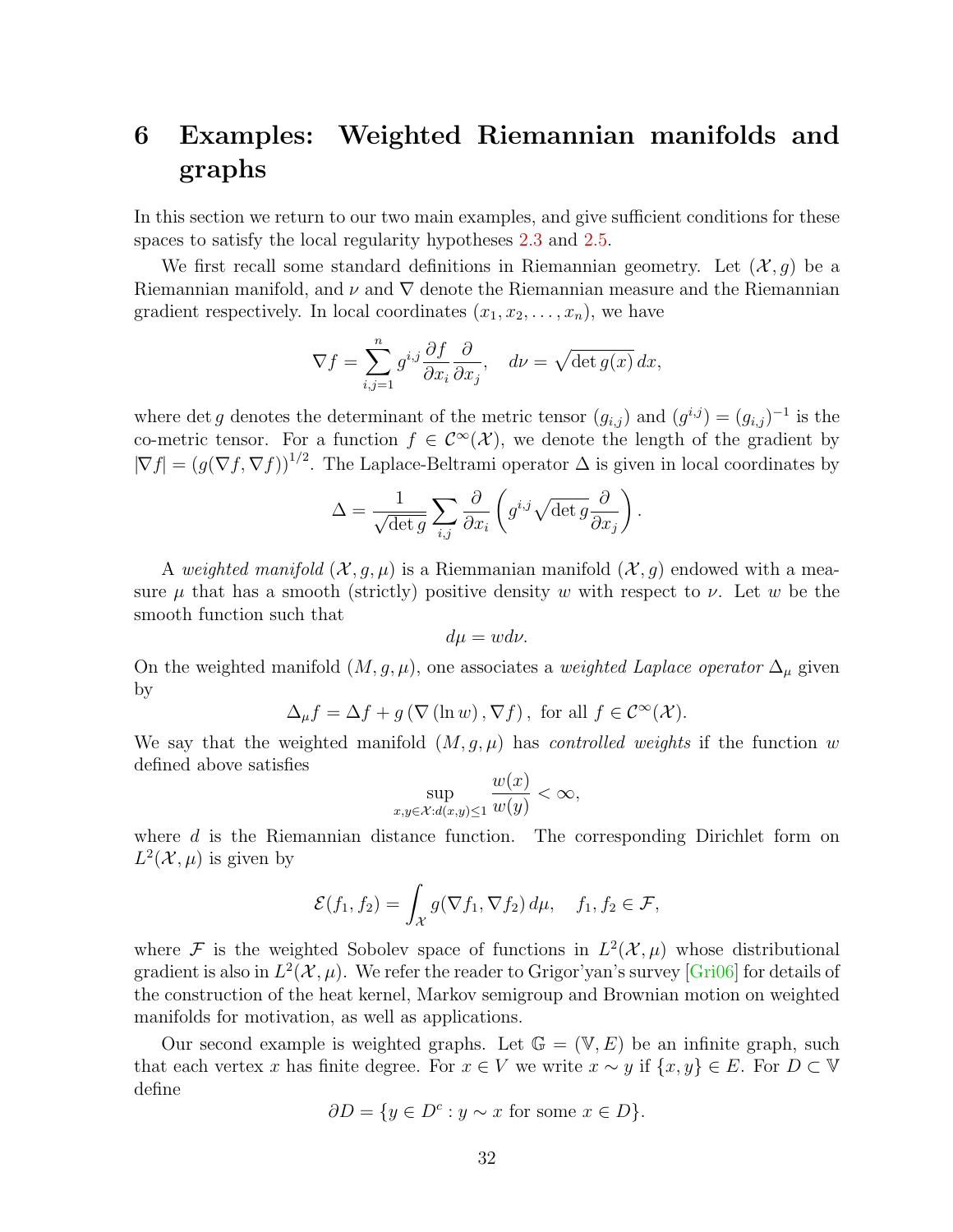# <span id="page-31-0"></span>6 Examples: Weighted Riemannian manifolds and graphs

In this section we return to our two main examples, and give sufficient conditions for these spaces to satisfy the local regularity hypotheses [2.3](#page-8-0) and [2.5.](#page-8-1)

We first recall some standard definitions in Riemannian geometry. Let  $(\mathcal{X}, g)$  be a Riemannian manifold, and  $\nu$  and  $\nabla$  denote the Riemannian measure and the Riemannian gradient respectively. In local coordinates  $(x_1, x_2, \ldots, x_n)$ , we have

$$
\nabla f = \sum_{i,j=1}^n g^{i,j} \frac{\partial f}{\partial x_i} \frac{\partial}{\partial x_j}, \quad d\nu = \sqrt{\det g(x)} \, dx,
$$

where det g denotes the determinant of the metric tensor  $(g_{i,j})$  and  $(g^{i,j}) = (g_{i,j})^{-1}$  is the co-metric tensor. For a function  $f \in C^{\infty}(\mathcal{X})$ , we denote the length of the gradient by  $|\nabla f| = (g(\nabla f, \nabla f))^{1/2}$ . The Laplace-Beltrami operator  $\Delta$  is given in local coordinates by

$$
\Delta = \frac{1}{\sqrt{\det g}} \sum_{i,j} \frac{\partial}{\partial x_i} \left( g^{i,j} \sqrt{\det g} \frac{\partial}{\partial x_j} \right).
$$

A weighted manifold  $(\mathcal{X}, g, \mu)$  is a Riemmanian manifold  $(\mathcal{X}, g)$  endowed with a measure  $\mu$  that has a smooth (strictly) positive density w with respect to  $\nu$ . Let w be the smooth function such that

$$
d\mu = w d\nu.
$$

On the weighted manifold  $(M, g, \mu)$ , one associates a *weighted Laplace operator*  $\Delta_{\mu}$  given by

$$
\Delta_{\mu} f = \Delta f + g \left( \nabla \left( \ln w \right), \nabla f \right), \text{ for all } f \in \mathcal{C}^{\infty}(\mathcal{X}).
$$

We say that the weighted manifold  $(M, g, \mu)$  has *controlled weights* if the function w defined above satisfies

$$
\sup_{x,y \in \mathcal{X}: d(x,y) \le 1} \frac{w(x)}{w(y)} < \infty,
$$

where d is the Riemannian distance function. The corresponding Dirichlet form on  $L^2(\mathcal{X}, \mu)$  is given by

$$
\mathcal{E}(f_1, f_2) = \int_{\mathcal{X}} g(\nabla f_1, \nabla f_2) d\mu, \quad f_1, f_2 \in \mathcal{F},
$$

where F is the weighted Sobolev space of functions in  $L^2(\mathcal{X}, \mu)$  whose distributional gradient is also in  $L^2(\mathcal{X}, \mu)$ . We refer the reader to Grigor'yan's survey [\[Gri06\]](#page-39-6) for details of the construction of the heat kernel, Markov semigroup and Brownian motion on weighted manifolds for motivation, as well as applications.

Our second example is weighted graphs. Let  $\mathbb{G} = (\mathbb{V}, E)$  be an infinite graph, such that each vertex x has finite degree. For  $x \in V$  we write  $x \sim y$  if  $\{x, y\} \in E$ . For  $D \subset V$ define

$$
\partial D = \{ y \in D^c : y \sim x \text{ for some } x \in D \}.
$$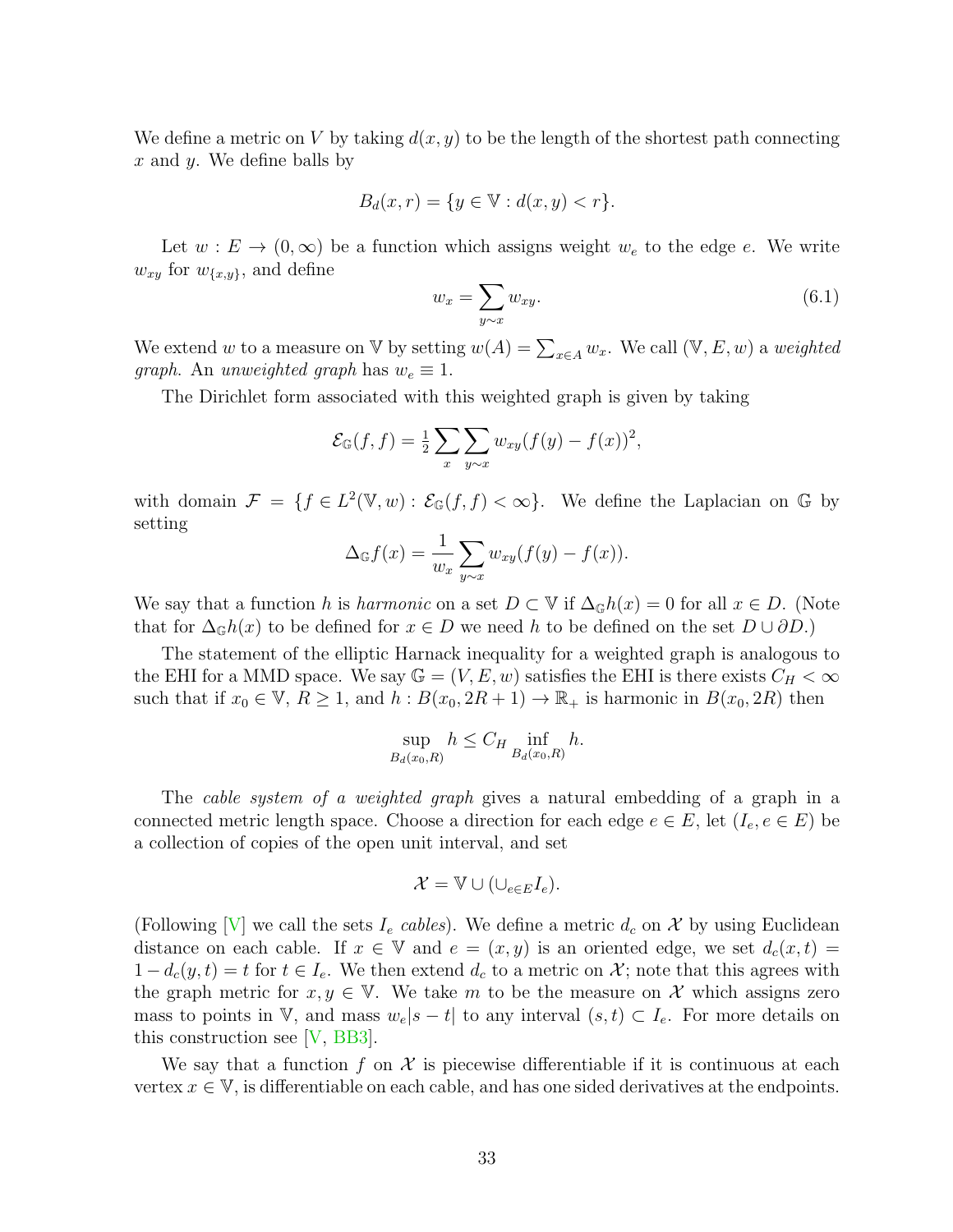We define a metric on V by taking  $d(x, y)$  to be the length of the shortest path connecting  $x$  and  $y$ . We define balls by

$$
B_d(x,r) = \{ y \in \mathbb{V} : d(x,y) < r \}.
$$

Let  $w : E \to (0, \infty)$  be a function which assigns weight  $w_e$  to the edge e. We write  $w_{xy}$  for  $w_{\{x,y\}}$ , and define

<span id="page-32-0"></span>
$$
w_x = \sum_{y \sim x} w_{xy}.\tag{6.1}
$$

We extend w to a measure on V by setting  $w(A) = \sum_{x \in A} w_x$ . We call  $(\mathbb{V}, E, w)$  a weighted *graph.* An unweighted graph has  $w_e \equiv 1$ .

The Dirichlet form associated with this weighted graph is given by taking

$$
\mathcal{E}_{\mathbb{G}}(f,f) = \frac{1}{2} \sum_{x} \sum_{y \sim x} w_{xy} (f(y) - f(x))^2,
$$

with domain  $\mathcal{F} = \{f \in L^2(\mathbb{V}, w) : \mathcal{E}_{\mathbb{G}}(f, f) < \infty\}$ . We define the Laplacian on G by setting

$$
\Delta_{\mathbb{G}}f(x) = \frac{1}{w_x} \sum_{y \sim x} w_{xy}(f(y) - f(x)).
$$

We say that a function h is harmonic on a set  $D \subset \mathbb{V}$  if  $\Delta_{\mathbb{G}}h(x) = 0$  for all  $x \in D$ . (Note that for  $\Delta_{\mathbb{G}}h(x)$  to be defined for  $x \in D$  we need h to be defined on the set  $D \cup \partial D$ .)

The statement of the elliptic Harnack inequality for a weighted graph is analogous to the EHI for a MMD space. We say  $\mathbb{G} = (V, E, w)$  satisfies the EHI is there exists  $C_H < \infty$ such that if  $x_0 \in \mathbb{V}$ ,  $R \ge 1$ , and  $h : B(x_0, 2R + 1) \to \mathbb{R}_+$  is harmonic in  $B(x_0, 2R)$  then

$$
\sup_{B_d(x_0,R)} h \le C_H \inf_{B_d(x_0,R)} h.
$$

The *cable system of a weighted graph* gives a natural embedding of a graph in a connected metric length space. Choose a direction for each edge  $e \in E$ , let  $(I_e, e \in E)$  be a collection of copies of the open unit interval, and set

$$
\mathcal{X}=\mathbb{V}\cup(\cup_{e\in E}I_e).
$$

(Following  $[V]$  we call the sets  $I_e$  cables). We define a metric  $d_c$  on X by using Euclidean distance on each cable. If  $x \in V$  and  $e = (x, y)$  is an oriented edge, we set  $d_c(x, t) =$  $1 - d_c(y, t) = t$  for  $t \in I_e$ . We then extend  $d_c$  to a metric on X; note that this agrees with the graph metric for  $x, y \in V$ . We take m to be the measure on X which assigns zero mass to points in V, and mass  $w_e|s-t|$  to any interval  $(s,t) \subset I_e$ . For more details on this construction see [\[V,](#page-42-11) [BB3\]](#page-38-1).

We say that a function f on  $\mathcal X$  is piecewise differentiable if it is continuous at each vertex  $x \in V$ , is differentiable on each cable, and has one sided derivatives at the endpoints.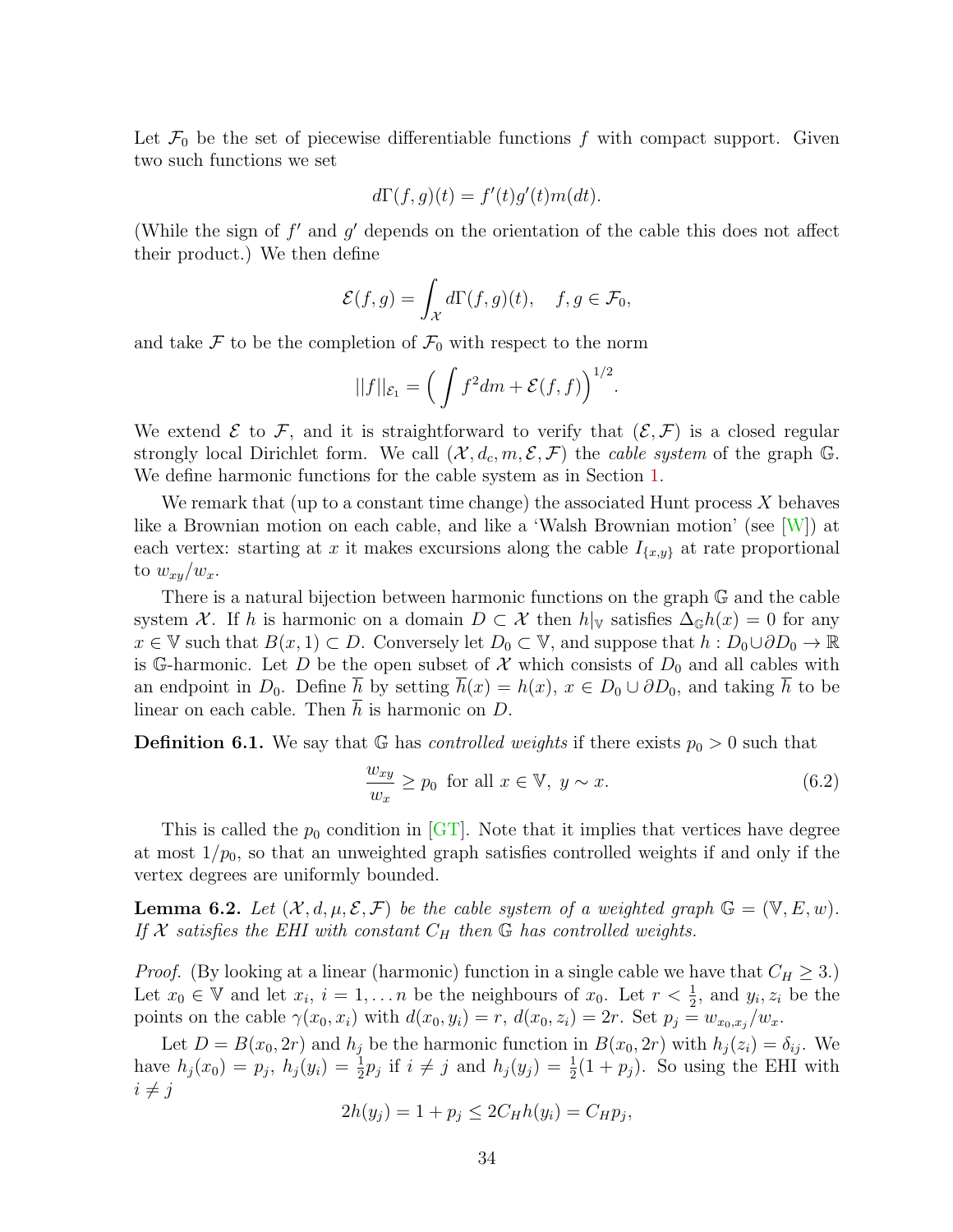Let  $\mathcal{F}_0$  be the set of piecewise differentiable functions f with compact support. Given two such functions we set

$$
d\Gamma(f,g)(t) = f'(t)g'(t)m(dt).
$$

(While the sign of  $f'$  and  $g'$  depends on the orientation of the cable this does not affect their product.) We then define

$$
\mathcal{E}(f,g) = \int_{\mathcal{X}} d\Gamma(f,g)(t), \quad f, g \in \mathcal{F}_0,
$$

and take  $\mathcal F$  to be the completion of  $\mathcal F_0$  with respect to the norm

$$
||f||_{\mathcal{E}_1} = \left(\int f^2 dm + \mathcal{E}(f,f)\right)^{1/2}.
$$

We extend  $\mathcal E$  to  $\mathcal F$ , and it is straightforward to verify that  $(\mathcal E, \mathcal F)$  is a closed regular strongly local Dirichlet form. We call  $(\mathcal{X}, d_c, m, \mathcal{E}, \mathcal{F})$  the *cable system* of the graph G. We define harmonic functions for the cable system as in Section [1.](#page-0-1)

We remark that (up to a constant time change) the associated Hunt process  $X$  behaves like a Brownian motion on each cable, and like a 'Walsh Brownian motion' (see [\[W\]](#page-42-12)) at each vertex: starting at x it makes excursions along the cable  $I_{\{x,y\}}$  at rate proportional to  $w_{xy}/w_x$ .

There is a natural bijection between harmonic functions on the graph G and the cable system X. If h is harmonic on a domain  $D \subset \mathcal{X}$  then  $h|_{\mathbb{V}}$  satisfies  $\Delta_{\mathbb{G}}h(x) = 0$  for any  $x \in \mathbb{V}$  such that  $B(x, 1) \subset D$ . Conversely let  $D_0 \subset \mathbb{V}$ , and suppose that  $h : D_0 \cup \partial D_0 \to \mathbb{R}$ is G-harmonic. Let D be the open subset of X which consists of  $D_0$  and all cables with an endpoint in  $D_0$ . Define  $\overline{h}$  by setting  $\overline{h}(x) = h(x)$ ,  $x \in D_0 \cup \partial D_0$ , and taking  $\overline{h}$  to be linear on each cable. Then  $\overline{h}$  is harmonic on D.

**Definition 6.1.** We say that G has *controlled weights* if there exists  $p_0 > 0$  such that

$$
\frac{w_{xy}}{w_x} \ge p_0 \text{ for all } x \in \mathbb{V}, y \sim x. \tag{6.2}
$$

This is called the  $p_0$  condition in [\[GT\]](#page-40-10). Note that it implies that vertices have degree at most  $1/p_0$ , so that an unweighted graph satisfies controlled weights if and only if the vertex degrees are uniformly bounded.

**Lemma 6.2.** Let  $(\mathcal{X}, d, \mu, \mathcal{E}, \mathcal{F})$  be the cable system of a weighted graph  $\mathbb{G} = (\mathbb{V}, E, w)$ . If X satisfies the EHI with constant  $C_H$  then  $\mathbb G$  has controlled weights.

*Proof.* (By looking at a linear (harmonic) function in a single cable we have that  $C_H \geq 3$ .) Let  $x_0 \in V$  and let  $x_i$ ,  $i = 1, \ldots n$  be the neighbours of  $x_0$ . Let  $r < \frac{1}{2}$ , and  $y_i, z_i$  be the points on the cable  $\gamma(x_0, x_i)$  with  $d(x_0, y_i) = r$ ,  $d(x_0, z_i) = 2r$ . Set  $p_j = w_{x_0, x_j}/w_x$ .

Let  $D = B(x_0, 2r)$  and  $h_j$  be the harmonic function in  $B(x_0, 2r)$  with  $h_j(z_i) = \delta_{ij}$ . We have  $h_j(x_0) = p_j$ ,  $h_j(y_i) = \frac{1}{2}p_j$  if  $i \neq j$  and  $h_j(y_j) = \frac{1}{2}(1 + p_j)$ . So using the EHI with  $i \neq i$ 

$$
2h(y_j) = 1 + p_j \le 2C_H h(y_i) = C_H p_j,
$$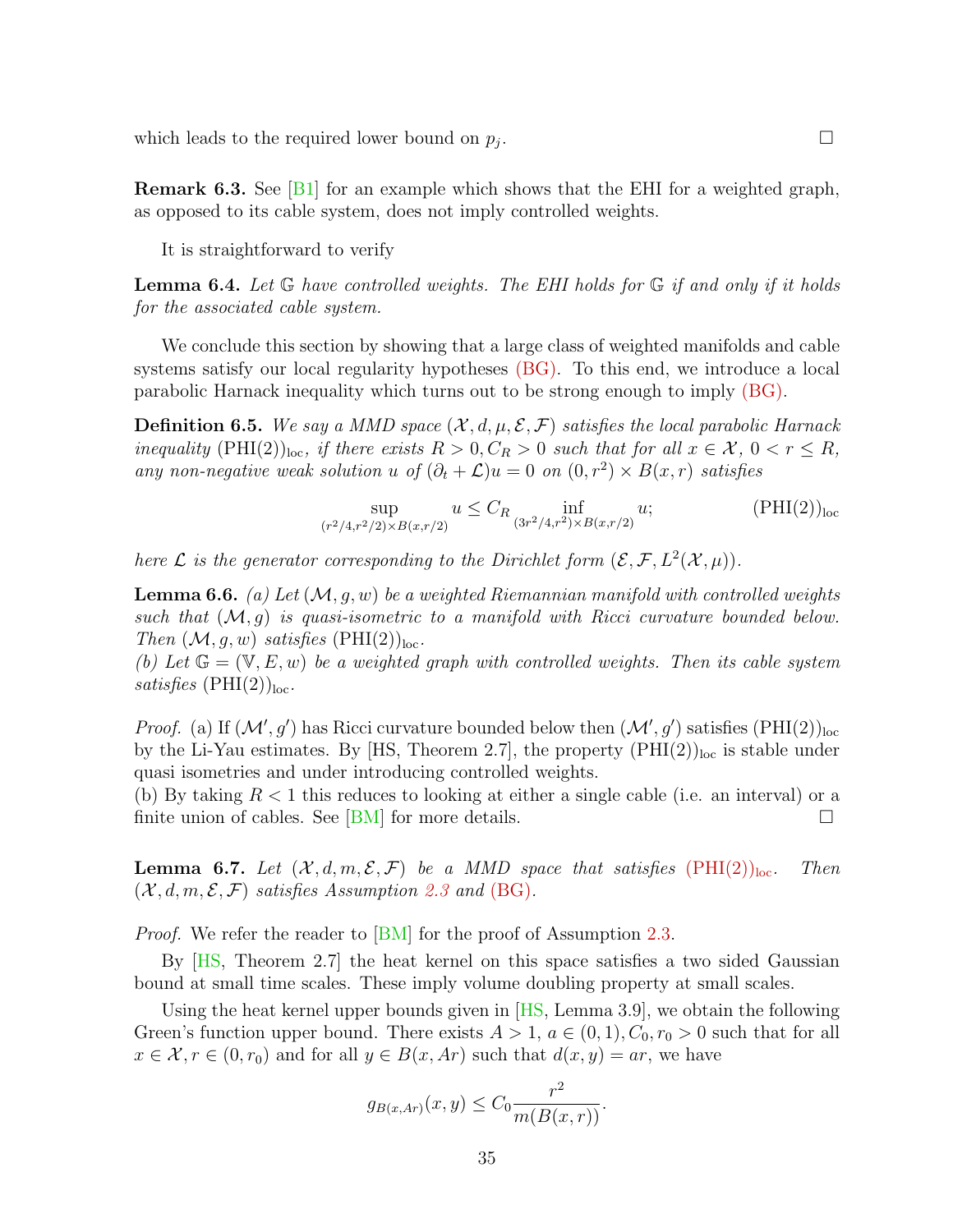which leads to the required lower bound on  $p_i$ .

**Remark 6.3.** See [\[B1\]](#page-38-3) for an example which shows that the EHI for a weighted graph, as opposed to its cable system, does not imply controlled weights.

It is straightforward to verify

**Lemma 6.4.** Let  $\mathbb{G}$  have controlled weights. The EHI holds for  $\mathbb{G}$  if and only if it holds for the associated cable system.

We conclude this section by showing that a large class of weighted manifolds and cable systems satisfy our local regularity hypotheses [\(BG\).](#page-8-2) To this end, we introduce a local parabolic Harnack inequality which turns out to be strong enough to imply [\(BG\).](#page-8-2)

**Definition 6.5.** We say a MMD space  $(\mathcal{X}, d, \mu, \mathcal{E}, \mathcal{F})$  satisfies the local parabolic Harnack inequality  $(PHI(2))<sub>loc</sub>,$  if there exists  $R > 0, C_R > 0$  such that for all  $x \in \mathcal{X}, 0 < r \leq R$ , any non-negative weak solution u of  $(\partial_t + \mathcal{L})u = 0$  on  $(0, r^2) \times B(x, r)$  satisfies

<span id="page-34-0"></span>
$$
\sup_{(r^2/4,r^2/2)\times B(x,r/2)} u \le C_R \inf_{(3r^2/4,r^2)\times B(x,r/2)} u;
$$
 (PHI(2))<sub>loc</sub>

here  $\mathcal L$  is the generator corresponding to the Dirichlet form  $(\mathcal E, \mathcal F, L^2(\mathcal X, \mu)).$ 

<span id="page-34-1"></span>**Lemma 6.6.** (a) Let  $(M, g, w)$  be a weighted Riemannian manifold with controlled weights such that  $(M, g)$  is quasi-isometric to a manifold with Ricci curvature bounded below. Then  $(M, g, w)$  satisfies  $(PHI(2))_{loc}$ .

(b) Let  $\mathbb{G} = (\mathbb{V}, E, w)$  be a weighted graph with controlled weights. Then its cable system satisfies  $(PHI(2))_{loc}$ .

*Proof.* (a) If  $(M', g')$  has Ricci curvature bounded below then  $(M', g')$  satisfies  $(PHI(2))_{loc}$ by the Li-Yau estimates. By [HS, Theorem 2.7], the property  $(PHI(2))<sub>loc</sub>$  is stable under quasi isometries and under introducing controlled weights.

(b) By taking  $R < 1$  this reduces to looking at either a single cable (i.e. an interval) or a finite union of cables. See [\[BM\]](#page-39-12) for more details.  $\square$ 

<span id="page-34-2"></span>**Lemma 6.7.** Let  $(\mathcal{X}, d, m, \mathcal{E}, \mathcal{F})$  be a MMD space that satisfies  $(PHI(2))_{loc}$  $(PHI(2))_{loc}$ . Then  $(\mathcal{X}, d, m, \mathcal{E}, \mathcal{F})$  satisfies Assumption [2.3](#page-8-0) and [\(BG\)](#page-8-2).

*Proof.* We refer the reader to [\[BM\]](#page-39-12) for the proof of Assumption [2.3.](#page-8-0)

By [\[HS,](#page-40-11) Theorem 2.7] the heat kernel on this space satisfies a two sided Gaussian bound at small time scales. These imply volume doubling property at small scales.

Using the heat kernel upper bounds given in [\[HS,](#page-40-11) Lemma 3.9], we obtain the following Green's function upper bound. There exists  $A > 1$ ,  $a \in (0, 1)$ ,  $C_0$ ,  $r_0 > 0$  such that for all  $x \in \mathcal{X}, r \in (0, r_0)$  and for all  $y \in B(x, Ar)$  such that  $d(x, y) = ar$ , we have

$$
g_{B(x,Ar)}(x,y) \leq C_0 \frac{r^2}{m(B(x,r))}.
$$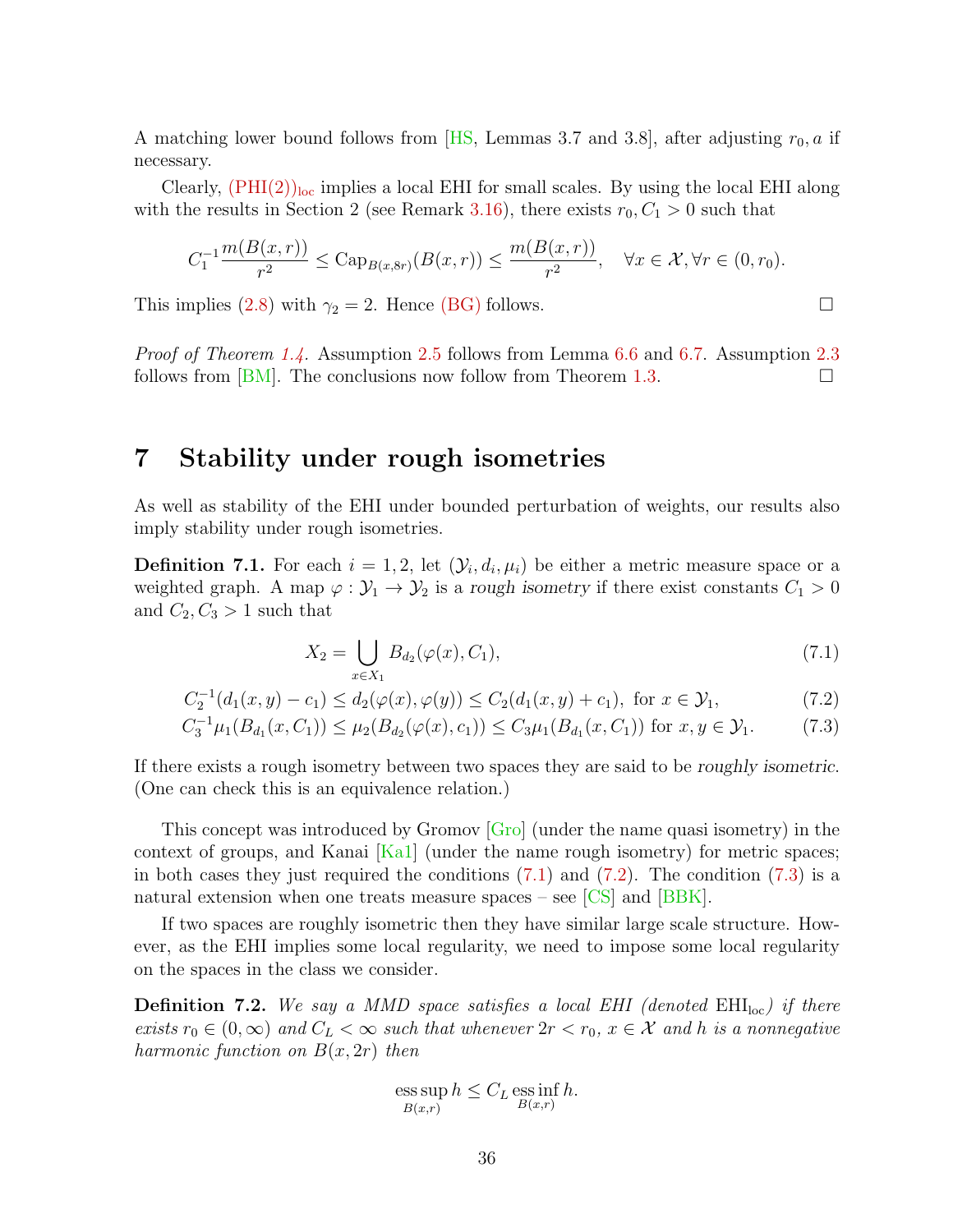A matching lower bound follows from [\[HS,](#page-40-11) Lemmas 3.7 and 3.8], after adjusting  $r_0$ , a if necessary.

Clearly,  $(PHI(2))<sub>loc</sub>$  $(PHI(2))<sub>loc</sub>$  implies a local EHI for small scales. By using the local EHI along with the results in Section 2 (see Remark [3.16\)](#page-15-6), there exists  $r_0, C_1 > 0$  such that

$$
C_1^{-1} \frac{m(B(x,r))}{r^2} \leq \text{Cap}_{B(x,8r)}(B(x,r)) \leq \frac{m(B(x,r))}{r^2}, \quad \forall x \in \mathcal{X}, \forall r \in (0,r_0).
$$

This implies [\(2.8\)](#page-9-4) with  $\gamma_2 = 2$ . Hence [\(BG\)](#page-8-2) follows.

Proof of Theorem [1.4.](#page-4-2) Assumption [2.5](#page-8-1) follows from Lemma [6.6](#page-34-1) and [6.7.](#page-34-2) Assumption [2.3](#page-8-0) follows from  $[BM]$ . The conclusions now follow from Theorem [1.3.](#page-4-0)

#### <span id="page-35-0"></span>7 Stability under rough isometries

As well as stability of the EHI under bounded perturbation of weights, our results also imply stability under rough isometries.

**Definition 7.1.** For each  $i = 1, 2$ , let  $(\mathcal{Y}_i, d_i, \mu_i)$  be either a metric measure space or a weighted graph. A map  $\varphi : \mathcal{Y}_1 \to \mathcal{Y}_2$  is a rough isometry if there exist constants  $C_1 > 0$ and  $C_2, C_3 > 1$  such that

<span id="page-35-3"></span><span id="page-35-2"></span><span id="page-35-1"></span>
$$
X_2 = \bigcup_{x \in X_1} B_{d_2}(\varphi(x), C_1), \tag{7.1}
$$

$$
C_2^{-1}(d_1(x,y) - c_1) \le d_2(\varphi(x), \varphi(y)) \le C_2(d_1(x,y) + c_1), \text{ for } x \in \mathcal{Y}_1,
$$
\n(7.2)

$$
C_3^{-1}\mu_1(B_{d_1}(x, C_1)) \le \mu_2(B_{d_2}(\varphi(x), c_1)) \le C_3\mu_1(B_{d_1}(x, C_1)) \text{ for } x, y \in \mathcal{Y}_1. \tag{7.3}
$$

If there exists a rough isometry between two spaces they are said to be roughly isometric. (One can check this is an equivalence relation.)

This concept was introduced by Gromov [\[Gro\]](#page-40-12) (under the name quasi isometry) in the context of groups, and Kanai  $[Ka1]$  (under the name rough isometry) for metric spaces; in both cases they just required the conditions  $(7.1)$  and  $(7.2)$ . The condition  $(7.3)$  is a natural extension when one treats measure spaces – see  $\text{[CS]}$  and  $\text{[BBK]}$ .

If two spaces are roughly isometric then they have similar large scale structure. However, as the EHI implies some local regularity, we need to impose some local regularity on the spaces in the class we consider.

**Definition 7.2.** We say a MMD space satisfies a local EHI (denoted  $EHI<sub>loc</sub>$ ) if there exists  $r_0 \in (0,\infty)$  and  $C_L < \infty$  such that whenever  $2r < r_0$ ,  $x \in \mathcal{X}$  and h is a nonnegative harmonic function on  $B(x, 2r)$  then

ess sup 
$$
h \leq C_L
$$
 ess inf  $h$ .  
 $B(x,r)$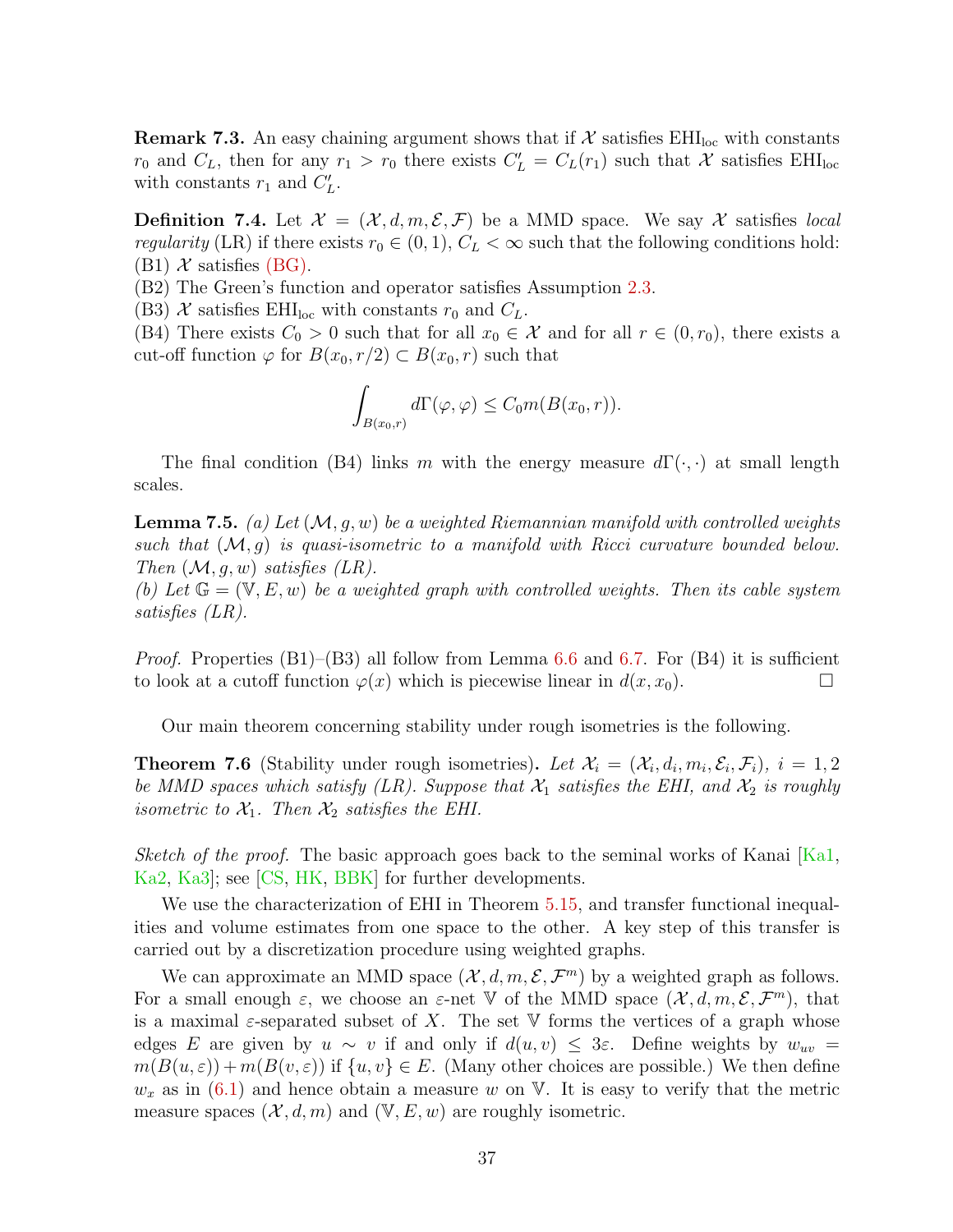**Remark 7.3.** An easy chaining argument shows that if  $\mathcal{X}$  satisfies EHI<sub>loc</sub> with constants  $r_0$  and  $C_L$ , then for any  $r_1 > r_0$  there exists  $C'_L = C_L(r_1)$  such that X satisfies EHI<sub>loc</sub> with constants  $r_1$  and  $C'_L$ .

**Definition 7.4.** Let  $\mathcal{X} = (\mathcal{X}, d, m, \mathcal{E}, \mathcal{F})$  be a MMD space. We say X satisfies local regularity (LR) if there exists  $r_0 \in (0,1)$ ,  $C_L < \infty$  such that the following conditions hold:  $(B1)$  X satisfies [\(BG\).](#page-8-2)

(B2) The Green's function and operator satisfies Assumption [2.3.](#page-8-0)

(B3) X satisfies EHI<sub>loc</sub> with constants  $r_0$  and  $C_L$ .

(B4) There exists  $C_0 > 0$  such that for all  $x_0 \in \mathcal{X}$  and for all  $r \in (0, r_0)$ , there exists a cut-off function  $\varphi$  for  $B(x_0, r/2) \subset B(x_0, r)$  such that

$$
\int_{B(x_0,r)} d\Gamma(\varphi,\varphi) \le C_0 m(B(x_0,r)).
$$

The final condition (B4) links m with the energy measure  $d\Gamma(\cdot,\cdot)$  at small length scales.

<span id="page-36-0"></span>**Lemma 7.5.** (a) Let  $(M, q, w)$  be a weighted Riemannian manifold with controlled weights such that  $(M, g)$  is quasi-isometric to a manifold with Ricci curvature bounded below. Then  $(M, q, w)$  satisfies  $(LR)$ .

(b) Let  $\mathbb{G} = (\mathbb{V}, E, w)$  be a weighted graph with controlled weights. Then its cable system satisfies (LR).

*Proof.* Properties  $(B1)$ – $(B3)$  all follow from Lemma [6.6](#page-34-1) and [6.7.](#page-34-2) For  $(B4)$  it is sufficient to look at a cutoff function  $\varphi(x)$  which is piecewise linear in  $d(x, x_0)$ .

Our main theorem concerning stability under rough isometries is the following.

<span id="page-36-1"></span>**Theorem 7.6** (Stability under rough isometries). Let  $\mathcal{X}_i = (\mathcal{X}_i, d_i, m_i, \mathcal{E}_i, \mathcal{F}_i)$ ,  $i = 1, 2$ be MMD spaces which satisfy (LR). Suppose that  $\mathcal{X}_1$  satisfies the EHI, and  $\mathcal{X}_2$  is roughly isometric to  $\mathcal{X}_1$ . Then  $\mathcal{X}_2$  satisfies the EHI.

Sketch of the proof. The basic approach goes back to the seminal works of Kanai  $[Ka1,$ [Ka2,](#page-41-12) [Ka3\]](#page-41-13); see [\[CS,](#page-39-4) [HK,](#page-40-13) [BBK\]](#page-39-5) for further developments.

We use the characterization of EHI in Theorem [5.15,](#page-29-0) and transfer functional inequalities and volume estimates from one space to the other. A key step of this transfer is carried out by a discretization procedure using weighted graphs.

We can approximate an MMD space  $(\mathcal{X}, d, m, \mathcal{E}, \mathcal{F}^m)$  by a weighted graph as follows. For a small enough  $\varepsilon$ , we choose an  $\varepsilon$ -net V of the MMD space  $(\mathcal{X}, d, m, \mathcal{E}, \mathcal{F}^m)$ , that is a maximal  $\varepsilon$ -separated subset of X. The set V forms the vertices of a graph whose edges E are given by  $u \sim v$  if and only if  $d(u, v) \leq 3\varepsilon$ . Define weights by  $w_{uv} =$  $m(B(u, \varepsilon)) + m(B(v, \varepsilon))$  if  $\{u, v\} \in E$ . (Many other choices are possible.) We then define  $w_x$  as in [\(6.1\)](#page-32-0) and hence obtain a measure w on V. It is easy to verify that the metric measure spaces  $(\mathcal{X}, d, m)$  and  $(\mathbb{V}, E, w)$  are roughly isometric.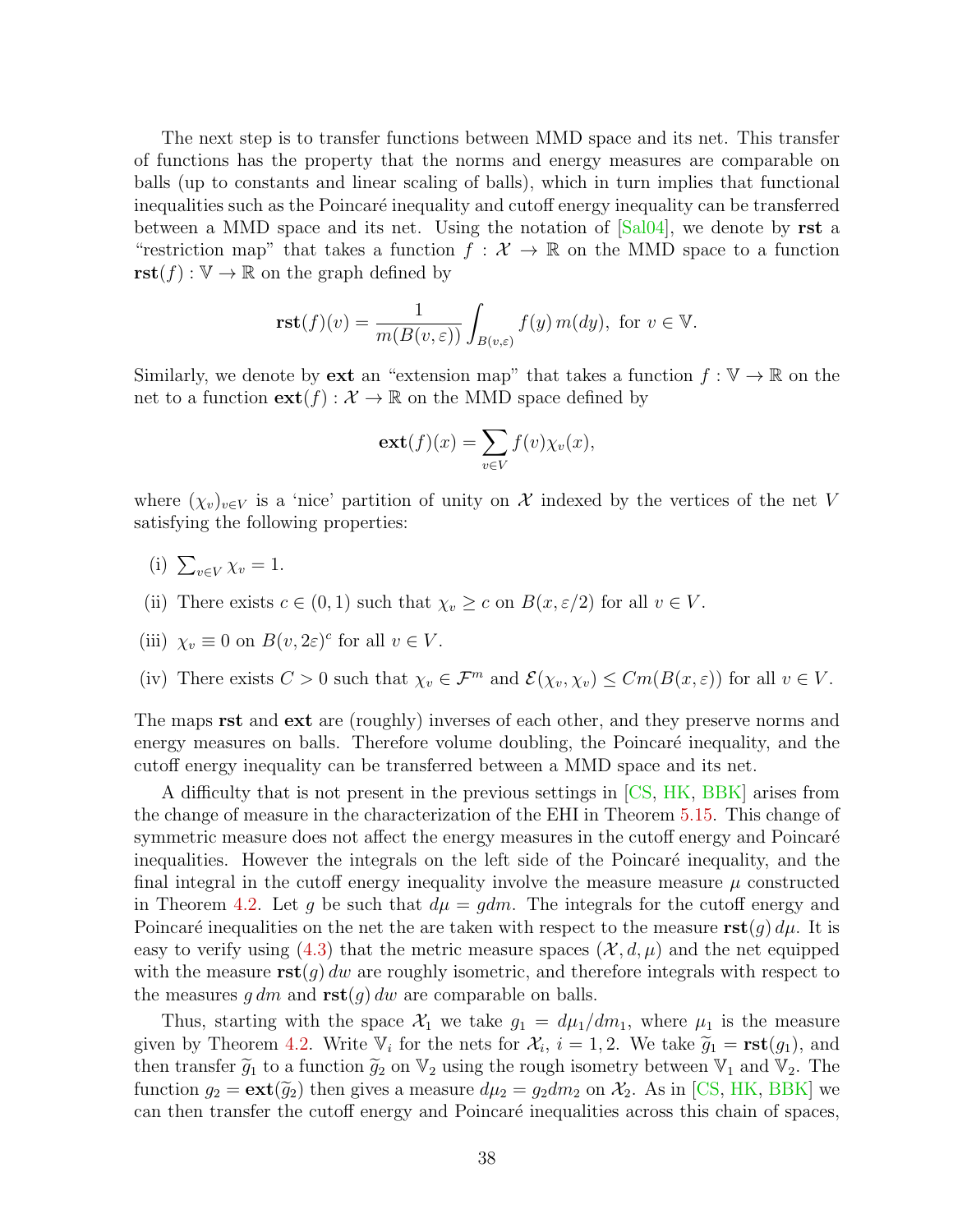The next step is to transfer functions between MMD space and its net. This transfer of functions has the property that the norms and energy measures are comparable on balls (up to constants and linear scaling of balls), which in turn implies that functional inequalities such as the Poincaré inequality and cutoff energy inequality can be transferred between a MMD space and its net. Using the notation of  $\lceil \text{Sal04} \rceil$ , we denote by rst a "restriction map" that takes a function  $f: \mathcal{X} \to \mathbb{R}$  on the MMD space to a function  $\text{rst}(f): \mathbb{V} \to \mathbb{R}$  on the graph defined by

$$
\mathbf{rst}(f)(v) = \frac{1}{m(B(v, \varepsilon))} \int_{B(v, \varepsilon)} f(y) m(dy), \text{ for } v \in \mathbb{V}.
$$

Similarly, we denote by **ext** an "extension map" that takes a function  $f : \mathbb{V} \to \mathbb{R}$  on the net to a function  $ext(f) : \mathcal{X} \to \mathbb{R}$  on the MMD space defined by

$$
\mathbf{ext}(f)(x) = \sum_{v \in V} f(v) \chi_v(x),
$$

where  $(\chi_v)_{v\in V}$  is a 'nice' partition of unity on X indexed by the vertices of the net V satisfying the following properties:

- (i)  $\sum_{v \in V} \chi_v = 1$ .
- (ii) There exists  $c \in (0,1)$  such that  $\chi_v \geq c$  on  $B(x,\varepsilon/2)$  for all  $v \in V$ .

(iii) 
$$
\chi_v \equiv 0
$$
 on  $B(v, 2\varepsilon)^c$  for all  $v \in V$ .

(iv) There exists  $C > 0$  such that  $\chi_v \in \mathcal{F}^m$  and  $\mathcal{E}(\chi_v, \chi_v) \leq Cm(B(x, \varepsilon))$  for all  $v \in V$ .

The maps **rst** and **ext** are (roughly) inverses of each other, and they preserve norms and energy measures on balls. Therefore volume doubling, the Poincaré inequality, and the cutoff energy inequality can be transferred between a MMD space and its net.

A difficulty that is not present in the previous settings in [\[CS,](#page-39-4) [HK,](#page-40-13) [BBK\]](#page-39-5) arises from the change of measure in the characterization of the EHI in Theorem [5.15.](#page-29-0) This change of symmetric measure does not affect the energy measures in the cutoff energy and Poincaré inequalities. However the integrals on the left side of the Poincaré inequality, and the final integral in the cutoff energy inequality involve the measure measure  $\mu$  constructed in Theorem [4.2.](#page-16-0) Let g be such that  $d\mu = gdm$ . The integrals for the cutoff energy and Poincaré inequalities on the net the are taken with respect to the measure  $\text{rst}(g) d\mu$ . It is easy to verify using [\(4.3\)](#page-15-3) that the metric measure spaces  $(\mathcal{X}, d, \mu)$  and the net equipped with the measure  $\text{rst}(q)$  dw are roughly isometric, and therefore integrals with respect to the measures  $g \, dm$  and  $\text{rst}(g) \, dw$  are comparable on balls.

Thus, starting with the space  $\mathcal{X}_1$  we take  $g_1 = d\mu_1/dm_1$ , where  $\mu_1$  is the measure given by Theorem [4.2.](#page-16-0) Write  $\mathbb{V}_i$  for the nets for  $\mathcal{X}_i$ ,  $i = 1, 2$ . We take  $\widetilde{g}_1 = \textbf{rst}(g_1)$ , and then transfer  $\widetilde{g}_i$  to a function  $\widetilde{g}_i$  on  $\mathbb{V}_i$ , using the rough isometry between  $\mathbb{V}_i$  an then transfer  $\tilde{g}_1$  to a function  $\tilde{g}_2$  on  $\mathbb{V}_2$  using the rough isometry between  $\mathbb{V}_1$  and  $\mathbb{V}_2$ . The function  $g_2 = \text{ext}(\tilde{g}_2)$  then gives a measure  $d\mu_2 = g_2 dm_2$  on  $\mathcal{X}_2$ . As in [\[CS,](#page-39-4) [HK,](#page-40-13) [BBK\]](#page-39-5) we can then transfer the cutoff energy and Poincaré inequalities across this chain of spaces,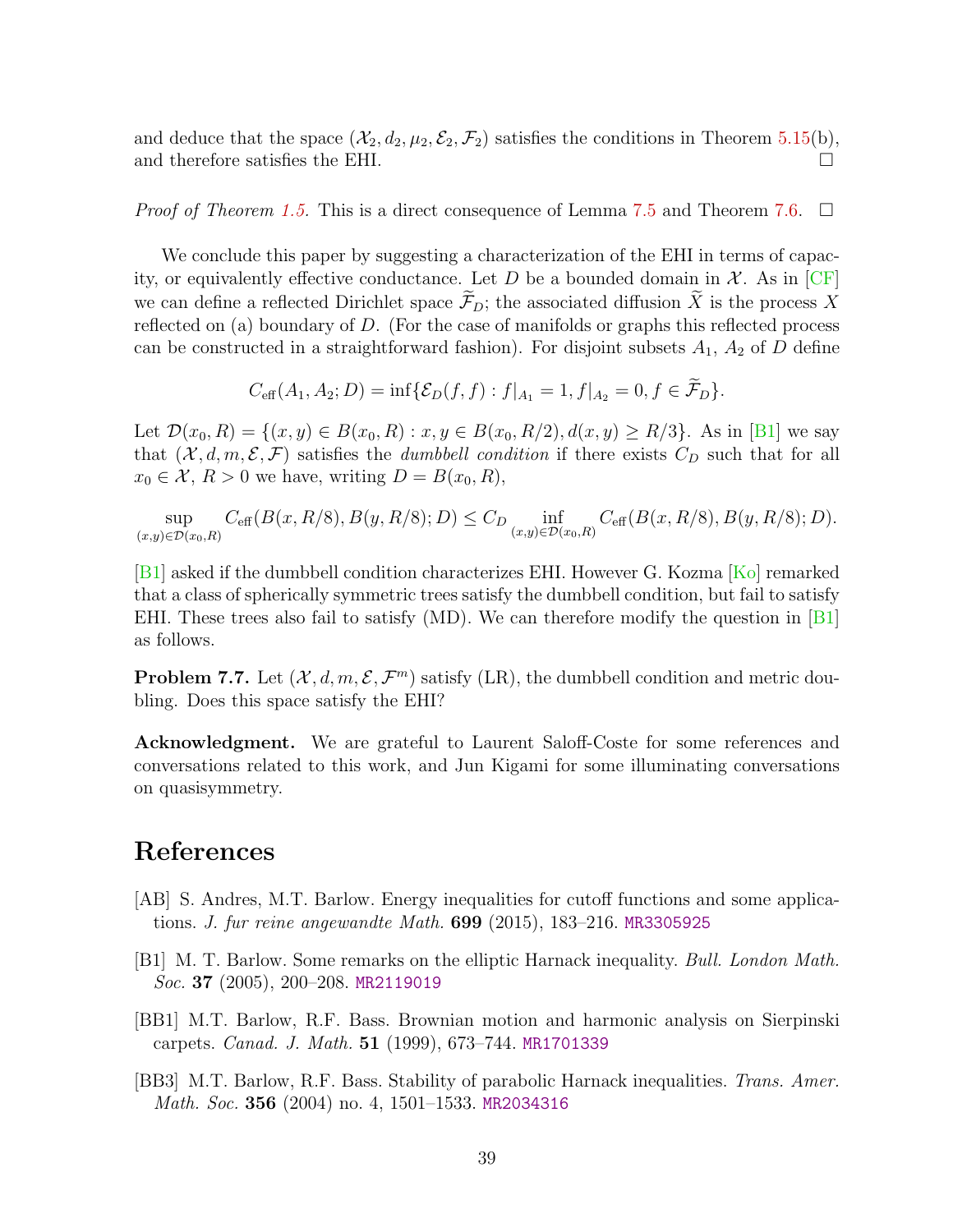and deduce that the space  $(\mathcal{X}_2, d_2, \mu_2, \mathcal{E}_2, \mathcal{F}_2)$  satisfies the conditions in Theorem [5.15\(](#page-29-0)b), and therefore satisfies the EHI.  $\Box$ 

*Proof of Theorem [1.5.](#page-5-0)* This is a direct consequence of Lemma [7.5](#page-36-0) and Theorem [7.6.](#page-36-1)  $\Box$ 

We conclude this paper by suggesting a characterization of the EHI in terms of capacity, or equivalently effective conductance. Let D be a bounded domain in  $\mathcal{X}$ . As in [\[CF\]](#page-39-13) we can define a reflected Dirichlet space  $\widetilde{\mathcal{F}}_D$ ; the associated diffusion  $\widetilde{X}$  is the process X reflected on (a) boundary of D. (For the case of manifolds or graphs this reflected process can be constructed in a straightforward fashion). For disjoint subsets  $A_1$ ,  $A_2$  of D define

$$
C_{\text{eff}}(A_1, A_2; D) = \inf \{ \mathcal{E}_D(f, f) : f|_{A_1} = 1, f|_{A_2} = 0, f \in \mathcal{F}_D \}.
$$

Let  $\mathcal{D}(x_0, R) = \{(x, y) \in B(x_0, R) : x, y \in B(x_0, R/2), d(x, y) \ge R/3\}$ . As in [\[B1\]](#page-38-3) we say that  $(\mathcal{X}, d, m, \mathcal{E}, \mathcal{F})$  satisfies the *dumbbell condition* if there exists  $C_D$  such that for all  $x_0 \in \mathcal{X}, R > 0$  we have, writing  $D = B(x_0, R)$ ,

sup  $(x,y) \in \mathcal{D}(x_0,R)$  $C_{\text{eff}}(B(x,R/8),B(y,R/8);D) \leq C_D \inf_{(x,y)\in\mathcal{D}(x_0,R)} C_{\text{eff}}(B(x,R/8),B(y,R/8);D).$ 

[\[B1\]](#page-38-3) asked if the dumbbell condition characterizes EHI. However G. Kozma [\[Ko\]](#page-41-7) remarked that a class of spherically symmetric trees satisfy the dumbbell condition, but fail to satisfy EHI. These trees also fail to satisfy  $(MD)$ . We can therefore modify the question in  $[B1]$ as follows.

**Problem 7.7.** Let  $(\mathcal{X}, d, m, \mathcal{E}, \mathcal{F}^m)$  satisfy (LR), the dumbbell condition and metric doubling. Does this space satisfy the EHI?

Acknowledgment. We are grateful to Laurent Saloff-Coste for some references and conversations related to this work, and Jun Kigami for some illuminating conversations on quasisymmetry.

## References

- <span id="page-38-2"></span>[AB] S. Andres, M.T. Barlow. Energy inequalities for cutoff functions and some applications. J. fur reine angewandte Math. 699 (2015), 183–216. [MR3305925](http://www.ams.org/mathscinet-getitem?mr=3305925)
- <span id="page-38-3"></span>[B1] M. T. Barlow. Some remarks on the elliptic Harnack inequality. Bull. London Math. Soc. 37 (2005), 200-208. [MR2119019](http://www.ams.org/mathscinet-getitem?mr=2119019)
- <span id="page-38-0"></span>[BB1] M.T. Barlow, R.F. Bass. Brownian motion and harmonic analysis on Sierpinski carpets. Canad. J. Math. 51 (1999), 673–744. [MR1701339](http://www.ams.org/mathscinet-getitem?mr=1701339)
- <span id="page-38-1"></span>[BB3] M.T. Barlow, R.F. Bass. Stability of parabolic Harnack inequalities. Trans. Amer. Math. Soc. 356 (2004) no. 4, 1501–1533. [MR2034316](http://www.ams.org/mathscinet-getitem?mr=2034316)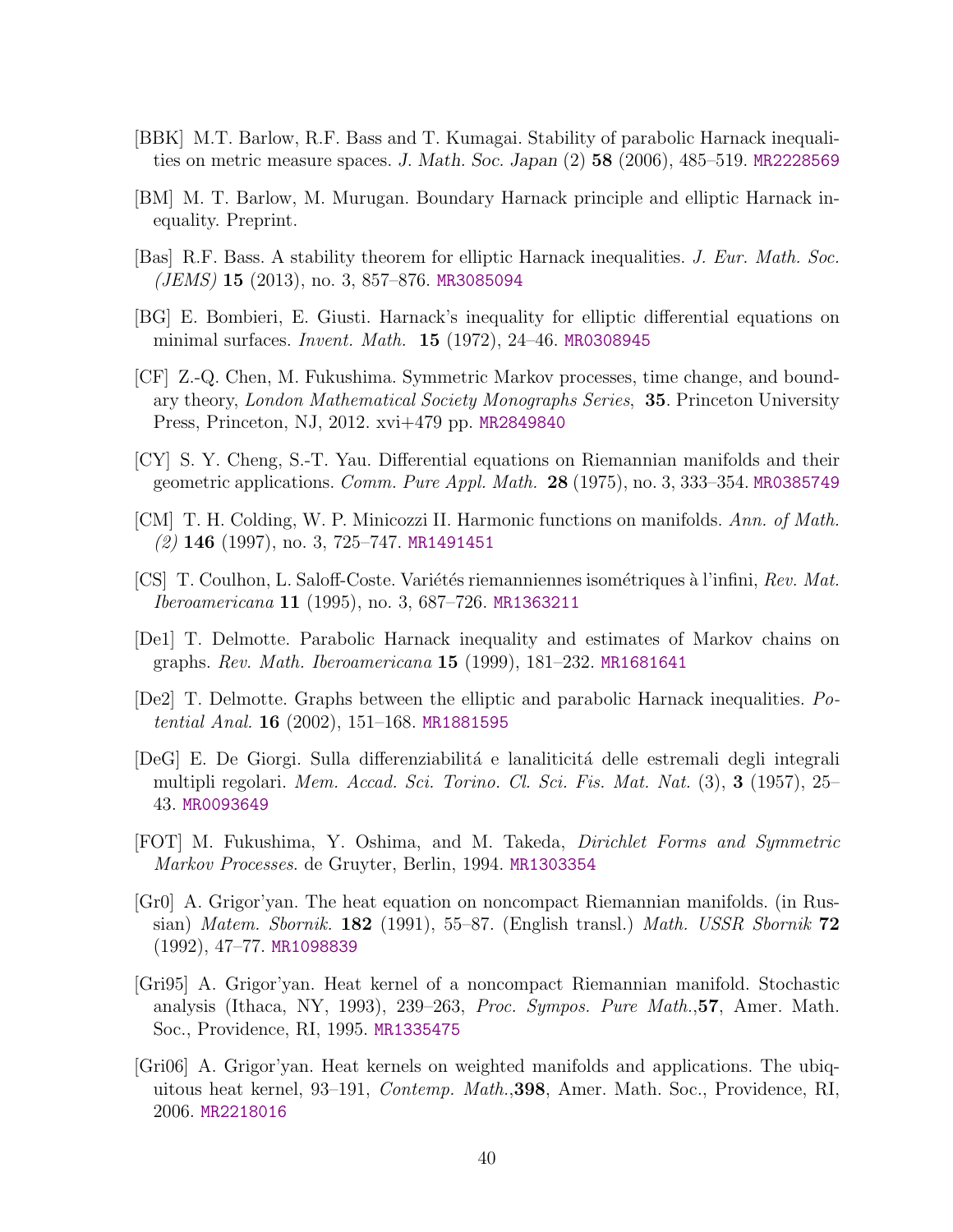- <span id="page-39-5"></span>[BBK] M.T. Barlow, R.F. Bass and T. Kumagai. Stability of parabolic Harnack inequalities on metric measure spaces. J. Math. Soc. Japan (2) 58 (2006), 485–519. [MR2228569](http://www.ams.org/mathscinet-getitem?mr=2228569)
- <span id="page-39-12"></span>[BM] M. T. Barlow, M. Murugan. Boundary Harnack principle and elliptic Harnack inequality. Preprint.
- <span id="page-39-9"></span>[Bas] R.F. Bass. A stability theorem for elliptic Harnack inequalities. J. Eur. Math. Soc.  $(JEMS)$  15 (2013), no. 3, 857–876. [MR3085094](http://www.ams.org/mathscinet-getitem?mr=3085094)
- <span id="page-39-0"></span>[BG] E. Bombieri, E. Giusti. Harnack's inequality for elliptic differential equations on minimal surfaces. Invent. Math. 15 (1972), 24–46. [MR0308945](http://www.ams.org/mathscinet-getitem?mr=0308945)
- <span id="page-39-13"></span>[CF] Z.-Q. Chen, M. Fukushima. Symmetric Markov processes, time change, and boundary theory, London Mathematical Society Monographs Series, 35. Princeton University Press, Princeton, NJ, 2012. xvi+479 pp. [MR2849840](http://www.ams.org/mathscinet-getitem?mr=2849840)
- <span id="page-39-2"></span>[CY] S. Y. Cheng, S.-T. Yau. Differential equations on Riemannian manifolds and their geometric applications. *Comm. Pure Appl. Math.* **28** (1975), no. 3, 333–354. [MR0385749](http://www.ams.org/mathscinet-getitem?mr=0385749)
- <span id="page-39-11"></span>[CM] T. H. Colding, W. P. Minicozzi II. Harmonic functions on manifolds. Ann. of Math.  $(2)$  146 (1997), no. 3, 725–747. [MR1491451](http://www.ams.org/mathscinet-getitem?mr=1491451)
- <span id="page-39-4"></span>[CS] T. Coulhon, L. Saloff-Coste. Variétés riemanniennes isométriques à l'infini, Rev. Mat. Iberoamericana 11 (1995), no. 3, 687–726. [MR1363211](http://www.ams.org/mathscinet-getitem?mr=1363211)
- <span id="page-39-1"></span>[De1] T. Delmotte. Parabolic Harnack inequality and estimates of Markov chains on graphs. Rev. Math. Iberoamericana 15 (1999), 181–232. [MR1681641](http://www.ams.org/mathscinet-getitem?mr=1681641)
- <span id="page-39-8"></span>[De2] T. Delmotte. Graphs between the elliptic and parabolic Harnack inequalities. Potential Anal. **16** (2002), 151–168. [MR1881595](http://www.ams.org/mathscinet-getitem?mr=1881595)
- [DeG] E. De Giorgi. Sulla differenziabilità e lanaliticità delle estremali degli integrali multipli regolari. Mem. Accad. Sci. Torino. Cl. Sci. Fis. Mat. Nat. (3), 3 (1957), 25– 43. [MR0093649](http://www.ams.org/mathscinet-getitem?mr=0093649)
- <span id="page-39-10"></span>[FOT] M. Fukushima, Y. Oshima, and M. Takeda, Dirichlet Forms and Symmetric Markov Processes. de Gruyter, Berlin, 1994. [MR1303354](http://www.ams.org/mathscinet-getitem?mr=1303354)
- <span id="page-39-3"></span>[Gr0] A. Grigor'yan. The heat equation on noncompact Riemannian manifolds. (in Russian) Matem. Sbornik. 182 (1991), 55–87. (English transl.) Math. USSR Sbornik  $72$ (1992), 47–77. [MR1098839](http://www.ams.org/mathscinet-getitem?mr=1098839)
- <span id="page-39-7"></span>[Gri95] A. Grigor'yan. Heat kernel of a noncompact Riemannian manifold. Stochastic analysis (Ithaca, NY, 1993), 239–263, Proc. Sympos. Pure Math.,57, Amer. Math. Soc., Providence, RI, 1995. [MR1335475](http://www.ams.org/mathscinet-getitem?mr=1335475)
- <span id="page-39-6"></span>[Gri06] A. Grigor'yan. Heat kernels on weighted manifolds and applications. The ubiquitous heat kernel, 93–191, Contemp. Math.,398, Amer. Math. Soc., Providence, RI, 2006. [MR2218016](http://www.ams.org/mathscinet-getitem?mr=2218016)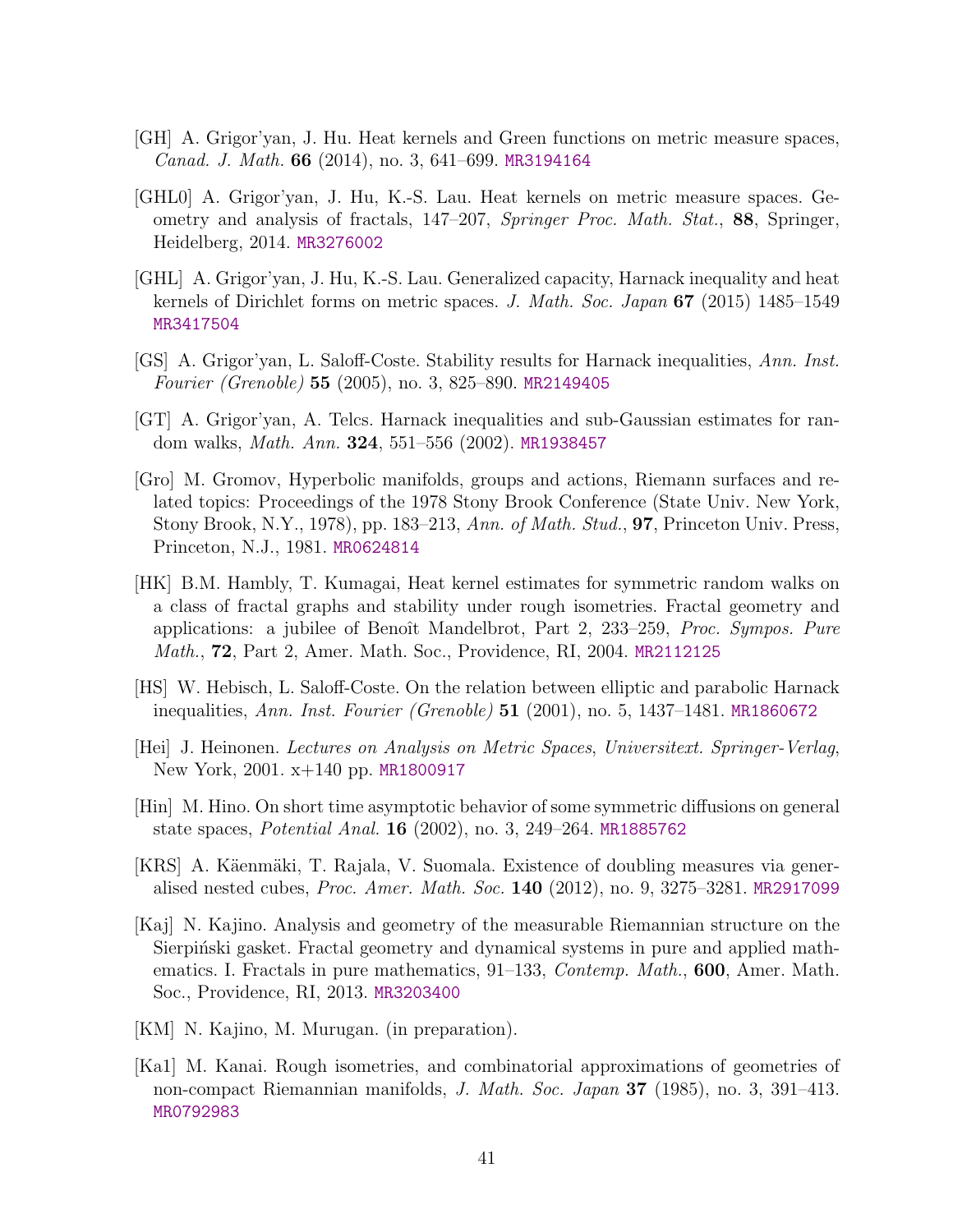- <span id="page-40-4"></span>[GH] A. Grigor'yan, J. Hu. Heat kernels and Green functions on metric measure spaces, Canad. J. Math. 66 (2014), no. 3, 641–699. [MR3194164](http://www.ams.org/mathscinet-getitem?mr=3194164)
- <span id="page-40-2"></span>[GHL0] A. Grigor'yan, J. Hu, K.-S. Lau. Heat kernels on metric measure spaces. Geometry and analysis of fractals, 147–207, Springer Proc. Math. Stat., 88, Springer, Heidelberg, 2014. [MR3276002](http://www.ams.org/mathscinet-getitem?mr=3276002)
- <span id="page-40-0"></span>[GHL] A. Grigor'yan, J. Hu, K.-S. Lau. Generalized capacity, Harnack inequality and heat kernels of Dirichlet forms on metric spaces. J. Math. Soc. Japan 67 (2015) 1485–1549 [MR3417504](http://www.ams.org/mathscinet-getitem?mr=3417504)
- <span id="page-40-1"></span>[GS] A. Grigor'yan, L. Saloff-Coste. Stability results for Harnack inequalities, Ann. Inst. Fourier (Grenoble) 55 (2005), no. 3, 825–890. [MR2149405](http://www.ams.org/mathscinet-getitem?mr=2149405)
- <span id="page-40-10"></span>[GT] A. Grigor'yan, A. Telcs. Harnack inequalities and sub-Gaussian estimates for random walks, Math. Ann. 324, 551–556 (2002). [MR1938457](http://www.ams.org/mathscinet-getitem?mr=1938457)
- <span id="page-40-12"></span>[Gro] M. Gromov, Hyperbolic manifolds, groups and actions, Riemann surfaces and related topics: Proceedings of the 1978 Stony Brook Conference (State Univ. New York, Stony Brook, N.Y., 1978), pp. 183–213, Ann. of Math. Stud., 97, Princeton Univ. Press, Princeton, N.J., 1981. [MR0624814](http://www.ams.org/mathscinet-getitem?mr=0624814)
- <span id="page-40-13"></span>[HK] B.M. Hambly, T. Kumagai, Heat kernel estimates for symmetric random walks on a class of fractal graphs and stability under rough isometries. Fractal geometry and applications: a jubilee of Benoît Mandelbrot, Part 2, 233–259, Proc. Sympos. Pure Math., 72, Part 2, Amer. Math. Soc., Providence, RI, 2004. [MR2112125](http://www.ams.org/mathscinet-getitem?mr=2112125)
- <span id="page-40-11"></span>[HS] W. Hebisch, L. Saloff-Coste. On the relation between elliptic and parabolic Harnack inequalities, Ann. Inst. Fourier (Grenoble) 51 (2001), no. 5, 1437–1481. [MR1860672](http://www.ams.org/mathscinet-getitem?mr=1860672)
- <span id="page-40-3"></span>[Hei] J. Heinonen. Lectures on Analysis on Metric Spaces, Universitext. Springer-Verlag, New York, 2001. x+140 pp. [MR1800917](http://www.ams.org/mathscinet-getitem?mr=1800917)
- <span id="page-40-7"></span>[Hin] M. Hino. On short time asymptotic behavior of some symmetric diffusions on general state spaces, Potential Anal. 16 (2002), no. 3, 249–264. [MR1885762](http://www.ams.org/mathscinet-getitem?mr=1885762)
- <span id="page-40-5"></span>[KRS] A. Käenmäki, T. Rajala, V. Suomala. Existence of doubling measures via generalised nested cubes, Proc. Amer. Math. Soc. 140 (2012), no. 9, 3275–3281. [MR2917099](http://www.ams.org/mathscinet-getitem?mr=2917099)
- <span id="page-40-9"></span>[Kaj] N. Kajino. Analysis and geometry of the measurable Riemannian structure on the Sierpinski gasket. Fractal geometry and dynamical systems in pure and applied mathematics. I. Fractals in pure mathematics, 91–133, Contemp. Math., 600, Amer. Math. Soc., Providence, RI, 2013. [MR3203400](http://www.ams.org/mathscinet-getitem?mr=3203400)
- <span id="page-40-8"></span>[KM] N. Kajino, M. Murugan. (in preparation).
- <span id="page-40-6"></span>[Ka1] M. Kanai. Rough isometries, and combinatorial approximations of geometries of non-compact Riemannian manifolds, J. Math. Soc. Japan 37 (1985), no. 3, 391–413. [MR0792983](http://www.ams.org/mathscinet-getitem?mr=0792983)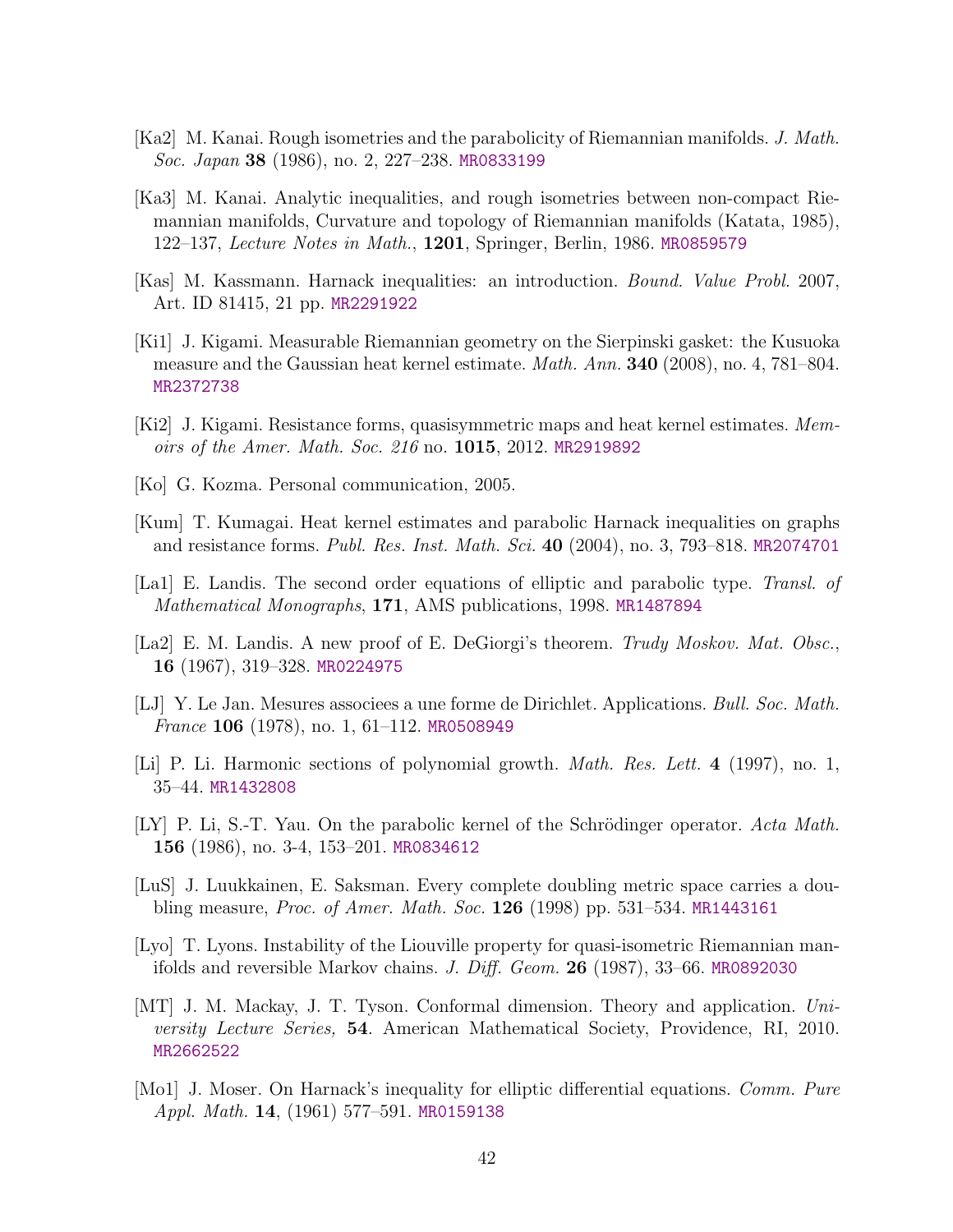- <span id="page-41-12"></span>[Ka2] M. Kanai. Rough isometries and the parabolicity of Riemannian manifolds. J. Math. Soc. Japan 38 (1986), no. 2, 227–238. [MR0833199](http://www.ams.org/mathscinet-getitem?mr=0833199)
- <span id="page-41-13"></span>[Ka3] M. Kanai. Analytic inequalities, and rough isometries between non-compact Riemannian manifolds, Curvature and topology of Riemannian manifolds (Katata, 1985), 122–137, Lecture Notes in Math., 1201, Springer, Berlin, 1986. [MR0859579](http://www.ams.org/mathscinet-getitem?mr=0859579)
- <span id="page-41-1"></span>[Kas] M. Kassmann. Harnack inequalities: an introduction. Bound. Value Probl. 2007, Art. ID 81415, 21 pp. [MR2291922](http://www.ams.org/mathscinet-getitem?mr=2291922)
- <span id="page-41-10"></span>[Ki1] J. Kigami. Measurable Riemannian geometry on the Sierpinski gasket: the Kusuoka measure and the Gaussian heat kernel estimate. Math. Ann. 340 (2008), no. 4, 781–804. [MR2372738](http://www.ams.org/mathscinet-getitem?mr=2372738)
- <span id="page-41-6"></span>[Ki2] J. Kigami. Resistance forms, quasisymmetric maps and heat kernel estimates. Memoirs of the Amer. Math. Soc. 216 no. 1015, 2012. [MR2919892](http://www.ams.org/mathscinet-getitem?mr=2919892)
- <span id="page-41-7"></span>[Ko] G. Kozma. Personal communication, 2005.
- <span id="page-41-4"></span>[Kum] T. Kumagai. Heat kernel estimates and parabolic Harnack inequalities on graphs and resistance forms. Publ. Res. Inst. Math. Sci. 40 (2004), no. 3, 793–818. [MR2074701](http://www.ams.org/mathscinet-getitem?mr=2074701)
- [La1] E. Landis. The second order equations of elliptic and parabolic type. Transl. of Mathematical Monographs, 171, AMS publications, 1998. [MR1487894](http://www.ams.org/mathscinet-getitem?mr=1487894)
- [La2] E. M. Landis. A new proof of E. DeGiorgi's theorem. Trudy Moskov. Mat. Obsc., 16 (1967), 319–328. [MR0224975](http://www.ams.org/mathscinet-getitem?mr=0224975)
- <span id="page-41-9"></span>[LJ] Y. Le Jan. Mesures associees a une forme de Dirichlet. Applications. Bull. Soc. Math. *France* 106 (1978), no. 1, 61–112. [MR0508949](http://www.ams.org/mathscinet-getitem?mr=0508949)
- <span id="page-41-11"></span>[Li] P. Li. Harmonic sections of polynomial growth. Math. Res. Lett. 4 (1997), no. 1, 35–44. [MR1432808](http://www.ams.org/mathscinet-getitem?mr=1432808)
- <span id="page-41-2"></span> $|LY|$  P. Li, S.-T. Yau. On the parabolic kernel of the Schrödinger operator. Acta Math. 156 (1986), no. 3-4, 153–201. [MR0834612](http://www.ams.org/mathscinet-getitem?mr=0834612)
- <span id="page-41-5"></span>[LuS] J. Luukkainen, E. Saksman. Every complete doubling metric space carries a doubling measure, Proc. of Amer. Math. Soc. 126 (1998) pp. 531–534. [MR1443161](http://www.ams.org/mathscinet-getitem?mr=1443161)
- <span id="page-41-3"></span>[Lyo] T. Lyons. Instability of the Liouville property for quasi-isometric Riemannian manifolds and reversible Markov chains. J. Diff. Geom. 26 (1987), 33–66. [MR0892030](http://www.ams.org/mathscinet-getitem?mr=0892030)
- <span id="page-41-8"></span>[MT] J. M. Mackay, J. T. Tyson. Conformal dimension. Theory and application. University Lecture Series, 54. American Mathematical Society, Providence, RI, 2010. [MR2662522](http://www.ams.org/mathscinet-getitem?mr=2662522)
- <span id="page-41-0"></span>[Mo1] J. Moser. On Harnack's inequality for elliptic differential equations. Comm. Pure Appl. Math. **14**, (1961) 577–591. [MR0159138](http://www.ams.org/mathscinet-getitem?mr=0159138)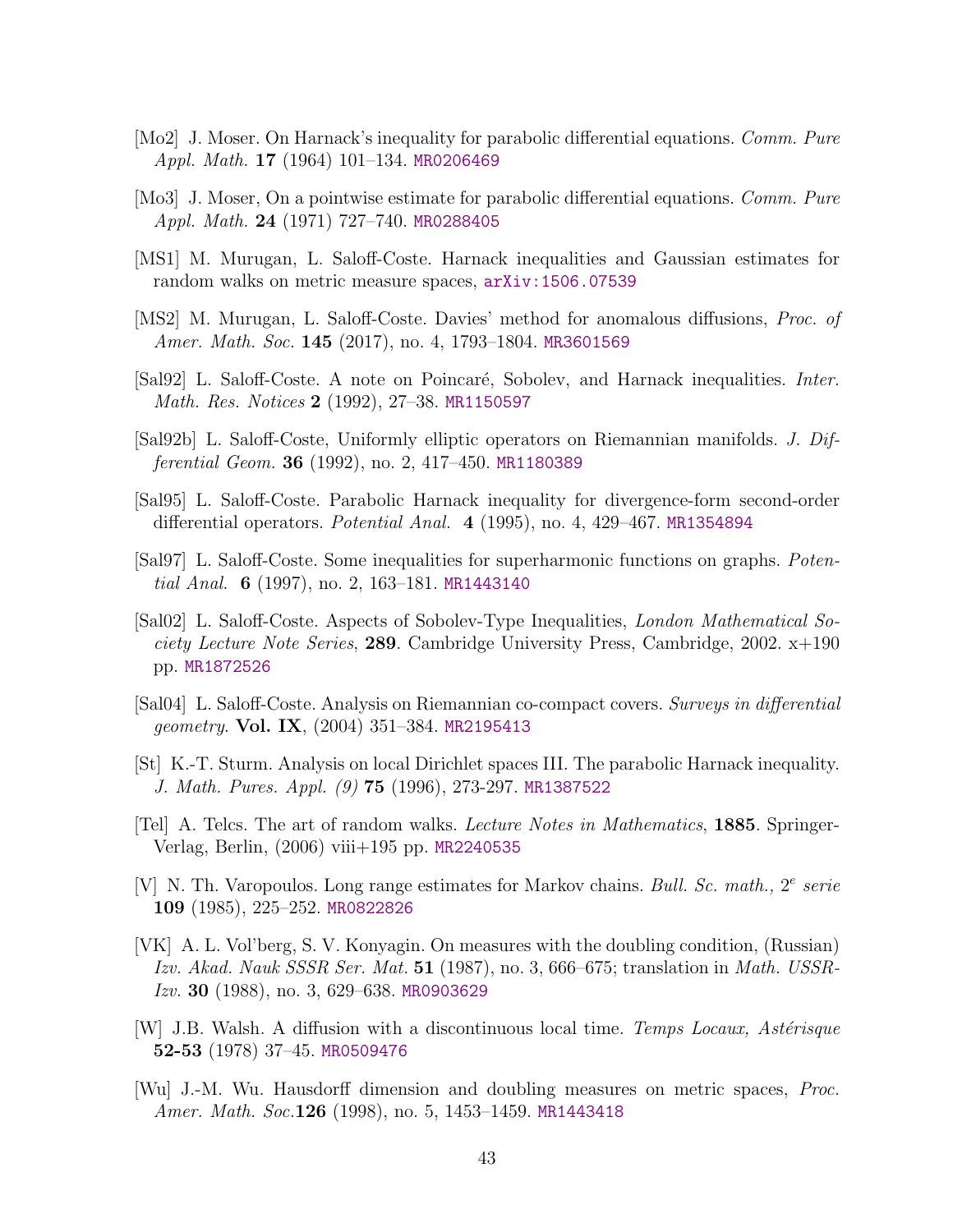- <span id="page-42-0"></span>[Mo2] J. Moser. On Harnack's inequality for parabolic differential equations. Comm. Pure Appl. Math. **17** (1964) 101–134. [MR0206469](http://www.ams.org/mathscinet-getitem?mr=0206469)
- <span id="page-42-1"></span>[Mo3] J. Moser, On a pointwise estimate for parabolic differential equations. *Comm. Pure* Appl. Math. 24 (1971) 727–740. [MR0288405](http://www.ams.org/mathscinet-getitem?mr=0288405)
- <span id="page-42-4"></span>[MS1] M. Murugan, L. Saloff-Coste. Harnack inequalities and Gaussian estimates for random walks on metric measure spaces, [arXiv:1506.07539](http://arxiv.org/abs/1506.07539)
- <span id="page-42-10"></span>[MS2] M. Murugan, L. Saloff-Coste. Davies' method for anomalous diffusions, Proc. of Amer. Math. Soc. 145 (2017), no. 4, 1793–1804. [MR3601569](http://www.ams.org/mathscinet-getitem?mr=3601569)
- <span id="page-42-2"></span>[Sal92] L. Saloff-Coste. A note on Poincaré, Sobolev, and Harnack inequalities. *Inter.* Math. Res. Notices 2 (1992), 27–38. [MR1150597](http://www.ams.org/mathscinet-getitem?mr=1150597)
- <span id="page-42-7"></span>[Sal92b] L. Saloff-Coste, Uniformly elliptic operators on Riemannian manifolds. J. Differential Geom. 36 (1992), no. 2, 417–450. [MR1180389](http://www.ams.org/mathscinet-getitem?mr=1180389)
- <span id="page-42-5"></span>[Sal95] L. Saloff-Coste. Parabolic Harnack inequality for divergence-form second-order differential operators. Potential Anal. 4 (1995), no. 4, 429–467. [MR1354894](http://www.ams.org/mathscinet-getitem?mr=1354894)
- [Sal97] L. Saloff-Coste. Some inequalities for superharmonic functions on graphs. Poten-tial Anal. 6 (1997), no. 2, 163-181. [MR1443140](http://www.ams.org/mathscinet-getitem?mr=1443140)
- [Sal02] L. Saloff-Coste. Aspects of Sobolev-Type Inequalities, London Mathematical Society Lecture Note Series, 289. Cambridge University Press, Cambridge, 2002. x+190 pp. [MR1872526](http://www.ams.org/mathscinet-getitem?mr=1872526)
- <span id="page-42-6"></span>[Sal04] L. Saloff-Coste. Analysis on Riemannian co-compact covers. Surveys in differential geometry. Vol. IX,  $(2004)$  351–384. [MR2195413](http://www.ams.org/mathscinet-getitem?mr=2195413)
- <span id="page-42-3"></span>[St] K.-T. Sturm. Analysis on local Dirichlet spaces III. The parabolic Harnack inequality. J. Math. Pures. Appl. (9) 75 (1996), 273-297. [MR1387522](http://www.ams.org/mathscinet-getitem?mr=1387522)
- [Tel] A. Telcs. The art of random walks. Lecture Notes in Mathematics, 1885. Springer-Verlag, Berlin, (2006) viii+195 pp. [MR2240535](http://www.ams.org/mathscinet-getitem?mr=2240535)
- <span id="page-42-11"></span>[V] N. Th. Varopoulos. Long range estimates for Markov chains. Bull. Sc. math.,  $2^e$  serie 109 (1985), 225–252. [MR0822826](http://www.ams.org/mathscinet-getitem?mr=0822826)
- <span id="page-42-8"></span>[VK] A. L. Vol'berg, S. V. Konyagin. On measures with the doubling condition, (Russian) Izv. Akad. Nauk SSSR Ser. Mat. 51 (1987), no. 3, 666–675; translation in Math. USSR-Izv. 30 (1988), no. 3, 629–638. [MR0903629](http://www.ams.org/mathscinet-getitem?mr=0903629)
- <span id="page-42-12"></span> $|W|$  J.B. Walsh. A diffusion with a discontinuous local time. Temps Locaux, Astérisque 52-53 (1978) 37–45. [MR0509476](http://www.ams.org/mathscinet-getitem?mr=0509476)
- <span id="page-42-9"></span>[Wu] J.-M. Wu. Hausdorff dimension and doubling measures on metric spaces, Proc. Amer. Math. Soc.126 (1998), no. 5, 1453–1459. [MR1443418](http://www.ams.org/mathscinet-getitem?mr=1443418)